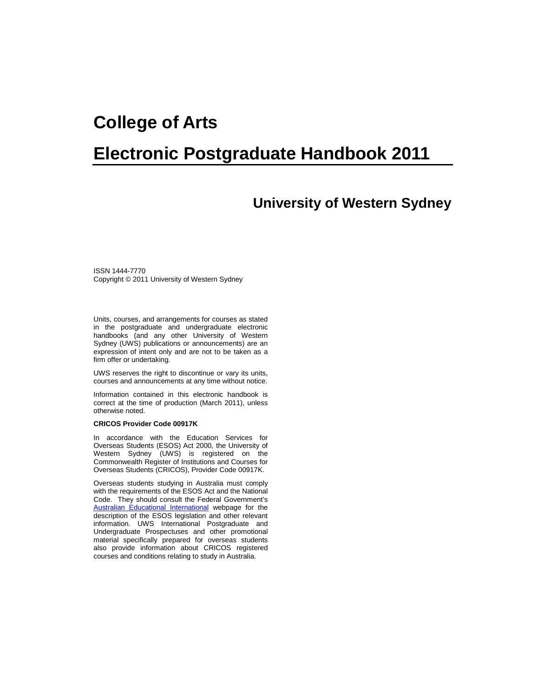# **College of Arts**

# **Electronic Postgraduate Handbook 2011**

# **University of Western Sydney**

ISSN 1444-7770 Copyright © 2011 University of Western Sydney

Units, courses, and arrangements for courses as stated in the postgraduate and undergraduate electronic handbooks (and any other University of Western Sydney (UWS) publications or announcements) are an expression of intent only and are not to be taken as a firm offer or undertaking.

UWS reserves the right to discontinue or vary its units, courses and announcements at any time without notice.

Information contained in this electronic handbook is correct at the time of production (March 2011), unless otherwise noted.

#### **CRICOS Provider Code 00917K**

In accordance with the Education Services for Overseas Students (ESOS) Act 2000, the University of Western Sydney (UWS) is registered on the Commonwealth Register of Institutions and Courses for Overseas Students (CRICOS), Provider Code 00917K.

Overseas students studying in Australia must comply with the requirements of the ESOS Act and the National Code. They should consult the Federal Government's [Australian Educational International](http://www.aei.gov.au/AEI/ESOS/Default.htm) webpage for the description of the ESOS legislation and other relevant information. UWS International Postgraduate and Undergraduate Prospectuses and other promotional material specifically prepared for overseas students also provide information about CRICOS registered courses and conditions relating to study in Australia.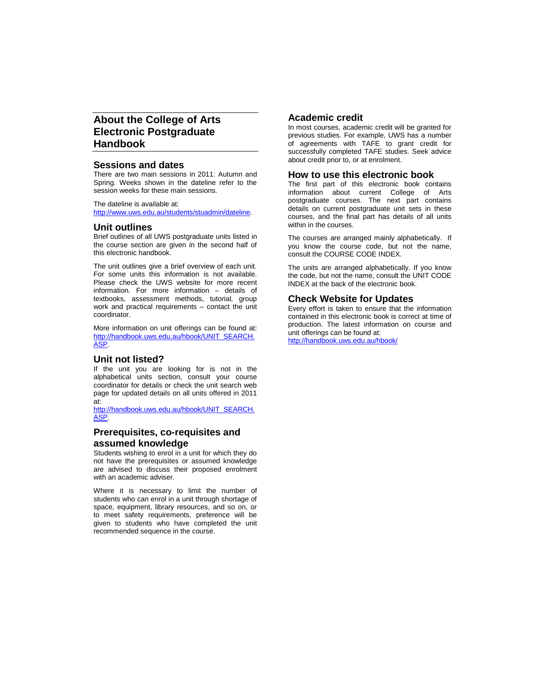# **About the College of Arts Electronic Postgraduate Handbook**

#### **Sessions and dates**

There are two main sessions in 2011: Autumn and Spring. Weeks shown in the dateline refer to the session weeks for these main sessions.

#### The dateline is available at: [http://www.uws.edu.au/students/stuadmin/dateline.](http://www.uws.edu.au/students/stuadmin/dateline)

#### **Unit outlines**

Brief outlines of all UWS postgraduate units listed in the course section are given in the second half of this electronic handbook.

The unit outlines give a brief overview of each unit. For some units this information is not available. Please check the UWS website for more recent information. For more information – details of textbooks, assessment methods, tutorial, group work and practical requirements – contact the unit coordinator.

More information on unit offerings can be found at: [http://handbook.uws.edu.au/hbook/UNIT\\_SEARCH.](http://handbook.uws.edu.au/hbook/UNIT_SEARCH.ASP) [ASP.](http://handbook.uws.edu.au/hbook/UNIT_SEARCH.ASP)

# **Unit not listed?**

If the unit you are looking for is not in the alphabetical units section, consult your course coordinator for details or check the unit search web page for updated details on all units offered in 2011 at:

[http://handbook.uws.edu.au/hbook/UNIT\\_SEARCH.](http://handbook.uws.edu.au/hbook/UNIT_SEARCH.ASP) [ASP.](http://handbook.uws.edu.au/hbook/UNIT_SEARCH.ASP)

#### **Prerequisites, co-requisites and assumed knowledge**

Students wishing to enrol in a unit for which they do not have the prerequisites or assumed knowledge are advised to discuss their proposed enrolment with an academic adviser.

Where it is necessary to limit the number of students who can enrol in a unit through shortage of space, equipment, library resources, and so on, or to meet safety requirements, preference will be given to students who have completed the unit recommended sequence in the course.

### **Academic credit**

In most courses, academic credit will be granted for previous studies. For example, UWS has a number of agreements with TAFE to grant credit for successfully completed TAFE studies. Seek advice about credit prior to, or at enrolment.

#### **How to use this electronic book**

The first part of this electronic book contains information about current College of Arts postgraduate courses. The next part contains details on current postgraduate unit sets in these courses, and the final part has details of all units within in the courses.

The courses are arranged mainly alphabetically. If you know the course code, but not the name, consult the COURSE CODE INDEX.

The units are arranged alphabetically. If you know the code, but not the name, consult the UNIT CODE INDEX at the back of the electronic book.

#### **Check Website for Updates**

Every effort is taken to ensure that the information contained in this electronic book is correct at time of production. The latest information on course and unit offerings can be found at:

<http://handbook.uws.edu.au/hbook/>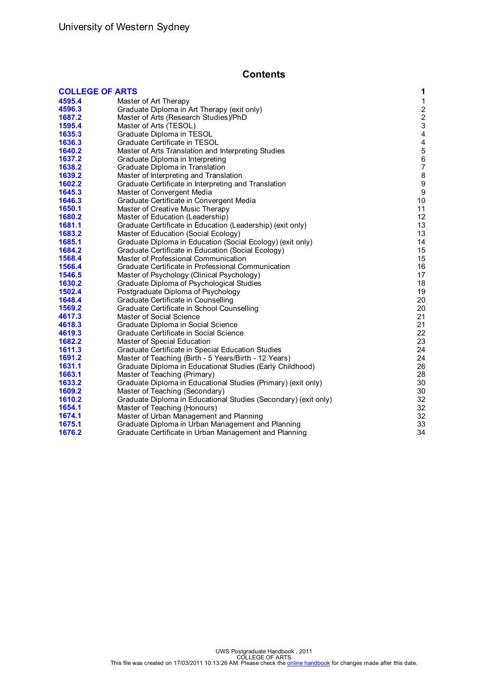# **Contents**

|        | <b>COLLEGE OF ARTS</b>                                          | 1                                     |
|--------|-----------------------------------------------------------------|---------------------------------------|
| 4595.4 | Master of Art Therapy                                           | $\mathbf{1}$                          |
| 4596.3 | Graduate Diploma in Art Therapy (exit only)                     | $\boldsymbol{2}$                      |
| 1687.2 | Master of Arts (Research Studies)/PhD                           | $\boldsymbol{2}$                      |
| 1595.4 | Master of Arts (TESOL)                                          | $\mathsf 3$                           |
| 1635.3 | Graduate Diploma in TESOL                                       | $\overline{\mathbf{4}}$               |
| 1636.3 | Graduate Certificate in TESOL                                   | 4                                     |
| 1640.2 | Master of Arts Translation and Interpreting Studies             | 5                                     |
| 1637.2 | Graduate Diploma in Interpreting                                | $\begin{array}{c} 6 \\ 7 \end{array}$ |
| 1638.2 | Graduate Diploma in Translation                                 |                                       |
| 1639.2 | Master of Interpreting and Translation                          | $\bf 8$                               |
| 1602.2 | Graduate Certificate in Interpreting and Translation            | $\boldsymbol{9}$                      |
| 1645.3 | Master of Convergent Media                                      | 9                                     |
| 1646.3 | Graduate Certificate in Convergent Media                        | 10                                    |
| 1650.1 | Master of Creative Music Therapy                                | 11                                    |
| 1680.2 | Master of Education (Leadership)                                | 12                                    |
| 1681.1 | Graduate Certificate in Education (Leadership) (exit only)      | 13                                    |
| 1683.2 | Master of Education (Social Ecology)                            | 13                                    |
| 1685.1 | Graduate Diploma in Education (Social Ecology) (exit only)      | 14                                    |
| 1684.2 | Graduate Certificate in Education (Social Ecology)              | 15                                    |
| 1568.4 | Master of Professional Communication                            | 15                                    |
| 1566.4 | Graduate Certificate in Professional Communication              | 16                                    |
| 1546.5 | Master of Psychology (Clinical Psychology)                      | 17                                    |
| 1630.2 | Graduate Diploma of Psychological Studies                       | 18                                    |
| 1502.4 | Postgraduate Diploma of Psychology                              | 19                                    |
| 1648.4 | Graduate Certificate in Counselling                             | 20                                    |
| 1569.2 | Graduate Certificate in School Counselling                      | 20                                    |
| 4617.3 | Master of Social Science                                        | 21                                    |
| 4618.3 | Graduate Diploma in Social Science                              | 21                                    |
| 4619.3 | Graduate Certificate in Social Science                          | 22                                    |
| 1682.2 | Master of Special Education                                     | 23                                    |
| 1611.3 | Graduate Certificate in Special Education Studies               | 24                                    |
| 1691.2 | Master of Teaching (Birth - 5 Years/Birth - 12 Years)           | 24                                    |
| 1631.1 | Graduate Diploma in Educational Studies (Early Childhood)       | 26                                    |
| 1663.1 | Master of Teaching (Primary)                                    | 28                                    |
| 1633.2 | Graduate Diploma in Educational Studies (Primary) (exit only)   | 30                                    |
| 1609.2 | Master of Teaching (Secondary)                                  | 30                                    |
| 1610.2 | Graduate Diploma in Educational Studies (Secondary) (exit only) | 32                                    |
| 1654.1 | Master of Teaching (Honours)                                    | 32                                    |
| 1674.1 | Master of Urban Management and Planning                         | 32                                    |
| 1675.1 | Graduate Diploma in Urban Management and Planning               | 33                                    |
| 1676.2 | Graduate Certificate in Urban Management and Planning           | 34                                    |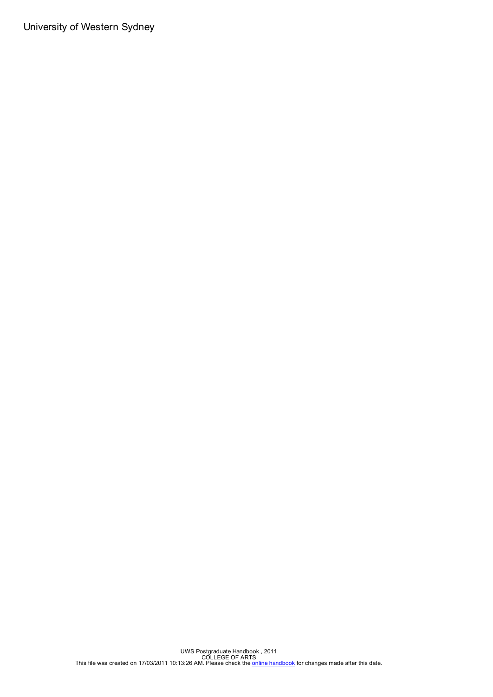University of Western Sydney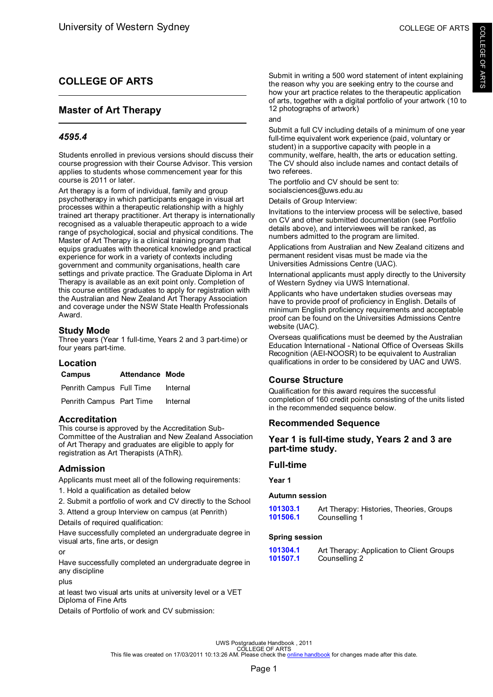# <span id="page-4-0"></span>**COLLEGE OF ARTS**

# **Master of Art Therapy**

# *4595.4*

Students enrolled in previous versions should discuss their course progression with their Course Advisor. This version applies to students whose commencement year for this course is 2011 or later.

Art therapy is a form of individual, family and group psychotherapy in which participants engage in visual art processes within a therapeutic relationship with a highly trained art therapy practitioner. Art therapy is internationally recognised as a valuable therapeutic approach to a wide range of psychological, social and physical conditions. The Master of Art Therapy is a clinical training program that equips graduates with theoretical knowledge and practical experience for work in a variety of contexts including government and community organisations, health care settings and private practice. The Graduate Diploma in Art Therapy is available as an exit point only. Completion of this course entitles graduates to apply for registration with the Australian and New Zealand Art Therapy Association and coverage under the NSW State Health Professionals Award.

# **Study Mode**

Three years (Year 1 full-time, Years 2 and 3 part-time) or four years part-time.

# **Location**

| Campus                   | <b>Attendance Mode</b> |          |
|--------------------------|------------------------|----------|
| Penrith Campus Full Time |                        | Internal |
| Penrith Campus Part Time |                        | Internal |

# **Accreditation**

This course is approved by the Accreditation Sub-Committee of the Australian and New Zealand Association of Art Therapy and graduates are eligible to apply for registration as Art Therapists (AThR).

# **Admission**

Applicants must meet all of the following requirements: 1. Hold a qualification as detailed below

2. Submit a portfolio of work and CV directly to the School

3. Attend a group Interview on campus (at Penrith)

Details of required qualification:

Have successfully completed an undergraduate degree in visual arts, fine arts, or design

or

Have successfully completed an undergraduate degree in any discipline

plus

at least two visual arts units at university level or a VET Diploma of Fine Arts

Details of Portfolio of work and CV submission:

Submit in writing a 500 word statement of intent explaining the reason why you are seeking entry to the course and how your art practice relates to the therapeutic application of arts, together with a digital portfolio of your artwork (10 to 12 photographs of artwork)

and

Submit a full CV including details of a minimum of one year full-time equivalent work experience (paid, voluntary or student) in a supportive capacity with people in a community, welfare, health, the arts or education setting. The CV should also include names and contact details of two referees.

The portfolio and CV should be sent to: socialsciences@uws.edu.au

Details of Group Interview:

Invitations to the interview process will be selective, based on CV and other submitted documentation (see Portfolio details above), and interviewees will be ranked, as numbers admitted to the program are limited.

Applications from Australian and New Zealand citizens and permanent resident visas must be made via the Universities Admissions Centre (UAC).

International applicants must apply directly to the University of Western Sydney via UWS International.

Applicants who have undertaken studies overseas may have to provide proof of proficiency in English. Details of minimum English proficiency requirements and acceptable proof can be found on the Universities Admissions Centre website (UAC).

Overseas qualifications must be deemed by the Australian Education International - National Office of Overseas Skills Recognition (AEI-NOOSR) to be equivalent to Australian qualifications in order to be considered by UAC and UWS.

# **Course Structure**

Qualification for this award requires the successful completion of 160 credit points consisting of the units listed in the recommended sequence below.

# **Recommended Sequence**

### **Year 1 is full-time study, Years 2 and 3 are part-time study.**

### **Full-time**

**Year 1**

### **Autumn session**

| 101303.1 | Art Therapy: Histories, Theories, Groups |  |
|----------|------------------------------------------|--|
| 101506.1 | Counselling 1                            |  |

### **Spring session**

| 101304.1 | Art Therapy: Application to Client Groups |
|----------|-------------------------------------------|
| 101507.1 | Counselling 2                             |

UWS Postgraduate Handbook , 2011 COLLEGE OF ARTS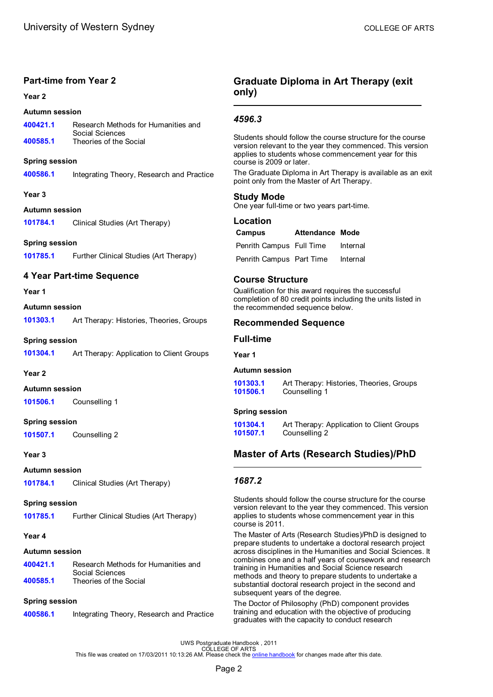<span id="page-5-0"></span>**Part-time from Year 2**

**Graduate Diploma in Art Therapy (exit**

| Year 2                            |                                                                                  | only)                                                                                                                                                                           |                                            |                                                                                                                         |
|-----------------------------------|----------------------------------------------------------------------------------|---------------------------------------------------------------------------------------------------------------------------------------------------------------------------------|--------------------------------------------|-------------------------------------------------------------------------------------------------------------------------|
| <b>Autumn session</b>             |                                                                                  |                                                                                                                                                                                 |                                            |                                                                                                                         |
| 400421.1                          | Research Methods for Humanities and                                              | 4596.3                                                                                                                                                                          |                                            |                                                                                                                         |
| 400585.1                          | Social Sciences<br>Theories of the Social                                        | Students should follow the course structure for the course<br>version relevant to the year they commenced. This version<br>applies to students whose commencement year for this |                                            |                                                                                                                         |
| <b>Spring session</b>             |                                                                                  | course is 2009 or later.                                                                                                                                                        |                                            |                                                                                                                         |
| 400586.1                          | Integrating Theory, Research and Practice                                        |                                                                                                                                                                                 | point only from the Master of Art Therapy. | The Graduate Diploma in Art Therapy is available as an exit                                                             |
| Year <sub>3</sub>                 |                                                                                  | <b>Study Mode</b>                                                                                                                                                               | One year full-time or two years part-time. |                                                                                                                         |
| <b>Autumn session</b>             |                                                                                  |                                                                                                                                                                                 |                                            |                                                                                                                         |
| 101784.1                          | Clinical Studies (Art Therapy)                                                   | Location                                                                                                                                                                        |                                            |                                                                                                                         |
|                                   |                                                                                  | <b>Campus</b>                                                                                                                                                                   | <b>Attendance Mode</b>                     |                                                                                                                         |
| <b>Spring session</b>             |                                                                                  |                                                                                                                                                                                 | Penrith Campus Full Time                   | Internal                                                                                                                |
| 101785.1                          | Further Clinical Studies (Art Therapy)                                           |                                                                                                                                                                                 | Penrith Campus Part Time                   | Internal                                                                                                                |
|                                   | 4 Year Part-time Sequence                                                        | <b>Course Structure</b>                                                                                                                                                         |                                            |                                                                                                                         |
| Year 1<br><b>Autumn session</b>   |                                                                                  | Qualification for this award requires the successful<br>completion of 80 credit points including the units listed in<br>the recommended sequence below.                         |                                            |                                                                                                                         |
| 101303.1                          | Art Therapy: Histories, Theories, Groups                                         |                                                                                                                                                                                 | <b>Recommended Sequence</b>                |                                                                                                                         |
| <b>Spring session</b>             |                                                                                  | <b>Full-time</b>                                                                                                                                                                |                                            |                                                                                                                         |
| 101304.1                          | Art Therapy: Application to Client Groups                                        | Year 1                                                                                                                                                                          |                                            |                                                                                                                         |
| Year <sub>2</sub>                 |                                                                                  | <b>Autumn session</b>                                                                                                                                                           |                                            |                                                                                                                         |
| <b>Autumn session</b>             |                                                                                  | 101303.1<br>101506.1                                                                                                                                                            | Counselling 1                              | Art Therapy: Histories, Theories, Groups                                                                                |
| 101506.1                          | Counselling 1                                                                    |                                                                                                                                                                                 |                                            |                                                                                                                         |
|                                   |                                                                                  | <b>Spring session</b>                                                                                                                                                           |                                            |                                                                                                                         |
| <b>Spring session</b><br>101507.1 | Counselling 2                                                                    | 101304.1<br>101507.1                                                                                                                                                            | Counselling 2                              | Art Therapy: Application to Client Groups                                                                               |
| Year 3                            |                                                                                  |                                                                                                                                                                                 |                                            | <b>Master of Arts (Research Studies)/PhD</b>                                                                            |
| <b>Autumn session</b>             |                                                                                  |                                                                                                                                                                                 |                                            |                                                                                                                         |
| 101784.1                          | Clinical Studies (Art Therapy)                                                   | 1687.2                                                                                                                                                                          |                                            |                                                                                                                         |
| <b>Spring session</b>             |                                                                                  |                                                                                                                                                                                 |                                            | Students should follow the course structure for the course<br>version relevant to the year they commenced. This version |
| 101785.1                          | Further Clinical Studies (Art Therapy)                                           | course is 2011.                                                                                                                                                                 |                                            | applies to students whose commencement year in this                                                                     |
| Year 4                            |                                                                                  |                                                                                                                                                                                 |                                            | The Master of Arts (Research Studies)/PhD is designed to                                                                |
| <b>Autumn session</b>             |                                                                                  | prepare students to undertake a doctoral research project<br>across disciplines in the Humanities and Social Sciences. It                                                       |                                            |                                                                                                                         |
| 400421.1<br>400585.1              | Research Methods for Humanities and<br>Social Sciences<br>Theories of the Social | combines one and a half years of coursework and research<br>training in Humanities and Social Science research<br>methods and theory to prepare students to undertake a         |                                            |                                                                                                                         |
|                                   |                                                                                  |                                                                                                                                                                                 | subsequent years of the degree.            | substantial doctoral research project in the second and                                                                 |
| <b>Spring session</b>             |                                                                                  |                                                                                                                                                                                 |                                            | The Doctor of Philosophy (PhD) component provides                                                                       |

**[400586.1](#page-53-0)** Integrating Theory, Research and Practice

training and education with the objective of producing graduates with the capacity to conduct research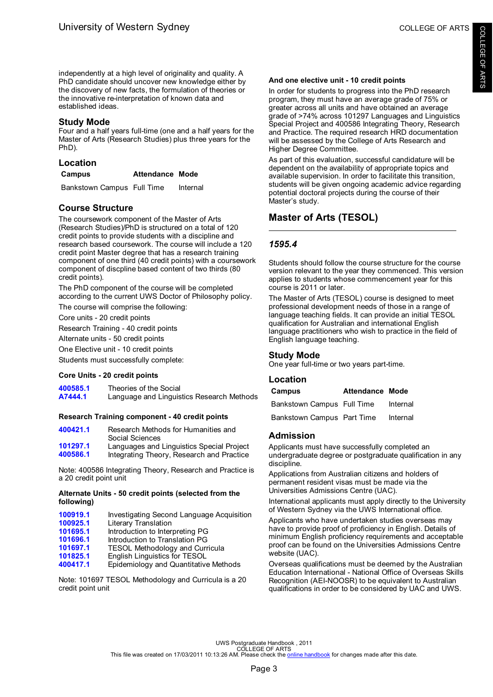<span id="page-6-0"></span>independently at a high level of originality and quality. A PhD candidate should uncover new knowledge either by the discovery of new facts, the formulation of theories or the innovative re-interpretation of known data and established ideas.

# **Study Mode**

Four and a half years full-time (one and a half years for the Master of Arts (Research Studies) plus three years for the PhD).

# **Location**

| Attendance Mode<br>Campus |
|---------------------------|
|---------------------------|

Bankstown Campus Full Time Internal

# **Course Structure**

The coursework component of the Master of Arts (Research Studies)/PhD is structured on a total of 120 credit points to provide students with a discipline and research based coursework. The course will include a 120 credit point Master degree that has a research training component of one third (40 credit points) with a coursework component of discpline based content of two thirds (80 credit points).

The PhD component of the course will be completed according to the current UWS Doctor of Philosophy policy.

The course will comprise the following:

Core units - 20 credit points

Research Training - 40 credit points

Alternate units - 50 credit points

One Elective unit - 10 credit points

Students must successfully complete:

### **Core Units - 20 credit points**

**[400585.1](#page-70-0)** Theories of the Social **[A7444.1](#page-55-0)** Language and Linguistics Research Methods

### **Research Training component - 40 credit points**

| 400421.1 | Research Methods for Humanities and       |  |
|----------|-------------------------------------------|--|
|          | Social Sciences                           |  |
| 101297.1 | Languages and Linguistics Special Project |  |
| 400586.1 | Integrating Theory, Research and Practice |  |

Note: 400586 Integrating Theory, Research and Practice is a 20 credit point unit

#### **Alternate Units - 50 credit points (selected from the following)**

- [100919.1](#page-54-0) Investigating Second Language Acquisition<br>100925.1 Literary Translation **Literary Translation**
- **[101695.1](#page-54-0)** Introduction to Interpreting PG
- **[101696.1](#page-54-0)** Introduction to Translation PG
- 
- [101697.1](#page-70-0) TESOL Methodology and Curricula<br>101825.1 English Linguistics for TESOL
- **[101825.1](#page-50-0)** English Linguistics for TESOL **[400417.1](#page-50-0)** Epidemiology and Quantitative Methods

Note: 101697 TESOL Methodology and Curricula is a 20 credit point unit

#### **And one elective unit - 10 credit points**

In order for students to progress into the PhD research program, they must have an average grade of 75% or greater across all units and have obtained an average grade of >74% across 101297 Languages and Linguistics Special Project and 400586 Integrating Theory, Research and Practice. The required research HRD documentation will be assessed by the College of Arts Research and Higher Degree Committee.

As part of this evaluation, successful candidature will be dependent on the availability of appropriate topics and available supervision. In order to facilitate this transition, students will be given ongoing academic advice regarding potential doctoral projects during the course of their Master's study.

# **Master of Arts (TESOL)**

# *1595.4*

Students should follow the course structure for the course version relevant to the year they commenced. This version applies to students whose commencement year for this course is 2011 or later.

The Master of Arts (TESOL) course is designed to meet professional development needs of those in a range of language teaching fields. It can provide an initial TESOL qualification for Australian and international English language practitioners who wish to practice in the field of English language teaching.

# **Study Mode**

One year full-time or two years part-time.

# **Location**

| Campus                     | <b>Attendance Mode</b> |          |
|----------------------------|------------------------|----------|
| Bankstown Campus Full Time |                        | Internal |
| Bankstown Campus Part Time |                        | Internal |

# **Admission**

Applicants must have successfully completed an undergraduate degree or postgraduate qualification in any discipline.

Applications from Australian citizens and holders of permanent resident visas must be made via the Universities Admissions Centre (UAC).

International applicants must apply directly to the University of Western Sydney via the UWS International office.

Applicants who have undertaken studies overseas may have to provide proof of proficiency in English. Details of minimum English proficiency requirements and acceptable proof can be found on the Universities Admissions Centre website (UAC).

Overseas qualifications must be deemed by the Australian Education International - National Office of Overseas Skills Recognition (AEI-NOOSR) to be equivalent to Australian qualifications in order to be considered by UAC and UWS.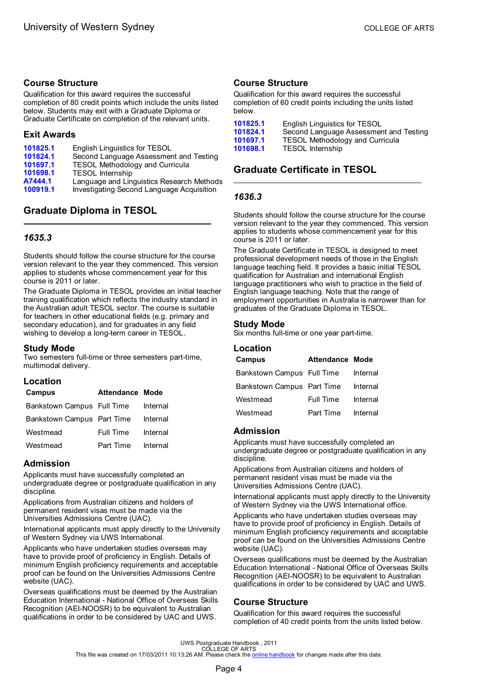# <span id="page-7-0"></span>**Course Structure**

Qualification for this award requires the successful completion of 80 credit points which include the units listed below. Students may exit with a Graduate Diploma or Graduate Certificate on completion of the relevant units.

### **Exit Awards**

| 101825.1 | English Linguistics for TESOL             |
|----------|-------------------------------------------|
| 101824.1 | Second Language Assessment and Testing    |
| 101697.1 | <b>TESOL Methodology and Curricula</b>    |
| 101698.1 | <b>TESOL Internship</b>                   |
| A7444.1  | Language and Linguistics Research Methods |
| 100919.1 | Investigating Second Language Acquisition |

# **Graduate Diploma in TESOL**

# *1635.3*

Students should follow the course structure for the course version relevant to the year they commenced. This version applies to students whose commencement year for this course is 2011 or later.

The Graduate Diploma in TESOL provides an initial teacher training qualification which reflects the industry standard in the Australian adult TESOL sector. The course is suitable for teachers in other educational fields (e.g. primary and secondary education), and for graduates in any field wishing to develop a long-term career in TESOL.

### **Study Mode**

Two semesters full-time or three semesters part-time, multimodal delivery.

### **Location**

| <b>Campus</b>              | <b>Attendance Mode</b> |          |
|----------------------------|------------------------|----------|
| Bankstown Campus Full Time |                        | Internal |
| Bankstown Campus Part Time |                        | Internal |
| Westmead                   | <b>Full Time</b>       | Internal |
| Westmead                   | Part Time              | Internal |

# **Admission**

Applicants must have successfully completed an undergraduate degree or postgraduate qualification in any discipline.

Applications from Australian citizens and holders of permanent resident visas must be made via the Universities Admissions Centre (UAC).

International applicants must apply directly to the University of Western Sydney via UWS International.

Applicants who have undertaken studies overseas may have to provide proof of proficiency in English. Details of minimum English proficiency requirements and acceptable proof can be found on the Universities Admissions Centre website (UAC).

Overseas qualifications must be deemed by the Australian Education International - National Office of Overseas Skills Recognition (AEI-NOOSR) to be equivalent to Australian qualifications in order to be considered by UAC and UWS.

# **Course Structure**

Qualification for this award requires the successful completion of 60 credit points including the units listed below.

| 101825.1 | English Linguistics for TESOL          |
|----------|----------------------------------------|
| 101824.1 | Second Language Assessment and Testing |
| 101697.1 | <b>TESOL Methodology and Curricula</b> |
| 101698.1 | <b>TESOL Internship</b>                |
|          |                                        |

# **Graduate Certificate in TESOL**

# *1636.3*

Students should follow the course structure for the course version relevant to the year they commenced. This version applies to students whose commencement year for this course is 2011 or later.

The Graduate Certificate in TESOL is designed to meet professional development needs of those in the English language teaching field. It provides a basic initial TESOL qualification for Australian and international English language practitioners who wish to practice in the field of English language teaching. Note that the range of employment opportunities in Australia is narrower than for graduates of the Graduate Diploma in TESOL.

### **Study Mode**

Six months full-time or one year part-time.

| <b>Location</b>            |                  |          |  |  |
|----------------------------|------------------|----------|--|--|
| <b>Campus</b>              | Attendance Mode  |          |  |  |
| Bankstown Campus Full Time |                  | Internal |  |  |
| Bankstown Campus Part Time |                  | Internal |  |  |
| Westmead                   | <b>Full Time</b> | Internal |  |  |
| Westmead                   | Part Time        | Internal |  |  |
|                            |                  |          |  |  |

# **Admission**

Applicants must have successfully completed an undergraduate degree or postgraduate qualification in any discipline.

Applications from Australian citizens and holders of permanent resident visas must be made via the Universities Admissions Centre (UAC).

International applicants must apply directly to the University of Western Sydney via the UWS International office.

Applicants who have undertaken studies overseas may have to provide proof of proficiency in English. Details of minimum English proficiency requirements and acceptable proof can be found on the Universities Admissions Centre website (UAC).

Overseas qualifications must be deemed by the Australian Education International - National Office of Overseas Skills Recognition (AEI-NOOSR) to be equivalent to Australian qualifications in order to be considered by UAC and UWS.

# **Course Structure**

Qualification for this award requires the successful completion of 40 credit points from the units listed below.

UWS Postgraduate Handbook , 2011 COLLEGE OF ARTS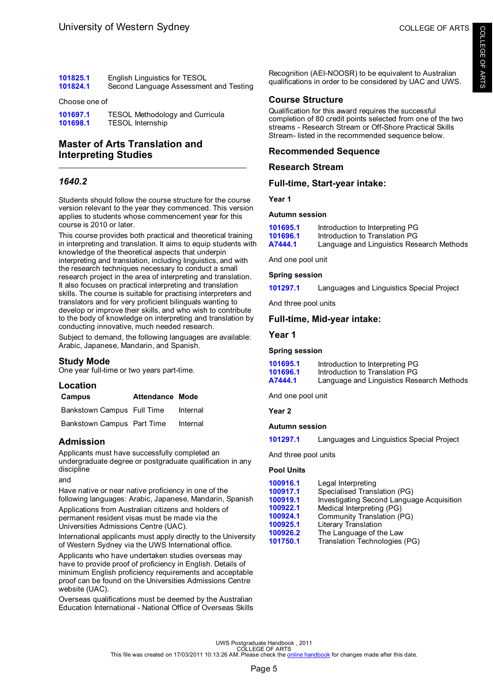<span id="page-8-0"></span>

| 101825.1 | English Linguistics for TESOL          |
|----------|----------------------------------------|
| 101824.1 | Second Language Assessment and Testing |

#### Choose one of

| 101697.1 | <b>TESOL Methodology and Curricula</b> |
|----------|----------------------------------------|
| 101698.1 | <b>TESOL Internship</b>                |

# **Master of Arts Translation and Interpreting Studies**

# *1640.2*

Students should follow the course structure for the course version relevant to the year they commenced. This version applies to students whose commencement year for this course is 2010 or later.

This course provides both practical and theoretical training in interpreting and translation. It aims to equip students with knowledge of the theoretical aspects that underpin interpreting and translation, including linguistics, and with the research techniques necessary to conduct a small research project in the area of interpreting and translation. It also focuses on practical interpreting and translation skills. The course is suitable for practising interpreters and translators and for very proficient bilinguals wanting to develop or improve their skills, and who wish to contribute to the body of knowledge on interpreting and translation by conducting innovative, much needed research.

Subject to demand, the following languages are available: Arabic, Japanese, Mandarin, and Spanish.

# **Study Mode**

One year full-time or two years part-time.

### **Location**

| Campus                     | <b>Attendance Mode</b> |          |
|----------------------------|------------------------|----------|
| Bankstown Campus Full Time |                        | Internal |
| Bankstown Campus Part Time |                        | Internal |

# **Admission**

Applicants must have successfully completed an undergraduate degree or postgraduate qualification in any discipline

and

Have native or near native proficiency in one of the following languages: Arabic, Japanese, Mandarin, Spanish

Applications from Australian citizens and holders of permanent resident visas must be made via the Universities Admissions Centre (UAC).

International applicants must apply directly to the University of Western Sydney via the UWS International office.

Applicants who have undertaken studies overseas may have to provide proof of proficiency in English. Details of minimum English proficiency requirements and acceptable proof can be found on the Universities Admissions Centre website (UAC).

Overseas qualifications must be deemed by the Australian Education International - National Office of Overseas Skills Recognition (AEI-NOOSR) to be equivalent to Australian qualifications in order to be considered by UAC and UWS.

# **Course Structure**

Qualification for this award requires the successful completion of 80 credit points selected from one of the two streams - Research Stream or Off-Shore Practical Skills Stream- listed in the recommended sequence below.

# **Recommended Sequence**

# **Research Stream**

# **Full-time, Start-year intake:**

**Year 1**

#### **Autumn session**

| 101695.1 | Introduction to Interpreting PG           |
|----------|-------------------------------------------|
| 101696.1 | Introduction to Translation PG            |
| A7444.1  | Language and Linguistics Research Methods |

And one pool unit

**Spring session**

**[101297.1](#page-55-0)** Languages and Linguistics Special Project

And three pool units

# **Full-time, Mid-year intake:**

### **Year 1**

#### **Spring session**

| 101695.1 | Introduction to Interpreting PG           |
|----------|-------------------------------------------|
| 101696.1 | Introduction to Translation PG            |
| A7444.1  | Language and Linguistics Research Methods |

And one pool unit

**Year 2**

### **Autumn session**

**[101297.1](#page-55-0)** Languages and Linguistics Special Project

And three pool units

### **Pool Units**

| 100916.1 | Legal Interpreting                        |
|----------|-------------------------------------------|
| 100917.1 | Specialised Translation (PG)              |
| 100919.1 | Investigating Second Language Acquisition |
| 100922.1 | Medical Interpreting (PG)                 |
| 100924.1 | Community Translation (PG)                |
| 100925.1 | Literary Translation                      |
| 100926.2 | The Language of the Law                   |
| 101750.1 | Translation Technologies (PG)             |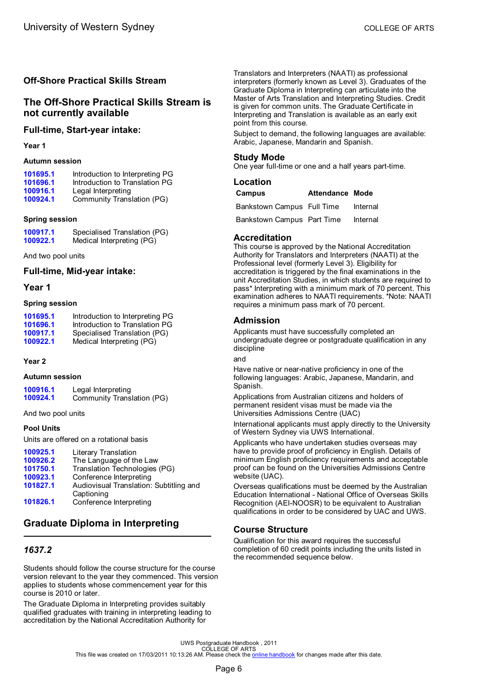# <span id="page-9-0"></span>**Off-Shore Practical Skills Stream**

# **The Off-Shore Practical Skills Stream is not currently available**

### **Full-time, Start-year intake:**

**Year 1**

#### **Autumn session**

| 101695.1 | Introduction to Interpreting PG |
|----------|---------------------------------|
| 101696.1 | Introduction to Translation PG  |
| 100916.1 | Legal Interpreting              |
| 100924.1 | Community Translation (PG)      |

#### **Spring session**

| 100917.1 | Specialised Translation (PG) |
|----------|------------------------------|
| 100922.1 | Medical Interpreting (PG)    |

And two pool units

# **Full-time, Mid-year intake:**

### **Year 1**

#### **Spring session**

| 101695.1 | Introduction to Interpreting PG |
|----------|---------------------------------|
| 101696.1 | Introduction to Translation PG  |
| 100917.1 | Specialised Translation (PG)    |
| 100922.1 | Medical Interpreting (PG)       |

#### **Year 2**

#### **Autumn session**

| 100916.1 | Legal Interpreting         |
|----------|----------------------------|
| 100924.1 | Community Translation (PG) |

And two pool units

#### **Pool Units**

Units are offered on a rotational basis

| 100925.1 | Literary Translation                                  |
|----------|-------------------------------------------------------|
| 100926.2 | The Language of the Law                               |
| 101750.1 | Translation Technologies (PG)                         |
| 100923.1 | Conference Interpreting                               |
| 101827.1 | Audiovisual Translation: Subtitling and<br>Captioning |
| 101826.1 | Conference Interpreting                               |

# **Graduate Diploma in Interpreting**

# *1637.2*

Students should follow the course structure for the course version relevant to the year they commenced. This version applies to students whose commencement year for this course is 2010 or later.

The Graduate Diploma in Interpreting provides suitably qualified graduates with training in interpreting leading to accreditation by the National Accreditation Authority for

Translators and Interpreters (NAATI) as professional interpreters (formerly known as Level 3). Graduates of the Graduate Diploma in Interpreting can articulate into the Master of Arts Translation and Interpreting Studies. Credit is given for common units. The Graduate Certificate in Interpreting and Translation is available as an early exit point from this course.

Subject to demand, the following languages are available: Arabic, Japanese, Mandarin and Spanish.

### **Study Mode**

One year full-time or one and a half years part-time.

### **Location**

| Campus                     | <b>Attendance Mode</b> |          |
|----------------------------|------------------------|----------|
| Bankstown Campus Full Time |                        | Internal |
| Bankstown Campus Part Time |                        | Internal |

### **Accreditation**

This course is approved by the National Accreditation Authority for Translators and Interpreters (NAATI) at the Professional level (formerly Level 3). Eligibility for accreditation is triggered by the final examinations in the unit Accreditation Studies, in which students are required to pass\* Interpreting with a minimum mark of 70 percent. This examination adheres to NAATI requirements. \*Note: NAATI requires a minimum pass mark of 70 percent.

### **Admission**

Applicants must have successfully completed an undergraduate degree or postgraduate qualification in any discipline

and

Have native or near-native proficiency in one of the following languages: Arabic, Japanese, Mandarin, and Spanish.

Applications from Australian citizens and holders of permanent resident visas must be made via the Universities Admissions Centre (UAC)

International applicants must apply directly to the University of Western Sydney via UWS International.

Applicants who have undertaken studies overseas may have to provide proof of proficiency in English. Details of minimum English proficiency requirements and acceptable proof can be found on the Universities Admissions Centre website (UAC).

Overseas qualifications must be deemed by the Australian Education International - National Office of Overseas Skills Recognition (AEI-NOOSR) to be equivalent to Australian qualifications in order to be considered by UAC and UWS.

# **Course Structure**

Qualification for this award requires the successful completion of 60 credit points including the units listed in the recommended sequence below.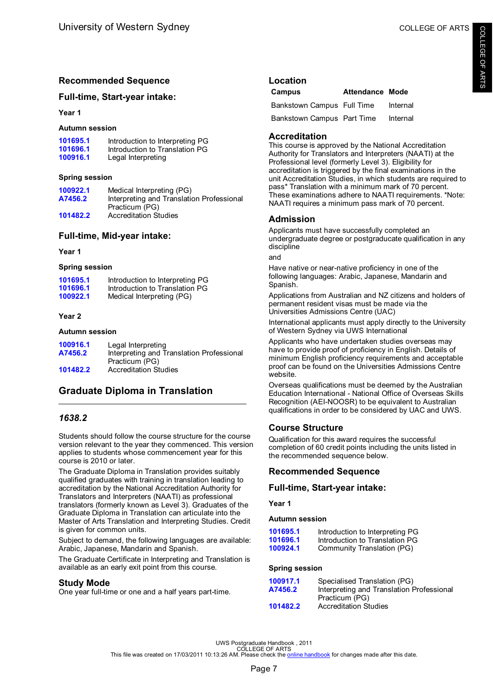# <span id="page-10-0"></span>**Recommended Sequence**

# **Full-time, Start-year intake:**

# **Year 1**

# **Autumn session**

| 101695.1 | Introduction to Interpreting PG |
|----------|---------------------------------|
| 101696.1 | Introduction to Translation PG  |
| 100916.1 | Legal Interpreting              |

# **Spring session**

| 100922.1 | Medical Interpreting (PG)                 |
|----------|-------------------------------------------|
| A7456.2  | Interpreting and Translation Professional |
|          | Practicum (PG)                            |
| 101482.2 | <b>Accreditation Studies</b>              |

# **Full-time, Mid-year intake:**

### **Year 1**

### **Spring session**

| 101695.1 | Introduction to Interpreting PG |
|----------|---------------------------------|
| 101696.1 | Introduction to Translation PG  |
| 100922.1 | Medical Interpreting (PG)       |

# **Year 2**

### **Autumn session**

| 100916.1 | Legal Interpreting                        |
|----------|-------------------------------------------|
| A7456.2  | Interpreting and Translation Professional |
|          | Practicum (PG)                            |
| 101482.2 | <b>Accreditation Studies</b>              |

# **Graduate Diploma in Translation**

# *1638.2*

Students should follow the course structure for the course version relevant to the year they commenced. This version applies to students whose commencement year for this course is 2010 or later.

The Graduate Diploma in Translation provides suitably qualified graduates with training in translation leading to accreditation by the National Accreditation Authority for Translators and Interpreters (NAATI) as professional translators (formerly known as Level 3). Graduates of the Graduate Diploma in Translation can articulate into the Master of Arts Translation and Interpreting Studies. Credit is given for common units.

Subject to demand, the following languages are available: Arabic, Japanese, Mandarin and Spanish.

The Graduate Certificate in Interpreting and Translation is available as an early exit point from this course.

# **Study Mode**

One year full-time or one and a half years part-time.

# **Location**

| Campus                     | <b>Attendance Mode</b> |          |
|----------------------------|------------------------|----------|
| Bankstown Campus Full Time |                        | Internal |
| Bankstown Campus Part Time |                        | Internal |

# **Accreditation**

This course is approved by the National Accreditation Authority for Translators and Interpreters (NAATI) at the Professional level (formerly Level 3). Eligibility for accreditation is triggered by the final examinations in the unit Accreditation Studies, in which students are required to pass\* Translation with a minimum mark of 70 percent. These examinations adhere to NAATI requirements. \*Note: NAATI requires a minimum pass mark of 70 percent.

# **Admission**

Applicants must have successfully completed an undergraduate degree or postgraducate qualification in any discipline

and

Have native or near-native proficiency in one of the following languages: Arabic, Japanese, Mandarin and Spanish.

Applications from Australian and NZ citizens and holders of permanent resident visas must be made via the Universities Admissions Centre (UAC)

International applicants must apply directly to the University of Western Sydney via UWS International

Applicants who have undertaken studies overseas may have to provide proof of proficiency in English. Details of minimum English proficiency requirements and acceptable proof can be found on the Universities Admissions Centre website.

Overseas qualifications must be deemed by the Australian Education International - National Office of Overseas Skills Recognition (AEI-NOOSR) to be equivalent to Australian qualifications in order to be considered by UAC and UWS.

# **Course Structure**

Qualification for this award requires the successful completion of 60 credit points including the units listed in the recommended sequence below.

# **Recommended Sequence**

# **Full-time, Start-year intake:**

**Year 1**

**Autumn session**

| 101695.1 | Introduction to Interpreting PG |
|----------|---------------------------------|
| 101696.1 | Introduction to Translation PG  |
| 100924.1 | Community Translation (PG)      |

### **Spring session**

| 100917.1 | Specialised Translation (PG)                                |
|----------|-------------------------------------------------------------|
| A7456.2  | Interpreting and Translation Professional<br>Practicum (PG) |
| 101482.2 | <b>Accreditation Studies</b>                                |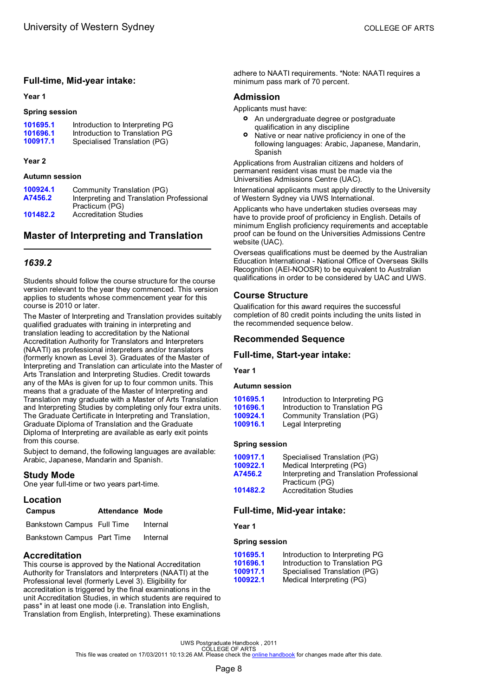# <span id="page-11-0"></span>**Full-time, Mid-year intake:**

#### **Year 1**

#### **Spring session**

| 101695.1 | Introduction to Interpreting PG |
|----------|---------------------------------|
| 101696.1 | Introduction to Translation PG  |
| 100917.1 | Specialised Translation (PG)    |

#### **Year 2**

#### **Autumn session**

| 100924.1<br>A7456.2 | Community Translation (PG)<br>Interpreting and Translation Professional |
|---------------------|-------------------------------------------------------------------------|
|                     | Practicum (PG)                                                          |
| 101482.2            | <b>Accreditation Studies</b>                                            |

# **Master of Interpreting and Translation**

# *1639.2*

Students should follow the course structure for the course version relevant to the year they commenced. This version applies to students whose commencement year for this course is 2010 or later.

The Master of Interpreting and Translation provides suitably qualified graduates with training in interpreting and translation leading to accreditation by the National Accreditation Authority for Translators and Interpreters (NAATI) as professional interpreters and/or translators (formerly known as Level 3). Graduates of the Master of Interpreting and Translation can articulate into the Master of Arts Translation and Interpreting Studies. Credit towards any of the MAs is given for up to four common units. This means that a graduate of the Master of Interpreting and Translation may graduate with a Master of Arts Translation and Interpreting Studies by completing only four extra units. The Graduate Certificate in Interpreting and Translation, Graduate Diploma of Translation and the Graduate Diploma of Interpreting are available as early exit points from this course.

Subject to demand, the following languages are available: Arabic, Japanese, Mandarin and Spanish.

# **Study Mode**

One year full-time or two years part-time.

# **Location**

| <b>Campus</b>              | <b>Attendance Mode</b> |          |
|----------------------------|------------------------|----------|
| Bankstown Campus Full Time |                        | Internal |
| Bankstown Campus Part Time |                        | Internal |

# **Accreditation**

This course is approved by the National Accreditation Authority for Translators and Interpreters (NAATI) at the Professional level (formerly Level 3). Eligibility for accreditation is triggered by the final examinations in the unit Accreditation Studies, in which students are required to pass\* in at least one mode (i.e. Translation into English, Translation from English, Interpreting). These examinations

adhere to NAATI requirements. \*Note: NAATI requires a minimum pass mark of 70 percent.

# **Admission**

Applicants must have:

- **•** An undergraduate degree or postgraduate<br>
qualification in any discipline qualification in any discipline
- **°** Native or near native proficiency in one of the following languages: Arabic, Japanese, Mandarin, Spanish

Applications from Australian citizens and holders of permanent resident visas must be made via the Universities Admissions Centre (UAC).

International applicants must apply directly to the University of Western Sydney via UWS International.

Applicants who have undertaken studies overseas may have to provide proof of proficiency in English. Details of minimum English proficiency requirements and acceptable proof can be found on the Universities Admissions Centre website (UAC).

Overseas qualifications must be deemed by the Australian Education International - National Office of Overseas Skills Recognition (AEI-NOOSR) to be equivalent to Australian qualifications in order to be considered by UAC and UWS.

# **Course Structure**

Qualification for this award requires the successful completion of 80 credit points including the units listed in the recommended sequence below.

# **Recommended Sequence**

# **Full-time, Start-year intake:**

### **Year 1**

### **Autumn session**

| 101695.1 | Introduction to Interpreting PG |
|----------|---------------------------------|
| 101696.1 | Introduction to Translation PG  |
| 100924.1 | Community Translation (PG)      |
| 100916.1 | Legal Interpreting              |

### **Spring session**

| 100917.1 | Specialised Translation (PG)              |
|----------|-------------------------------------------|
| 100922.1 | Medical Interpreting (PG)                 |
| A7456.2  | Interpreting and Translation Professional |
|          | Practicum (PG)                            |
| 101482.2 | <b>Accreditation Studies</b>              |

# **Full-time, Mid-year intake:**

**Year 1**

### **Spring session**

| 101695.1 | Introduction to Interpreting PG |
|----------|---------------------------------|
| 101696.1 | Introduction to Translation PG  |
| 100917.1 | Specialised Translation (PG)    |
| 100922.1 | Medical Interpreting (PG)       |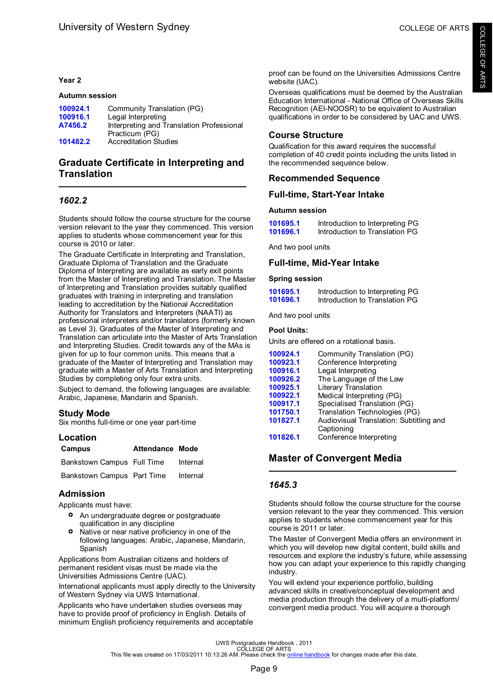# <span id="page-12-0"></span>**Year 2**

#### **Autumn session**

| 100924.1 | Community Translation (PG)                     |
|----------|------------------------------------------------|
| 100916.1 | Legal Interpreting                             |
| A7456.2  | Interpreting and Translation Professional      |
| 101482.2 | Practicum (PG)<br><b>Accreditation Studies</b> |

# **Graduate Certificate in Interpreting and Translation**

# *1602.2*

Students should follow the course structure for the course version relevant to the year they commenced. This version applies to students whose commencement year for this course is 2010 or later.

The Graduate Certificate in Interpreting and Translation, Graduate Diploma of Translation and the Graduate Diploma of Interpreting are available as early exit points from the Master of Interpreting and Translation. The Master of Interpreting and Translation provides suitably qualified graduates with training in interpreting and translation leading to accreditation by the National Accreditation Authority for Translators and Interpreters (NAATI) as professional interpreters and/or translators (formerly known as Level 3). Graduates of the Master of Interpreting and Translation can articulate into the Master of Arts Translation and Interpreting Studies. Credit towards any of the MAs is given for up to four common units. This means that a graduate of the Master of Interpreting and Translation may graduate with a Master of Arts Translation and Interpreting Studies by completing only four extra units.

Subject to demand, the following languages are available: Arabic, Japanese, Mandarin and Spanish.

# **Study Mode**

Six months full-time or one year part-time

# **Location**

| Campus                     | <b>Attendance Mode</b> |          |
|----------------------------|------------------------|----------|
| Bankstown Campus Full Time |                        | Internal |
| Bankstown Campus Part Time |                        | Internal |

# **Admission**

Applicants must have:

- **•** An undergraduate degree or postgraduate<br>
qualification in any discipline qualification in any discipline
- **°** Native or near native proficiency in one of the following languages: Arabic, Japanese, Mandarin, Spanish

Applications from Australian citizens and holders of permanent resident visas must be made via the Universities Admissions Centre (UAC).

International applicants must apply directly to the University of Western Sydney via UWS International.

Applicants who have undertaken studies overseas may have to provide proof of proficiency in English. Details of minimum English proficiency requirements and acceptable

proof can be found on the Universities Admissions Centre website (UAC).

Overseas qualifications must be deemed by the Australian Education International - National Office of Overseas Skills Recognition (AEI-NOOSR) to be equivalent to Australian qualifications in order to be considered by UAC and UWS.

# **Course Structure**

Qualification for this award requires the successful completion of 40 credit points including the units listed in the recommended sequence below.

# **Recommended Sequence**

# **Full-time, Start-Year Intake**

### **Autumn session**

| 101695.1 | Introduction to Interpreting PG |  |
|----------|---------------------------------|--|
| 101696.1 | Introduction to Translation PG  |  |

And two pool units

### **Full-time, Mid-Year Intake**

#### **Spring session**

| 101695.1 | Introduction to Interpreting PG |  |
|----------|---------------------------------|--|
| 101696.1 | Introduction to Translation PG  |  |

And two pool units

#### **Pool Units:**

Units are offered on a rotational basis.

| Translation Technologies (PG)           |
|-----------------------------------------|
| Audiovisual Translation: Subtitling and |
|                                         |
|                                         |
|                                         |

# **Master of Convergent Media**

# *1645.3*

Students should follow the course structure for the course version relevant to the year they commenced. This version applies to students whose commencement year for this course is 2011 or later.

The Master of Convergent Media offers an environment in which you will develop new digital content, build skills and resources and explore the industry's future, while assessing how you can adapt your experience to this rapidly changing industry.

You will extend your experience portfolio, building advanced skills in creative/conceptual development and media production through the delivery of a multi-platform/ convergent media product. You will acquire a thorough

UWS Postgraduate Handbook , 2011 COLLEGE OF ARTS

This file was created on 17/03/2011 10:13:26 AM. Please check the online [handbook](http://handbook.uws.edu.au/hbook/) for changes made after this date.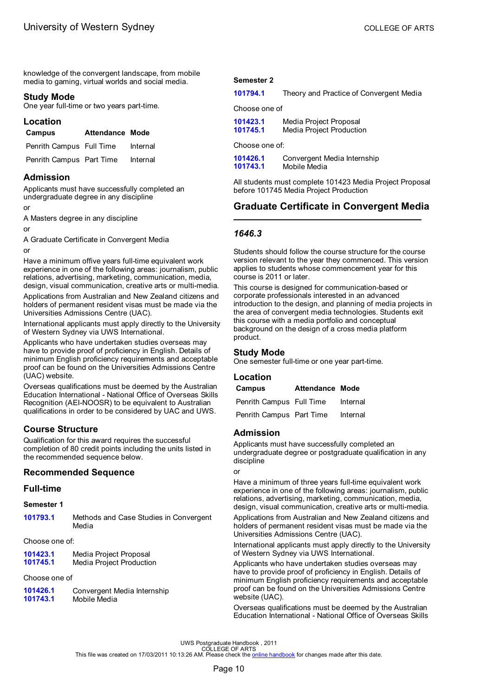<span id="page-13-0"></span>knowledge of the convergent landscape, from mobile media to gaming, virtual worlds and social media.

# **Study Mode**

One year full-time or two years part-time.

### **Location**

| Campus                   | Attendance Mode |          |
|--------------------------|-----------------|----------|
| Penrith Campus Full Time |                 | Internal |
| Penrith Campus Part Time |                 | Internal |

# **Admission**

Applicants must have successfully completed an undergraduate degree in any discipline

### or

A Masters degree in any discipline

or

A Graduate Certificate in Convergent Media or

Have a minimum offive years full-time equivalent work experience in one of the following areas: journalism, public relations, advertising, marketing, communication, media, design, visual communication, creative arts or multi-media.

Applications from Australian and New Zealand citizens and holders of permanent resident visas must be made via the Universities Admissions Centre (UAC).

International applicants must apply directly to the University of Western Sydney via UWS International.

Applicants who have undertaken studies overseas may have to provide proof of proficiency in English. Details of minimum English proficiency requirements and acceptable proof can be found on the Universities Admissions Centre (UAC) website.

Overseas qualifications must be deemed by the Australian Education International - National Office of Overseas Skills Recognition (AEI-NOOSR) to be equivalent to Australian qualifications in order to be considered by UAC and UWS.

# **Course Structure**

Qualification for this award requires the successful completion of 80 credit points including the units listed in the recommended sequence below.

# **Recommended Sequence**

# **Full-time**

**Semester 1**

| 101793.1 | Methods and Case Studies in Convergent<br>Media |
|----------|-------------------------------------------------|
|          |                                                 |

Choose one of:

| 101423.1 | Media Project Proposal   |
|----------|--------------------------|
| 101745.1 | Media Project Production |

#### Choose one of

| 101426.1 | Convergent Media Internship |
|----------|-----------------------------|
| 101743.1 | Mobile Media                |

### **Semester 2**

| 101794.1 | Theory and Practice of Convergent Media |  |
|----------|-----------------------------------------|--|
|----------|-----------------------------------------|--|

#### Choose one of

| 101423.1 | Media Project Proposal   |
|----------|--------------------------|
| 101745.1 | Media Project Production |

Choose one of:

| 101426.1 | Convergent Media Internship |
|----------|-----------------------------|
| 101743.1 | Mobile Media                |

All students must complete 101423 Media Project Proposal before 101745 Media Project Production

# **Graduate Certificate in Convergent Media**

# *1646.3*

Students should follow the course structure for the course version relevant to the year they commenced. This version applies to students whose commencement year for this course is 2011 or later.

This course is designed for communication-based or corporate professionals interested in an advanced introduction to the design, and planning of media projects in the area of convergent media technologies. Students exit this course with a media portfolio and conceptual background on the design of a cross media platform product.

### **Study Mode**

One semester full-time or one year part-time.

### **Location**

| Campus                   | Attendance Mode |          |  |
|--------------------------|-----------------|----------|--|
| Penrith Campus Full Time |                 | Internal |  |
| Penrith Campus Part Time |                 | Internal |  |

### **Admission**

Applicants must have successfully completed an undergraduate degree or postgraduate qualification in any discipline

or

Have a minimum of three years full-time equivalent work experience in one of the following areas: journalism, public relations, advertising, marketing, communication, media, design, visual communication, creative arts or multi-media.

Applications from Australian and New Zealand citizens and holders of permanent resident visas must be made via the Universities Admissions Centre (UAC).

International applicants must apply directly to the University of Western Sydney via UWS International.

Applicants who have undertaken studies overseas may have to provide proof of proficiency in English. Details of minimum English proficiency requirements and acceptable proof can be found on the Universities Admissions Centre website (UAC).

Overseas qualifications must be deemed by the Australian Education International - National Office of Overseas Skills

UWS Postgraduate Handbook , 2011 COLLEGE OF ARTS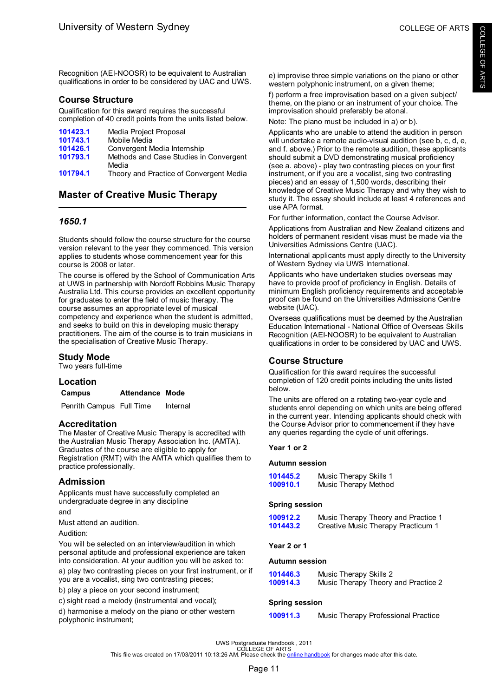<span id="page-14-0"></span>Recognition (AEI-NOOSR) to be equivalent to Australian qualifications in order to be considered by UAC and UWS.

# **Course Structure**

Qualification for this award requires the successful completion of 40 credit points from the units listed below.

| 101423.1 | Media Project Proposal                          |
|----------|-------------------------------------------------|
| 101743.1 | Mobile Media                                    |
| 101426.1 | Convergent Media Internship                     |
| 101793.1 | Methods and Case Studies in Convergent<br>Media |
| 101794.1 | Theory and Practice of Convergent Media         |

# **Master of Creative Music Therapy**

# *1650.1*

Students should follow the course structure for the course version relevant to the year they commenced. This version applies to students whose commencement year for this course is 2008 or later.

The course is offered by the School of Communication Arts at UWS in partnership with Nordoff Robbins Music Therapy Australia Ltd. This course provides an excellent opportunity for graduates to enter the field of music therapy. The course assumes an appropriate level of musical competency and experience when the student is admitted, and seeks to build on this in developing music therapy practitioners. The aim of the course is to train musicians in the specialisation of Creative Music Therapy.

# **Study Mode**

Two years full-time

### **Location**

#### **Campus Attendance Mode**

Penrith Campus Full Time Internal

# **Accreditation**

The Master of Creative Music Therapy is accredited with the Australian Music Therapy Association Inc. (AMTA). Graduates of the course are eligible to apply for Registration (RMT) with the AMTA which qualifies them to practice professionally.

# **Admission**

Applicants must have successfully completed an undergraduate degree in any discipline

and

Must attend an audition.

Audition:

You will be selected on an interview/audition in which personal aptitude and professional experience are taken into consideration. At your audition you will be asked to:

a) play two contrasting pieces on your first instrument, or if you are a vocalist, sing two contrasting pieces;

b) play a piece on your second instrument;

c) sight read a melody (instrumental and vocal);

d) harmonise a melody on the piano or other western polyphonic instrument;

e) improvise three simple variations on the piano or other western polyphonic instrument, on a given theme;

f) perform a free improvisation based on a given subject/ theme, on the piano or an instrument of your choice. The improvisation should preferably be atonal.

Note: The piano must be included in a) or b).

Applicants who are unable to attend the audition in person will undertake a remote audio-visual audition (see b, c, d, e, and f. above.) Prior to the remote audition, these applicants should submit a DVD demonstrating musical proficiency (see a. above) - play two contrasting pieces on your first instrument, or if you are a vocalist, sing two contrasting pieces) and an essay of 1,500 words, describing their knowledge of Creative Music Therapy and why they wish to study it. The essay should include at least 4 references and use APA format.

For further information, contact the Course Advisor.

Applications from Australian and New Zealand citizens and holders of permanent resident visas must be made via the Universities Admissions Centre (UAC).

International applicants must apply directly to the University of Western Sydney via UWS International.

Applicants who have undertaken studies overseas may have to provide proof of proficiency in English. Details of minimum English proficiency requirements and acceptable proof can be found on the Universities Admissions Centre website (UAC).

Overseas qualifications must be deemed by the Australian Education International - National Office of Overseas Skills Recognition (AEI-NOOSR) to be equivalent to Australian qualifications in order to be considered by UAC and UWS.

# **Course Structure**

Qualification for this award requires the successful completion of 120 credit points including the units listed below.

The units are offered on a rotating two-year cycle and students enrol depending on which units are being offered in the current year. Intending applicants should check with the Course Advisor prior to commencement if they have any queries regarding the cycle of unit offerings.

### **Year 1 or 2**

#### **Autumn session**

| 101445.2 | Music Therapy Skills 1 |
|----------|------------------------|
| 100910.1 | Music Therapy Method   |

#### **Spring session**

| 100912.2 | Music Therapy Theory and Practice 1 |
|----------|-------------------------------------|
| 101443.2 | Creative Music Therapy Practicum 1  |

### **Year 2 or 1**

#### **Autumn session**

| 101446.3 | Music Therapy Skills 2              |
|----------|-------------------------------------|
| 100914.3 | Music Therapy Theory and Practice 2 |

### **Spring session**

**[100911.3](#page-58-0)** Music Therapy Professional Practice

UWS Postgraduate Handbook , 2011 COLLEGE OF ARTS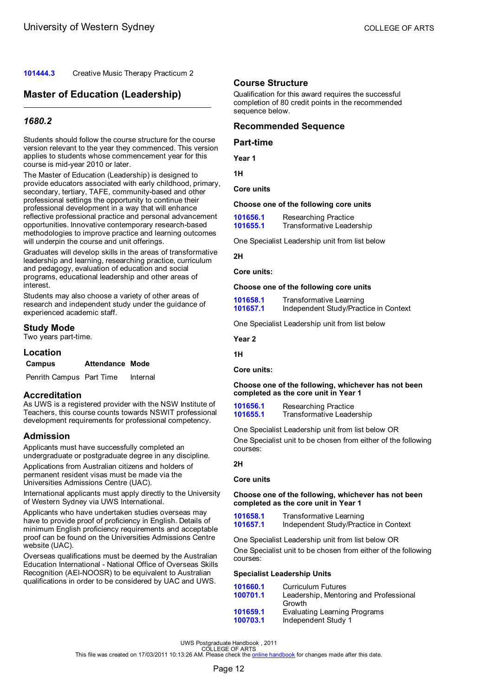<span id="page-15-0"></span>**[101444.3](#page-46-0)** Creative Music Therapy Practicum 2

# **Master of Education (Leadership)**

# *1680.2*

Students should follow the course structure for the course version relevant to the year they commenced. This version applies to students whose commencement year for this course is mid-year 2010 or later.

The Master of Education (Leadership) is designed to provide educators associated with early childhood, primary, secondary, tertiary, TAFE, community-based and other professional settings the opportunity to continue their professional development in a way that will enhance reflective professional practice and personal advancement opportunities. Innovative contemporary research-based methodologies to improve practice and learning outcomes will underpin the course and unit offerings.

Graduates will develop skills in the areas of transformative leadership and learning, researching practice, curriculum and pedagogy, evaluation of education and social programs, educational leadership and other areas of interest.

Students may also choose a variety of other areas of research and independent study under the guidance of experienced academic staff.

# **Study Mode**

Two years part-time.

#### **Location**

| Campus | <b>Attendance Mode</b> |  |
|--------|------------------------|--|
|        |                        |  |

Penrith Campus Part Time Internal

### **Accreditation**

As UWS is a registered provider with the NSW Institute of Teachers, this course counts towards NSWIT professional development requirements for professional competency.

# **Admission**

Applicants must have successfully completed an undergraduate or postgraduate degree in any discipline.

Applications from Australian citizens and holders of permanent resident visas must be made via the Universities Admissions Centre (UAC).

International applicants must apply directly to the University of Western Sydney via UWS International.

Applicants who have undertaken studies overseas may have to provide proof of proficiency in English. Details of minimum English proficiency requirements and acceptable proof can be found on the Universities Admissions Centre website (UAC).

Overseas qualifications must be deemed by the Australian Education International - National Office of Overseas Skills Recognition (AEI-NOOSR) to be equivalent to Australian qualifications in order to be considered by UAC and UWS.

### **Course Structure**

Qualification for this award requires the successful completion of 80 credit points in the recommended sequence below.

### **Recommended Sequence**

#### **Part-time**

**Year 1**

**1H**

**Core units**

#### **Choose one of the following core units**

| 101656.1 | Researching Practice      |
|----------|---------------------------|
| 101655.1 | Transformative Leadership |

One Specialist Leadership unit from list below

#### **2H**

#### **Core units:**

#### **Choose one of the following core units**

| 101658.1 | Transformative Learning               |
|----------|---------------------------------------|
| 101657.1 | Independent Study/Practice in Context |

One Specialist Leadership unit from list below

**Year 2**

**1H**

**Core units:**

#### **Choose one of the following, whichever has not been completed as the core unit in Year 1**

[101656.1](#page-67-0) Researching Practice<br>101655.1 Transformative Leade **[101655.1](#page-71-0)** Transformative Leadership

One Specialist Leadership unit from list below OR One Specialist unit to be chosen from either of the following courses:

 $2H$ 

#### **Core units**

#### **Choose one of the following, whichever has not been completed as the core unit in Year 1**

- [101658.1](#page-71-0) Transformative Learning<br>101657.1 Independent Study/Pract **[101657.1](#page-52-0)** Independent Study/Practice in Context
	-

One Specialist Leadership unit from list below OR One Specialist unit to be chosen from either of the following courses:

#### **Specialist Leadership Units**

| 101660.1 | <b>Curriculum Futures</b>              |
|----------|----------------------------------------|
| 100701.1 | Leadership, Mentoring and Professional |
|          | Growth                                 |
| 101659.1 | Evaluating Learning Programs           |
| 100703.1 | Independent Study 1                    |
|          |                                        |

UWS Postgraduate Handbook , 2011 COLLEGE OF ARTS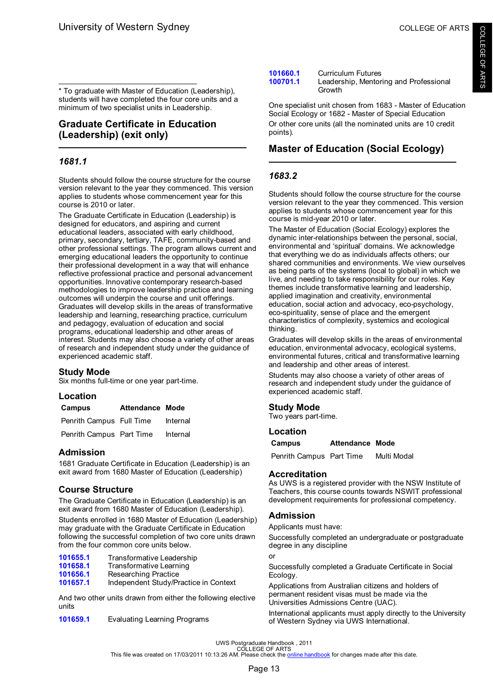<span id="page-16-0"></span> $\overline{\phantom{a}}$  , where  $\overline{\phantom{a}}$  , where  $\overline{\phantom{a}}$  , where  $\overline{\phantom{a}}$ 

\* To graduate with Master of Education (Leadership), students will have completed the four core units and a minimum of two specialist units in Leadership.

# **Graduate Certificate in Education (Leadership) (exit only)**

# *1681.1*

Students should follow the course structure for the course version relevant to the year they commenced. This version applies to students whose commencement year for this course is 2010 or later.

The Graduate Certificate in Education (Leadership) is designed for educators, and aspiring and current educational leaders, associated with early childhood, primary, secondary, tertiary, TAFE, community-based and other professional settings. The program allows current and emerging educational leaders the opportunity to continue their professional development in a way that will enhance reflective professional practice and personal advancement opportunities. Innovative contemporary research-based methodologies to improve leadership practice and learning outcomes will underpin the course and unit offerings. Graduates will develop skills in the areas of transformative leadership and learning, researching practice, curriculum and pedagogy, evaluation of education and social programs, educational leadership and other areas of interest. Students may also choose a variety of other areas of research and independent study under the guidance of experienced academic staff.

# **Study Mode**

Six months full-time or one year part-time.

### **Location**

| Campus                   | <b>Attendance Mode</b> |          |  |
|--------------------------|------------------------|----------|--|
| Penrith Campus Full Time |                        | Internal |  |
| Penrith Campus Part Time |                        | Internal |  |

# **Admission**

1681 Graduate Certificate in Education (Leadership) is an exit award from 1680 Master of Education (Leadership)

# **Course Structure**

The Graduate Certificate in Education (Leadership) is an exit award from 1680 Master of Education (Leadership).

Students enrolled in 1680 Master of Education (Leadership) may graduate with the Graduate Certificate in Education following the successful completion of two core units drawn from the four common core units below.

| 101655.1 |  |  | Transformative Leadership |
|----------|--|--|---------------------------|
|          |  |  |                           |

- **[101658.1](#page-71-0)** Transformative Learning
- **[101656.1](#page-67-0)** Researching Practice
- **[101657.1](#page-52-0)** Independent Study/Practice in Context

And two other units drawn from either the following elective units

**[101659.1](#page-50-0)** Evaluating Learning Programs

[101660.1](#page-47-0) Curriculum Futures<br>100701.1 Leadership, Mentor Leadership, Mentoring and Professional Growth

One specialist unit chosen from 1683 - Master of Education Social Ecology or 1682 - Master of Special Education Or other core units (all the nominated units are 10 credit points).

# **Master of Education (Social Ecology)**

# *1683.2*

Students should follow the course structure for the course version relevant to the year they commenced. This version applies to students whose commencement year for this course is mid-year 2010 or later.

The Master of Education (Social Ecology) explores the dynamic inter-relationships between the personal, social, environmental and 'spiritual' domains. We acknowledge that everything we do as individuals affects others; our shared communities and environments. We view ourselves as being parts of the systems (local to global) in which we live, and needing to take responsibility for our roles. Key themes include transformative learning and leadership, applied imagination and creativity, environmental education, social action and advocacy, eco-psychology, eco-spirituality, sense of place and the emergent characteristics of complexity, systemics and ecological thinking.

Graduates will develop skills in the areas of environmental education, environmental advocacy, ecological systems, environmental futures, critical and transformative learning and leadership and other areas of interest.

Students may also choose a variety of other areas of research and independent study under the guidance of experienced academic staff.

# **Study Mode**

Two years part-time.

### **Location**

| Campus | Attendance Mode |  |
|--------|-----------------|--|
|        |                 |  |

Penrith Campus Part Time Multi Modal

# **Accreditation**

As UWS is a registered provider with the NSW Institute of Teachers, this course counts towards NSWIT professional development requirements for professional competency.

# **Admission**

Applicants must have:

Successfully completed an undergraduate or postgraduate degree in any discipline

or

Successfully completed a Graduate Certificate in Social Ecology.

Applications from Australian citizens and holders of permanent resident visas must be made via the Universities Admissions Centre (UAC).

International applicants must apply directly to the University of Western Sydney via UWS International.

UWS Postgraduate Handbook , 2011 COLLEGE OF ARTS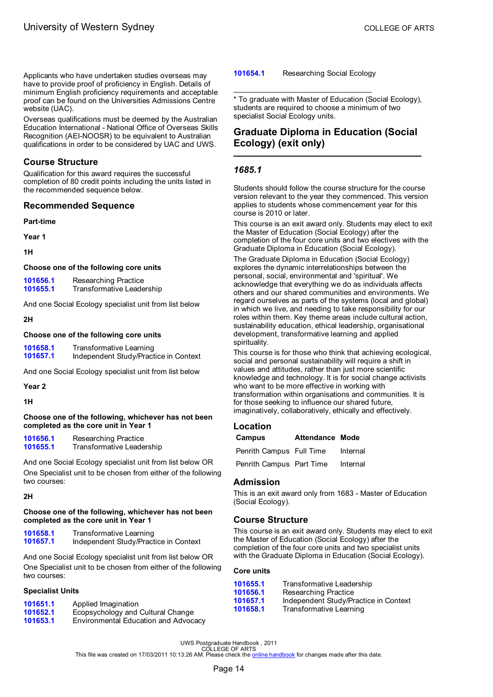<span id="page-17-0"></span>Applicants who have undertaken studies overseas may have to provide proof of proficiency in English. Details of minimum English proficiency requirements and acceptable proof can be found on the Universities Admissions Centre website (UAC).

Overseas qualifications must be deemed by the Australian Education International - National Office of Overseas Skills Recognition (AEI-NOOSR) to be equivalent to Australian qualifications in order to be considered by UAC and UWS.

# **Course Structure**

Qualification for this award requires the successful completion of 80 credit points including the units listed in the recommended sequence below.

# **Recommended Sequence**

#### **Part-time**

**Year 1**

**1H**

#### **Choose one of the following core units**

| 101656.1 | Researching Practice      |
|----------|---------------------------|
| 101655.1 | Transformative Leadership |

And one Social Ecology specialist unit from list below

#### **2H**

#### **Choose one of the following core units**

| 101658.1 | Transformative Learning               |
|----------|---------------------------------------|
| 101657.1 | Independent Study/Practice in Context |

And one Social Ecology specialist unit from list below

#### **Year 2**

**1H**

#### **Choose one of the following, whichever has not been completed as the core unit in Year 1**

| 101656.1 | Researching Practice      |
|----------|---------------------------|
| 101655.1 | Transformative Leadership |

And one Social Ecology specialist unit from list below OR One Specialist unit to be chosen from either of the following two courses:

#### **2H**

#### **Choose one of the following, whichever has not been completed as the core unit in Year 1**

| 101658.1 | Transformative Learning               |
|----------|---------------------------------------|
| 101657.1 | Independent Study/Practice in Context |

And one Social Ecology specialist unit from list below OR One Specialist unit to be chosen from either of the following two courses:

#### **Specialist Units**

| 101651.1 | Applied Imagination                  |
|----------|--------------------------------------|
| 101652.1 | Ecopsychology and Cultural Change    |
| 101653.1 | Environmental Education and Advocacy |

# **[101654.1](#page-67-0)** Researching Social Ecology

\_\_\_\_\_\_\_\_\_\_\_\_\_\_\_\_\_\_\_\_\_\_\_\_\_\_\_\_\_\_\_\_\_

\* To graduate with Master of Education (Social Ecology), students are required to choose a minimum of two specialist Social Ecology units.

# **Graduate Diploma in Education (Social Ecology) (exit only)**

### *1685.1*

Students should follow the course structure for the course version relevant to the year they commenced. This version applies to students whose commencement year for this course is 2010 or later.

This course is an exit award only. Students may elect to exit the Master of Education (Social Ecology) after the completion of the four core units and two electives with the Graduate Diploma in Education (Social Ecology).

The Graduate Diploma in Education (Social Ecology) explores the dynamic interrelationships between the personal, social, environmental and 'spiritual'. We acknowledge that everything we do as individuals affects others and our shared communities and environments. We regard ourselves as parts of the systems (local and global) in which we live, and needing to take responsibility for our roles within them. Key theme areas include cultural action, sustainability education, ethical leadership, organisational development, transformative learning and applied spirituality.

This course is for those who think that achieving ecological, social and personal sustainability will require a shift in values and attitudes, rather than just more scientific knowledge and technology. It is for social change activists who want to be more effective in working with transformation within organisations and communities. It is for those seeking to influence our shared future, imaginatively, collaboratively, ethically and effectively.

### **Location**

| Campus                   | <b>Attendance Mode</b> |          |
|--------------------------|------------------------|----------|
| Penrith Campus Full Time |                        | Internal |
| Penrith Campus Part Time |                        | Internal |

# **Admission**

This is an exit award only from 1683 - Master of Education (Social Ecology).

### **Course Structure**

This course is an exit award only. Students may elect to exit the Master of Education (Social Ecology) after the completion of the four core units and two specialist units with the Graduate Diploma in Education (Social Ecology).

#### **Core units**

| 101655.1 | Transformative Leadership             |
|----------|---------------------------------------|
| 101656.1 | Researching Practice                  |
| 101657.1 | Independent Study/Practice in Context |
| 101658.1 | Transformative Learning               |
|          |                                       |

UWS Postgraduate Handbook , 2011 COLLEGE OF ARTS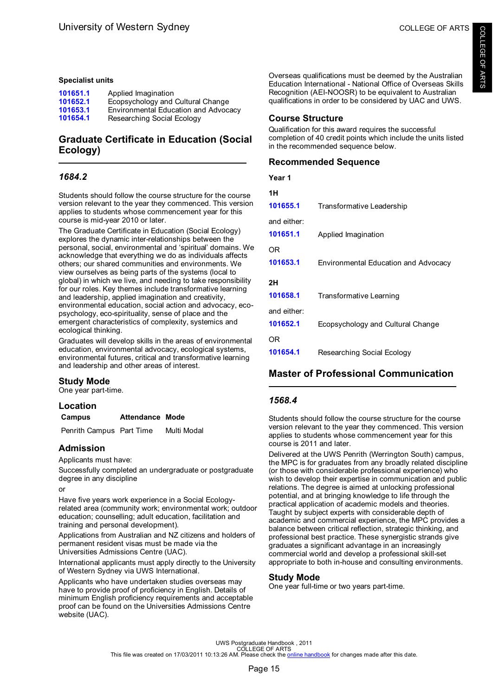### <span id="page-18-0"></span>**Specialist units**

| 101651.1 | Applied Imagination                  |
|----------|--------------------------------------|
| 101652.1 | Ecopsychology and Cultural Change    |
| 101653.1 | Environmental Education and Advocacy |
| 101654.1 | Researching Social Ecology           |

# **Graduate Certificate in Education (Social Ecology)**

# *1684.2*

Students should follow the course structure for the course version relevant to the year they commenced. This version applies to students whose commencement year for this course is mid-year 2010 or later.

The Graduate Certificate in Education (Social Ecology) explores the dynamic inter-relationships between the personal, social, environmental and 'spiritual' domains. We acknowledge that everything we do as individuals affects others; our shared communities and environments. We view ourselves as being parts of the systems (local to global) in which we live, and needing to take responsibility for our roles. Key themes include transformative learning and leadership, applied imagination and creativity, environmental education, social action and advocacy, ecopsychology, eco-spirituality, sense of place and the emergent characteristics of complexity, systemics and ecological thinking.

Graduates will develop skills in the areas of environmental education, environmental advocacy, ecological systems, environmental futures, critical and transformative learning and leadership and other areas of interest.

# **Study Mode**

One year part-time.

# **Location**

**Campus Attendance Mode**

Penrith Campus Part Time Multi Modal

# **Admission**

Applicants must have:

Successfully completed an undergraduate or postgraduate degree in any discipline

or

Have five years work experience in a Social Ecologyrelated area (community work; environmental work; outdoor education; counselling; adult education, facilitation and training and personal development).

Applications from Australian and NZ citizens and holders of permanent resident visas must be made via the Universities Admissions Centre (UAC).

International applicants must apply directly to the University of Western Sydney via UWS International.

Applicants who have undertaken studies overseas may have to provide proof of proficiency in English. Details of minimum English proficiency requirements and acceptable proof can be found on the Universities Admissions Centre website (UAC).

Overseas qualifications must be deemed by the Australian Education International - National Office of Overseas Skills Recognition (AEI-NOOSR) to be equivalent to Australian qualifications in order to be considered by UAC and UWS.

### **Course Structure**

Qualification for this award requires the successful completion of 40 credit points which include the units listed in the recommended sequence below.

# **Recommended Sequence**

| Year 1      |                                      |
|-------------|--------------------------------------|
| 1H          |                                      |
| 101655.1    | Transformative Leadership            |
| and either: |                                      |
| 101651.1    | Applied Imagination                  |
| 0R          |                                      |
| 101653.1    | Environmental Education and Advocacy |
| 2H          |                                      |
| 101658.1    | Transformative Learning              |
| and either: |                                      |
| 101652.1    | Ecopsychology and Cultural Change    |
| 0R          |                                      |
| 101654.1    | Researching Social Ecology           |

# **Master of Professional Communication**

# *1568.4*

Students should follow the course structure for the course version relevant to the year they commenced. This version applies to students whose commencement year for this course is 2011 and later.

Delivered at the UWS Penrith (Werrington South) campus, the MPC is for graduates from any broadly related discipline (or those with considerable professional experience) who wish to develop their expertise in communication and public relations. The degree is aimed at unlocking professional potential, and at bringing knowledge to life through the practical application of academic models and theories. Taught by subject experts with considerable depth of academic and commercial experience, the MPC provides a balance between critical reflection, strategic thinking, and professional best practice. These synergistic strands give graduates a significant advantage in an increasingly commercial world and develop a professional skill-set appropriate to both in-house and consulting environments.

# **Study Mode**

One year full-time or two years part-time.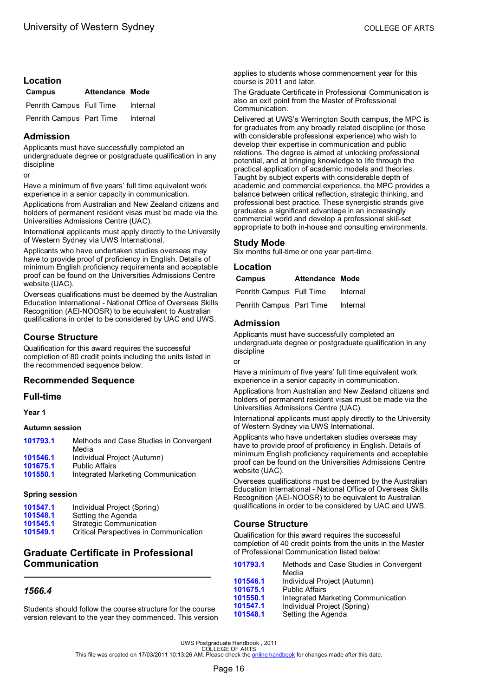# <span id="page-19-0"></span>**Location**

| Campus                   | Attendance Mode |          |
|--------------------------|-----------------|----------|
| Penrith Campus Full Time |                 | Internal |
| Penrith Campus Part Time |                 | Internal |

# **Admission**

Applicants must have successfully completed an undergraduate degree or postgraduate qualification in any discipline

or

Have a minimum of five years' full time equivalent work experience in a senior capacity in communication.

Applications from Australian and New Zealand citizens and holders of permanent resident visas must be made via the Universities Admissions Centre (UAC).

International applicants must apply directly to the University of Western Sydney via UWS International.

Applicants who have undertaken studies overseas may have to provide proof of proficiency in English. Details of minimum English proficiency requirements and acceptable proof can be found on the Universities Admissions Centre website (UAC).

Overseas qualifications must be deemed by the Australian Education International - National Office of Overseas Skills Recognition (AEI-NOOSR) to be equivalent to Australian qualifications in order to be considered by UAC and UWS.

# **Course Structure**

Qualification for this award requires the successful completion of 80 credit points including the units listed in the recommended sequence below.

# **Recommended Sequence**

# **Full-time**

**Year 1**

### **Autumn session**

| 101793.1 | Methods and Case Studies in Convergent<br>Media |
|----------|-------------------------------------------------|
| 101546.1 | Individual Project (Autumn)                     |
| 101675.1 | <b>Public Affairs</b>                           |
| 101550.1 | Integrated Marketing Communication              |

#### **Spring session**

| 101547.1 | Individual Project (Spring)            |
|----------|----------------------------------------|
| 101548.1 | Setting the Agenda                     |
| 101545.1 | Strategic Communication                |
| 101549.1 | Critical Perspectives in Communication |

# **Graduate Certificate in Professional Communication**

# *1566.4*

Students should follow the course structure for the course version relevant to the year they commenced. This version applies to students whose commencement year for this course is 2011 and later.

The Graduate Certificate in Professional Communication is also an exit point from the Master of Professional Communication.

Delivered at UWS's Werrington South campus, the MPC is for graduates from any broadly related discipline (or those with considerable professional experience) who wish to develop their expertise in communication and public relations. The degree is aimed at unlocking professional potential, and at bringing knowledge to life through the practical application of academic models and theories. Taught by subject experts with considerable depth of academic and commercial experience, the MPC provides a balance between critical reflection, strategic thinking, and professional best practice. These synergistic strands give graduates a significant advantage in an increasingly commercial world and develop a professional skill-set appropriate to both in-house and consulting environments.

# **Study Mode**

Six months full-time or one year part-time.

### **Location**

| Campus                   | Attendance Mode |          |
|--------------------------|-----------------|----------|
| Penrith Campus Full Time |                 | Internal |
| Penrith Campus Part Time |                 | Internal |

### **Admission**

Applicants must have successfully completed an undergraduate degree or postgraduate qualification in any discipline

or

Have a minimum of five years' full time equivalent work experience in a senior capacity in communication.

Applications from Australian and New Zealand citizens and holders of permanent resident visas must be made via the Universities Admissions Centre (UAC).

International applicants must apply directly to the University of Western Sydney via UWS International.

Applicants who have undertaken studies overseas may have to provide proof of proficiency in English. Details of minimum English proficiency requirements and acceptable proof can be found on the Universities Admissions Centre website (UAC).

Overseas qualifications must be deemed by the Australian Education International - National Office of Overseas Skills Recognition (AEI-NOOSR) to be equivalent to Australian qualifications in order to be considered by UAC and UWS.

# **Course Structure**

Qualification for this award requires the successful completion of 40 credit points from the units in the Master of Professional Communication listed below:

| 101793.1 | Methods and Case Studies in Convergent<br>Media |
|----------|-------------------------------------------------|
| 101546.1 | Individual Project (Autumn)                     |
| 101675.1 | <b>Public Affairs</b>                           |
| 101550.1 | Integrated Marketing Communication              |
| 101547.1 | Individual Project (Spring)                     |
| 101548.1 | Setting the Agenda                              |
|          |                                                 |

UWS Postgraduate Handbook , 2011 COLLEGE OF ARTS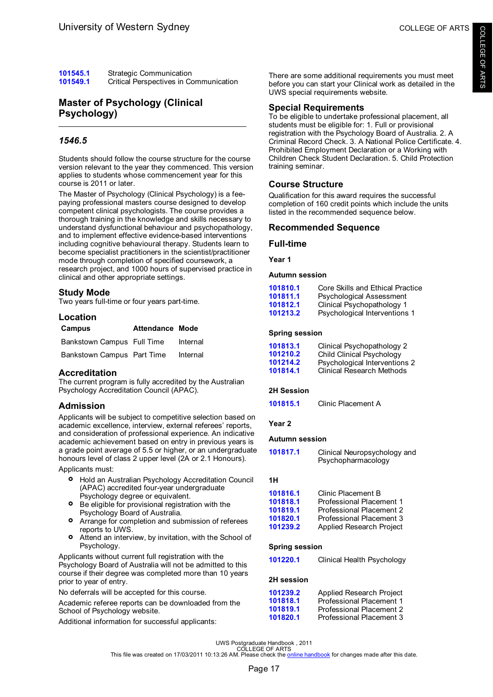<span id="page-20-0"></span>[101545.1](#page-69-0) Strategic Communication<br>101549.1 Critical Perspectives in Co **[101549.1](#page-46-0)** Critical Perspectives in Communication

# **Master of Psychology (Clinical Psychology)**

# *1546.5*

Students should follow the course structure for the course version relevant to the year they commenced. This version applies to students whose commencement year for this course is 2011 or later.

The Master of Psychology (Clinical Psychology) is a feepaying professional masters course designed to develop competent clinical psychologists. The course provides a thorough training in the knowledge and skills necessary to understand dysfunctional behaviour and psychopathology, and to implement effective evidence-based interventions including cognitive behavioural therapy. Students learn to become specialist practitioners in the scientist/practitioner mode through completion of specified coursework, a research project, and 1000 hours of supervised practice in clinical and other appropriate settings.

# **Study Mode**

Two years full-time or four years part-time.

| Location                   |                        |          |
|----------------------------|------------------------|----------|
| Campus                     | <b>Attendance Mode</b> |          |
| Bankstown Campus Full Time |                        | Internal |
| Bankstown Campus Part Time |                        | Internal |

# **Accreditation**

The current program is fully accredited by the Australian Psychology Accreditation Council (APAC).

# **Admission**

Applicants will be subject to competitive selection based on academic excellence, interview, external referees' reports, and consideration of professional experience. An indicative academic achievement based on entry in previous years is a grade point average of 5.5 or higher, or an undergraduate honours level of class 2 upper level (2A or 2.1 Honours).

Applicants must:

- **°** Hold an Australian Psychology Accreditation Council (APAC) accredited four-year undergraduate Psychology degree or equivalent.
- **°** Be eligible for provisional registration with the Psychology Board of Australia.
- **°** Arrange for completion and submission of referees reports to UWS.
- **°** Attend an interview, by invitation, with the School of Psychology.

Applicants without current full registration with the Psychology Board of Australia will not be admitted to this course if their degree was completed more than 10 years prior to year of entry.

No deferrals will be accepted for this course.

Academic referee reports can be downloaded from the School of Psychology website.

Additional information for successful applicants:

There are some additional requirements you must meet before you can start your Clinical work as detailed in the UWS special requirements website.

# **Special Requirements**

To be eligible to undertake professional placement, all students must be eligible for: 1. Full or provisional registration with the Psychology Board of Australia. 2. A Criminal Record Check. 3. A National Police Certificate. 4. Prohibited Employment Declaration or a Working with Children Check Student Declaration. 5. Child Protection training seminar.

# **Course Structure**

Qualification for this award requires the successful completion of 160 credit points which include the units listed in the recommended sequence below.

# **Recommended Sequence**

**Full-time**

**Year 1**

### **Autumn session**

| 101810.1 | Core Skills and Ethical Practice |
|----------|----------------------------------|
| 101811.1 | <b>Psychological Assessment</b>  |
| 101812.1 | Clinical Psychopathology 1       |
| 101213.2 | Psychological Interventions 1    |
|          |                                  |

### **Spring session**

| 101813.1 | Clinical Psychopathology 2       |
|----------|----------------------------------|
| 101210.2 | Child Clinical Psychology        |
| 101214.2 | Psychological Interventions 2    |
| 101814.1 | <b>Clinical Research Methods</b> |

### **2H Session**

**[101815.1](#page-42-0)** Clinic Placement A

### **Year 2**

### **Autumn session**

**[101817.1](#page-42-0)** Clinical Neuropsychology and Psychopharmacology

### **1H**

| 101816.1 | Clinic Placement B       |
|----------|--------------------------|
| 101818.1 | Professional Placement 1 |
| 101819.1 | Professional Placement 2 |
| 101820.1 | Professional Placement 3 |
| 101239.2 | Applied Research Project |

### **Spring session**

**[101220.1](#page-42-0)** Clinical Health Psychology

### **2H session**

| 101239.2 | Applied Research Project |
|----------|--------------------------|
| 101818.1 | Professional Placement 1 |
| 101819.1 | Professional Placement 2 |
| 101820.1 | Professional Placement 3 |

# UWS Postgraduate Handbook , 2011 COLLEGE OF ARTS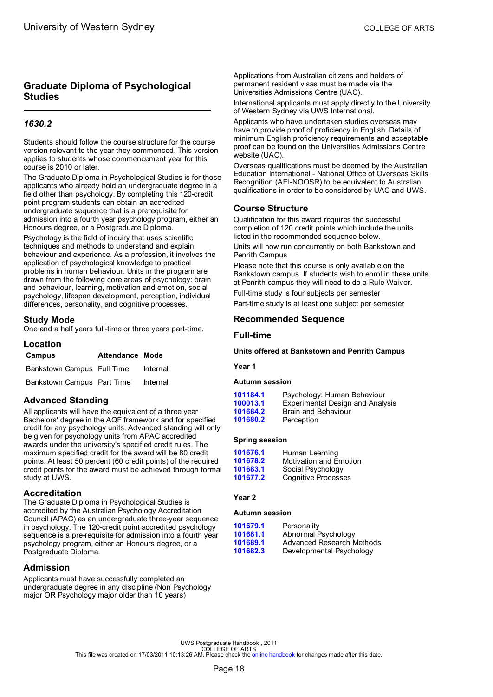# <span id="page-21-0"></span>**Graduate Diploma of Psychological Studies**

# *1630.2*

Students should follow the course structure for the course version relevant to the year they commenced. This version applies to students whose commencement year for this course is 2010 or later.

The Graduate Diploma in Psychological Studies is for those applicants who already hold an undergraduate degree in a field other than psychology. By completing this 120-credit point program students can obtain an accredited undergraduate sequence that is a prerequisite for admission into a fourth year psychology program, either an Honours degree, or a Postgraduate Diploma.

Psychology is the field of inquiry that uses scientific techniques and methods to understand and explain behaviour and experience. As a profession, it involves the application of psychological knowledge to practical problems in human behaviour. Units in the program are drawn from the following core areas of psychology: brain and behaviour, learning, motivation and emotion, social psychology, lifespan development, perception, individual differences, personality, and cognitive processes.

### **Study Mode**

One and a half years full-time or three years part-time.

### **Location**

| Campus                     | Attendance Mode |          |
|----------------------------|-----------------|----------|
| Bankstown Campus Full Time |                 | Internal |
| Bankstown Campus Part Time |                 | Internal |

# **Advanced Standing**

All applicants will have the equivalent of a three year Bachelors' degree in the AQF framework and for specified credit for any psychology units. Advanced standing will only be given for psychology units from APAC accredited awards under the university's specified credit rules. The maximum specified credit for the award will be 80 credit points. At least 50 percent (60 credit points) of the required credit points for the award must be achieved through formal study at UWS.

### **Accreditation**

The Graduate Diploma in Psychological Studies is accredited by the Australian Psychology Accreditation Council (APAC) as an undergraduate three-year sequence in psychology. The 120-credit point accredited psychology sequence is a pre-requisite for admission into a fourth year psychology program, either an Honours degree, or a Postgraduate Diploma.

# **Admission**

Applicants must have successfully completed an undergraduate degree in any discipline (Non Psychology major OR Psychology major older than 10 years)

Applications from Australian citizens and holders of permanent resident visas must be made via the Universities Admissions Centre (UAC).

International applicants must apply directly to the University of Western Sydney via UWS International.

Applicants who have undertaken studies overseas may have to provide proof of proficiency in English. Details of minimum English proficiency requirements and acceptable proof can be found on the Universities Admissions Centre website (UAC).

Overseas qualifications must be deemed by the Australian Education International - National Office of Overseas Skills Recognition (AEI-NOOSR) to be equivalent to Australian qualifications in order to be considered by UAC and UWS.

# **Course Structure**

Qualification for this award requires the successful completion of 120 credit points which include the units listed in the recommended sequence below.

Units will now run concurrently on both Bankstown and Penrith Campus

Please note that this course is only available on the Bankstown campus. If students wish to enrol in these units at Penrith campus they will need to do a Rule Waiver.

Full-time study is four subjects per semester

Part-time study is at least one subject per semester

### **Recommended Sequence**

### **Full-time**

#### **Units offered at Bankstown and Penrith Campus**

**Year 1**

#### **Autumn session**

| 101184.1 | Psychology: Human Behaviour             |
|----------|-----------------------------------------|
| 100013.1 | <b>Experimental Design and Analysis</b> |
| 101684.2 | Brain and Behaviour                     |
| 101680.2 | Perception                              |

#### **Spring session**

| 101676.1 | Human Learning                |
|----------|-------------------------------|
| 101678.2 | <b>Motivation and Emotion</b> |
| 101683.1 | Social Psychology             |
| 101677.2 | <b>Cognitive Processes</b>    |

#### **Year 2**

#### **Autumn session**

| 101679.1 | Personality               |
|----------|---------------------------|
| 101681.1 | Abnormal Psychology       |
| 101689.1 | Advanced Research Methods |
| 101682.3 | Developmental Psychology  |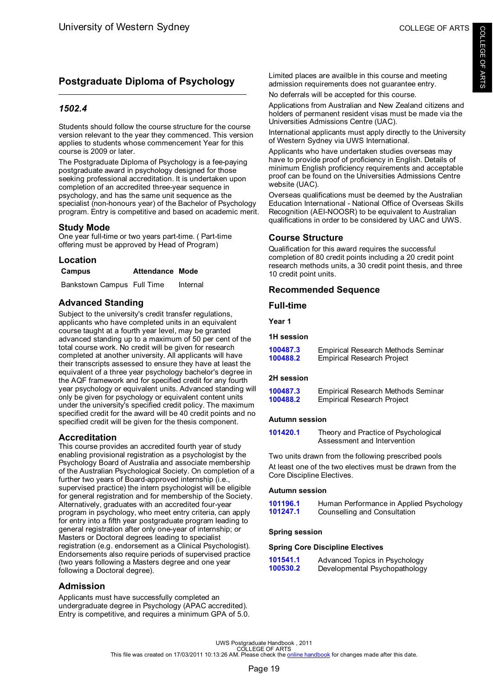# <span id="page-22-0"></span>**Postgraduate Diploma of Psychology**

# *1502.4*

Students should follow the course structure for the course version relevant to the year they commenced. This version applies to students whose commencement Year for this course is 2009 or later.

The Postgraduate Diploma of Psychology is a fee-paying postgraduate award in psychology designed for those seeking professional accreditation. It is undertaken upon completion of an accredited three-year sequence in psychology, and has the same unit sequence as the specialist (non-honours year) of the Bachelor of Psychology program. Entry is competitive and based on academic merit.

# **Study Mode**

One year full-time or two years part-time. ( Part-time offering must be approved by Head of Program)

# **Location**

# **Campus Attendance Mode**

Bankstown Campus Full Time Internal

# **Advanced Standing**

Subject to the university's credit transfer regulations, applicants who have completed units in an equivalent course taught at a fourth year level, may be granted advanced standing up to a maximum of 50 per cent of the total course work. No credit will be given for research completed at another university. All applicants will have their transcripts assessed to ensure they have at least the equivalent of a three year psychology bachelor's degree in the AQF framework and for specified credit for any fourth year psychology or equivalent units. Advanced standing will only be given for psychology or equivalent content units under the university's specified credit policy. The maximum specified credit for the award will be 40 credit points and no specified credit will be given for the thesis component.

# **Accreditation**

This course provides an accredited fourth year of study enabling provisional registration as a psychologist by the Psychology Board of Australia and associate membership of the Australian Psychological Society. On completion of a further two years of Board-approved internship (i.e., supervised practice) the intern psychologist will be eligible for general registration and for membership of the Society. Alternatively, graduates with an accredited four-year program in psychology, who meet entry criteria, can apply for entry into a fifth year postgraduate program leading to general registration after only one-year of internship; or Masters or Doctoral degrees leading to specialist registration (e.g. endorsement as a Clinical Psychologist). Endorsements also require periods of supervised practice (two years following a Masters degree and one year following a Doctoral degree).

# **Admission**

Applicants must have successfully completed an undergraduate degree in Psychology (APAC accredited). Entry is competitive, and requires a minimum GPA of 5.0. Limited places are availble in this course and meeting admission requirements does not guarantee entry.

No deferrals will be accepted for this course.

Applications from Australian and New Zealand citizens and holders of permanent resident visas must be made via the Universities Admissions Centre (UAC).

International applicants must apply directly to the University of Western Sydney via UWS International.

Applicants who have undertaken studies overseas may have to provide proof of proficiency in English. Details of minimum English proficiency requirements and acceptable proof can be found on the Universities Admissions Centre website (UAC).

Overseas qualifications must be deemed by the Australian Education International - National Office of Overseas Skills Recognition (AEI-NOOSR) to be equivalent to Australian qualifications in order to be considered by UAC and UWS.

# **Course Structure**

Qualification for this award requires the successful completion of 80 credit points including a 20 credit point research methods units, a 30 credit point thesis, and three 10 credit point units.

# **Recommended Sequence**

# **Full-time**

**Year 1**

### **1H session**

| 100487.3 | Empirical Research Methods Seminar |
|----------|------------------------------------|
| 100488.2 | <b>Empirical Research Project</b>  |

### **2H session**

| 100487.3 | <b>Empirical Research Methods Seminar</b> |
|----------|-------------------------------------------|
| 100488.2 | <b>Empirical Research Project</b>         |

### **Autumn session**

**[101420.1](#page-71-0)** Theory and Practice of Psychological Assessment and Intervention

Two units drawn from the following prescribed pools At least one of the two electives must be drawn from the Core Discipline Electives.

# **Autumn session**

| 101196.1 | Human Performance in Applied Psychology |
|----------|-----------------------------------------|
| 101247.1 | Counselling and Consultation            |

### **Spring session**

### **Spring Core Discipline Electives**

| 101541.1 | Advanced Topics in Psychology |  |
|----------|-------------------------------|--|
| 100530.2 | Developmental Psychopathology |  |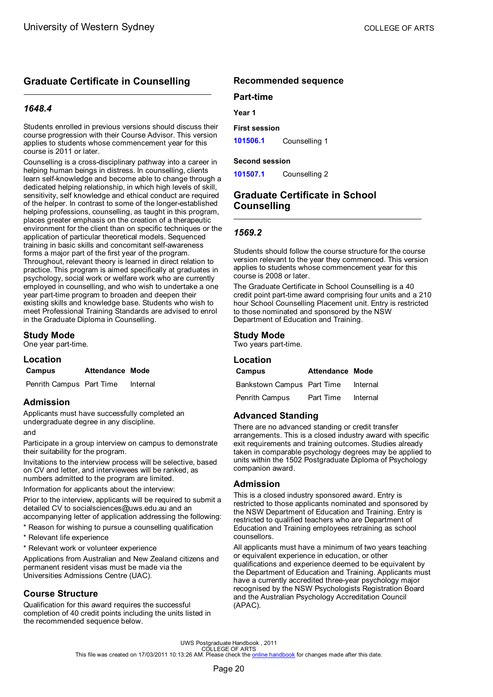# <span id="page-23-0"></span>**Graduate Certificate in Counselling**

# *1648.4*

Students enrolled in previous versions should discuss their course progression with their Course Advisor. This version applies to students whose commencement year for this course is 2011 or later.

Counselling is a cross-disciplinary pathway into a career in helping human beings in distress. In counselling, clients learn self-knowledge and become able to change through a dedicated helping relationship, in which high levels of skill, sensitivity, self knowledge and ethical conduct are required of the helper. In contrast to some of the longer-established helping professions, counselling, as taught in this program, places greater emphasis on the creation of a therapeutic environment for the client than on specific techniques or the application of particular theoretical models. Sequenced training in basic skills and concomitant self-awareness forms a major part of the first year of the program. Throughout, relevant theory is learned in direct relation to practice. This program is aimed specifically at graduates in psychology, social work or welfare work who are currently employed in counselling, and who wish to undertake a one year part-time program to broaden and deepen their existing skills and knowledge base. Students who wish to meet Professional Training Standards are advised to enrol in the Graduate Diploma in Counselling.

# **Study Mode**

One year part-time.

### **Location**

# **Campus Attendance Mode**

Penrith Campus Part Time Internal

# **Admission**

Applicants must have successfully completed an undergraduate degree in any discipline. and

Participate in a group interview on campus to demonstrate their suitability for the program.

Invitations to the interview process will be selective, based on CV and letter, and interviewees will be ranked, as numbers admitted to the program are limited.

Information for applicants about the interview:

Prior to the interview, applicants will be required to submit a detailed CV to socialsciences@uws.edu.au and an accompanying letter of application addressing the following:

- \* Reason for wishing to pursue a counselling qualification
- \* Relevant life experience
- \* Relevant work or volunteer experience

Applications from Australian and New Zealand citizens and permanent resident visas must be made via the Universities Admissions Centre (UAC).

# **Course Structure**

Qualification for this award requires the successful completion of 40 credit points including the units listed in the recommended sequence below.

# **Recommended sequence**

# **Part-time**

**Year 1**

#### **First session**

**[101506.1](#page-45-0)** Counselling 1

#### **Second session**

**[101507.1](#page-45-0)** Counselling 2

# **Graduate Certificate in School Counselling**

### *1569.2*

Students should follow the course structure for the course version relevant to the year they commenced. This version applies to students whose commencement year for this course is 2008 or later.

The Graduate Certificate in School Counselling is a 40 credit point part-time award comprising four units and a 210 hour School Counselling Placement unit. Entry is restricted to those nominated and sponsored by the NSW Department of Education and Training.

#### **Study Mode**

Two years part-time.

#### **Location**

| Campus                     | <b>Attendance Mode</b> |          |
|----------------------------|------------------------|----------|
| Bankstown Campus Part Time |                        | Internal |
| <b>Penrith Campus</b>      | Part Time              | Internal |

### **Advanced Standing**

There are no advanced standing or credit transfer arrangements. This is a closed industry award with specific exit requirements and training outcomes. Studies already taken in comparable psychology degrees may be applied to units within the 1502 Postgraduate Diploma of Psychology companion award.

### **Admission**

This is a closed industry sponsored award. Entry is restricted to those applicants nominated and sponsored by the NSW Department of Education and Training. Entry is restricted to qualified teachers who are Department of Education and Training employees retraining as school counsellors.

All applicants must have a minimum of two years teaching or equivalent experience in education, or other qualifications and experience deemed to be equivalent by the Department of Education and Training. Applicants must have a currently accredited three-year psychology major recognised by the NSW Psychologists Registration Board and the Australian Psychology Accreditation Council (APAC).

UWS Postgraduate Handbook , 2011 COLLEGE OF ARTS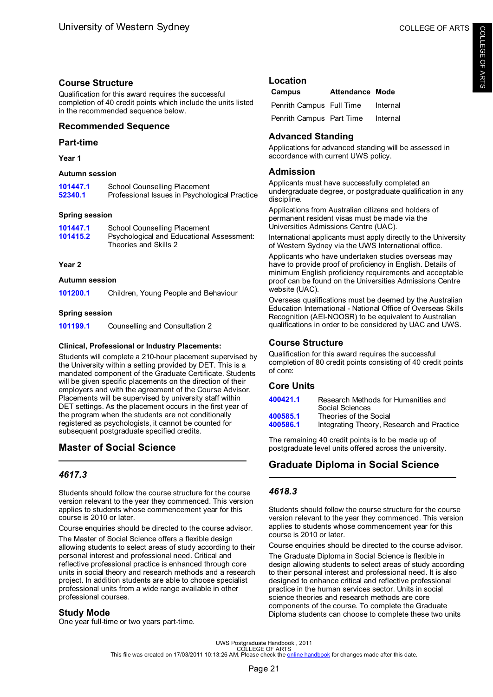# <span id="page-24-0"></span>**Course Structure**

Qualification for this award requires the successful completion of 40 credit points which include the units listed in the recommended sequence below.

# **Recommended Sequence**

# **Part-time**

**Year 1**

# **Autumn session**

**[101447.1](#page-67-0)** School Counselling Placement<br>**52340.1** Professional Issues in Psychold **[52340.1](#page-63-0)** Professional Issues in Psychological Practice

# **Spring session**

| 101447.1 | School Counselling Placement              |
|----------|-------------------------------------------|
| 101415.2 | Psychological and Educational Assessment: |
|          | Theories and Skills 2                     |

### **Year 2**

### **Autumn session**

**[101200.1](#page-41-0)** Children, Young People and Behaviour

# **Spring session**

**[101199.1](#page-46-0)** Counselling and Consultation 2

### **Clinical, Professional or Industry Placements:**

Students will complete a 210-hour placement supervised by the University within a setting provided by DET. This is a mandated component of the Graduate Certificate. Students will be given specific placements on the direction of their employers and with the agreement of the Course Advisor. Placements will be supervised by university staff within DET settings. As the placement occurs in the first year of the program when the students are not conditionally registered as psychologists, it cannot be counted for subsequent postgraduate specified credits.

# **Master of Social Science**

# *4617.3*

Students should follow the course structure for the course version relevant to the year they commenced. This version applies to students whose commencement year for this course is 2010 or later.

Course enquiries should be directed to the course advisor.

The Master of Social Science offers a flexible design allowing students to select areas of study according to their personal interest and professional need. Critical and reflective professional practice is enhanced through core units in social theory and research methods and a research project. In addition students are able to choose specialist professional units from a wide range available in other professional courses.

# **Study Mode**

One year full-time or two years part-time.

# **Location**

| Campus                   | Attendance Mode |          |
|--------------------------|-----------------|----------|
| Penrith Campus Full Time |                 | Internal |
| Penrith Campus Part Time |                 | Internal |

# **Advanced Standing**

Applications for advanced standing will be assessed in accordance with current UWS policy.

# **Admission**

Applicants must have successfully completed an undergraduate degree, or postgraduate qualification in any discipline.

Applications from Australian citizens and holders of permanent resident visas must be made via the Universities Admissions Centre (UAC).

International applicants must apply directly to the University of Western Sydney via the UWS International office.

Applicants who have undertaken studies overseas may have to provide proof of proficiency in English. Details of minimum English proficiency requirements and acceptable proof can be found on the Universities Admissions Centre website (UAC).

Overseas qualifications must be deemed by the Australian Education International - National Office of Overseas Skills Recognition (AEI-NOOSR) to be equivalent to Australian qualifications in order to be considered by UAC and UWS.

# **Course Structure**

Qualification for this award requires the successful completion of 80 credit points consisting of 40 credit points of core:

# **Core Units**

| 400421.1 | Research Methods for Humanities and<br>Social Sciences |
|----------|--------------------------------------------------------|
| 400585.1 | Theories of the Social                                 |
| 400586.1 | Integrating Theory, Research and Practice              |

The remaining 40 credit points is to be made up of postgraduate level units offered across the university.

# **Graduate Diploma in Social Science**

# *4618.3*

Students should follow the course structure for the course version relevant to the year they commenced. This version applies to students whose commencement year for this course is 2010 or later.

Course enquiries should be directed to the course advisor.

The Graduate Diploma in Social Science is flexible in design allowing students to select areas of study according to their personal interest and professional need. It is also designed to enhance critical and reflective professional practice in the human services sector. Units in social science theories and research methods are core components of the course. To complete the Graduate Diploma students can choose to complete these two units

UWS Postgraduate Handbook , 2011 COLLEGE OF ARTS This file was created on 17/03/2011 10:13:26 AM. Please check the online [handbook](http://handbook.uws.edu.au/hbook/) for changes made after this date.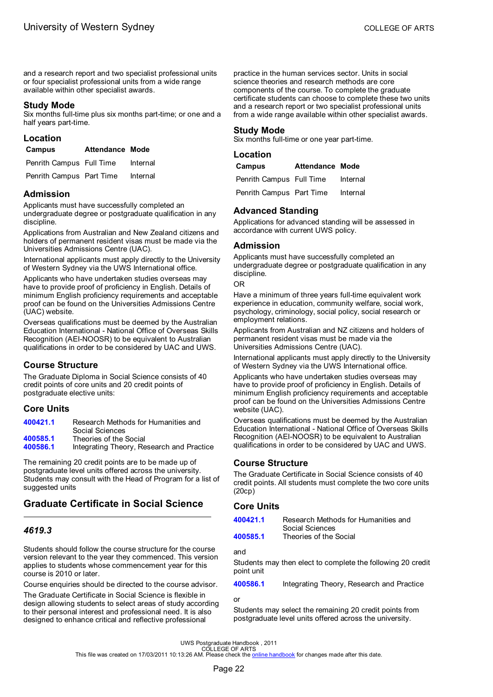<span id="page-25-0"></span>and a research report and two specialist professional units or four specialist professional units from a wide range available within other specialist awards.

### **Study Mode**

Six months full-time plus six months part-time; or one and a half years part-time.

### **Location**

| Campus | <b>Attendance Mode</b> |  |
|--------|------------------------|--|
|        |                        |  |

| Penrith Campus Full Time | Internal |
|--------------------------|----------|
| Penrith Campus Part Time | Internal |

# **Admission**

Applicants must have successfully completed an undergraduate degree or postgraduate qualification in any discipline.

Applications from Australian and New Zealand citizens and holders of permanent resident visas must be made via the Universities Admissions Centre (UAC).

International applicants must apply directly to the University of Western Sydney via the UWS International office.

Applicants who have undertaken studies overseas may have to provide proof of proficiency in English. Details of minimum English proficiency requirements and acceptable proof can be found on the Universities Admissions Centre (UAC) website.

Overseas qualifications must be deemed by the Australian Education International - National Office of Overseas Skills Recognition (AEI-NOOSR) to be equivalent to Australian qualifications in order to be considered by UAC and UWS.

# **Course Structure**

The Graduate Diploma in Social Science consists of 40 credit points of core units and 20 credit points of postgraduate elective units:

# **Core Units**

| 400421.1 | Research Methods for Humanities and<br>Social Sciences |
|----------|--------------------------------------------------------|
| 400585.1 | Theories of the Social                                 |
| 400586.1 | Integrating Theory, Research and Practice              |

The remaining 20 credit points are to be made up of postgraduate level units offered across the university. Students may consult with the Head of Program for a list of suggested units

# **Graduate Certificate in Social Science**

# *4619.3*

Students should follow the course structure for the course version relevant to the year they commenced. This version applies to students whose commencement year for this course is 2010 or later.

Course enquiries should be directed to the course advisor.

The Graduate Certificate in Social Science is flexible in design allowing students to select areas of study according to their personal interest and professional need. It is also designed to enhance critical and reflective professional

practice in the human services sector. Units in social science theories and research methods are core components of the course. To complete the graduate certificate students can choose to complete these two units and a research report or two specialist professional units from a wide range available within other specialist awards.

### **Study Mode**

Six months full-time or one year part-time.

### **Location**

| Campus                   | <b>Attendance Mode</b> |          |
|--------------------------|------------------------|----------|
| Penrith Campus Full Time |                        | Internal |
| Penrith Campus Part Time |                        | Internal |

# **Advanced Standing**

Applications for advanced standing will be assessed in accordance with current UWS policy.

### **Admission**

Applicants must have successfully completed an undergraduate degree or postgraduate qualification in any discipline.

OR

Have a minimum of three years full-time equivalent work experience in education, community welfare, social work, psychology, criminology, social policy, social research or employment relations.

Applicants from Australian and NZ citizens and holders of permanent resident visas must be made via the Universities Admissions Centre (UAC).

International applicants must apply directly to the University of Western Sydney via the UWS International office.

Applicants who have undertaken studies overseas may have to provide proof of proficiency in English. Details of minimum English proficiency requirements and acceptable proof can be found on the Universities Admissions Centre website (UAC).

Overseas qualifications must be deemed by the Australian Education International - National Office of Overseas Skills Recognition (AEI-NOOSR) to be equivalent to Australian qualifications in order to be considered by UAC and UWS.

# **Course Structure**

The Graduate Certificate in Social Science consists of 40 credit points. All students must complete the two core units (20cp)

# **Core Units**

| 400421.1 | Research Methods for Humanities and |
|----------|-------------------------------------|
|          | Social Sciences                     |
| 400585.1 | Theories of the Social              |

#### and

Students may then elect to complete the following 20 credit point unit

**[400586.1](#page-53-0)** Integrating Theory, Research and Practice

# or

Students may select the remaining 20 credit points from postgraduate level units offered across the university.

UWS Postgraduate Handbook , 2011 COLLEGE OF ARTS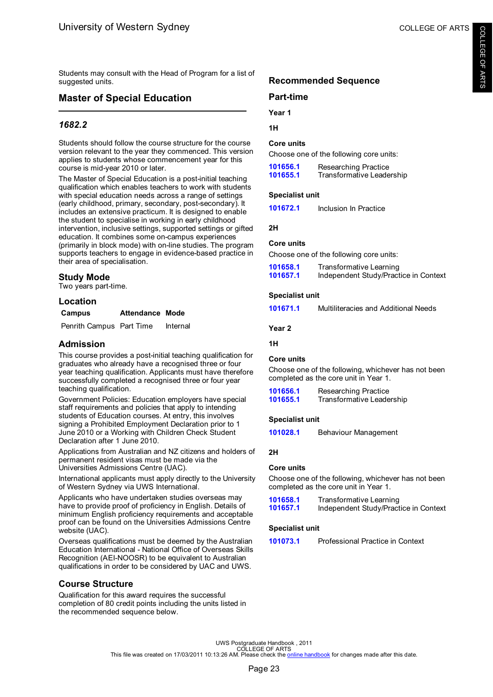<span id="page-26-0"></span>Students may consult with the Head of Program for a list of suggested units.

# **Master of Special Education**

# *1682.2*

Students should follow the course structure for the course version relevant to the year they commenced. This version applies to students whose commencement year for this course is mid-year 2010 or later.

The Master of Special Education is a post-initial teaching qualification which enables teachers to work with students with special education needs across a range of settings (early childhood, primary, secondary, post-secondary). It includes an extensive practicum. It is designed to enable the student to specialise in working in early childhood intervention, inclusive settings, supported settings or gifted education. It combines some on-campus experiences (primarily in block mode) with on-line studies. The program supports teachers to engage in evidence-based practice in their area of specialisation.

# **Study Mode**

Two years part-time.

### **Location Campus Attendance Mode**

Penrith Campus Part Time Internal

# **Admission**

This course provides a post-initial teaching qualification for graduates who already have a recognised three or four year teaching qualification. Applicants must have therefore successfully completed a recognised three or four year teaching qualification.

Government Policies: Education employers have special staff requirements and policies that apply to intending students of Education courses. At entry, this involves signing a Prohibited Employment Declaration prior to 1 June 2010 or a Working with Children Check Student Declaration after 1 June 2010.

Applications from Australian and NZ citizens and holders of permanent resident visas must be made via the Universities Admissions Centre (UAC).

International applicants must apply directly to the University of Western Sydney via UWS International.

Applicants who have undertaken studies overseas may have to provide proof of proficiency in English. Details of minimum English proficiency requirements and acceptable proof can be found on the Universities Admissions Centre website (UAC).

Overseas qualifications must be deemed by the Australian Education International - National Office of Overseas Skills Recognition (AEI-NOOSR) to be equivalent to Australian qualifications in order to be considered by UAC and UWS.

# **Course Structure**

Qualification for this award requires the successful completion of 80 credit points including the units listed in the recommended sequence below.

# **Recommended Sequence**

**Part-time**

**Year 1**

**1H**

# **Core units**

Choose one of the following core units:

| 101656.1 | Researching Practice      |
|----------|---------------------------|
| 101655.1 | Transformative Leadership |

### **Specialist unit**

**[101672.1](#page-52-0)** Inclusion In Practice

**2H**

### **Core units**

Choose one of the following core units:

| 101658.1 | Transformative Learning               |
|----------|---------------------------------------|
| 101657.1 | Independent Study/Practice in Context |

### **Specialist unit**

| 101671.1 | Multiliteracies and Additional Needs |
|----------|--------------------------------------|
|----------|--------------------------------------|

**Year 2**

**1H**

# **Core units**

Choose one of the following, whichever has not been completed as the core unit in Year 1.

| 101656.1 | Researching Practice      |
|----------|---------------------------|
| 101655.1 | Transformative Leadership |

### **Specialist unit**

**[101028.1](#page-40-0)** Behaviour Management

# **2H**

### **Core units**

Choose one of the following, whichever has not been completed as the core unit in Year 1.

| 101658.1 | Transformative Learning               |
|----------|---------------------------------------|
| 101657.1 | Independent Study/Practice in Context |

# **Specialist unit**

**[101073.1](#page-65-0)** Professional Practice in Context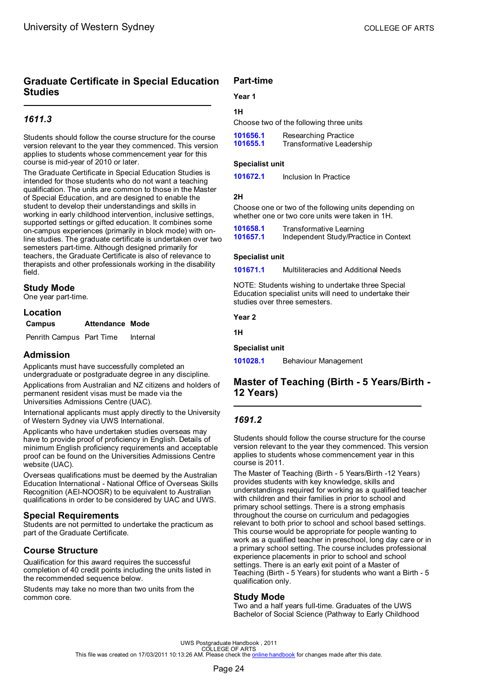# <span id="page-27-0"></span>**Graduate Certificate in Special Education Studies**

# *1611.3*

Students should follow the course structure for the course version relevant to the year they commenced. This version applies to students whose commencement year for this course is mid-year of 2010 or later.

The Graduate Certificate in Special Education Studies is intended for those students who do not want a teaching qualification. The units are common to those in the Master of Special Education, and are designed to enable the student to develop their understandings and skills in working in early childhood intervention, inclusive settings, supported settings or gifted education. It combines some on-campus experiences (primarily in block mode) with online studies. The graduate certificate is undertaken over two semesters part-time. Although designed primarily for teachers, the Graduate Certificate is also of relevance to therapists and other professionals working in the disability field.

### **Study Mode**

One year part-time.

### **Location**

**Campus Attendance Mode**

Penrith Campus Part Time Internal

# **Admission**

Applicants must have successfully completed an undergraduate or postgraduate degree in any discipline.

Applications from Australian and NZ citizens and holders of permanent resident visas must be made via the Universities Admissions Centre (UAC).

International applicants must apply directly to the University of Western Sydney via UWS International.

Applicants who have undertaken studies overseas may have to provide proof of proficiency in English. Details of minimum English proficiency requirements and acceptable proof can be found on the Universities Admissions Centre website (UAC).

Overseas qualifications must be deemed by the Australian Education International - National Office of Overseas Skills Recognition (AEI-NOOSR) to be equivalent to Australian qualifications in order to be considered by UAC and UWS.

# **Special Requirements**

Students are not permitted to undertake the practicum as part of the Graduate Certificate.

# **Course Structure**

Qualification for this award requires the successful completion of 40 credit points including the units listed in the recommended sequence below.

Students may take no more than two units from the common core.

# **Part-time**

# **Year 1**

### **1H**

Choose two of the following three units

| 101656.1 | Researching Practice      |
|----------|---------------------------|
| 101655.1 | Transformative Leadership |

#### **Specialist unit**

**[101672.1](#page-52-0)** Inclusion In Practice

### **2H**

Choose one or two of the following units depending on whether one or two core units were taken in 1H.

| 101658.1 | Transformative Learning               |
|----------|---------------------------------------|
| 101657.1 | Independent Study/Practice in Context |

#### **Specialist unit**

**[101671.1](#page-58-0)** Multiliteracies and Additional Needs

NOTE: Students wishing to undertake three Special Education specialist units will need to undertake their studies over three semesters.

**Year 2**

**1H**

**Specialist unit**

**[101028.1](#page-40-0)** Behaviour Management

# **Master of Teaching (Birth - 5 Years/Birth - 12 Years)**

# *1691.2*

Students should follow the course structure for the course version relevant to the year they commenced. This version applies to students whose commencement year in this course is 2011.

The Master of Teaching (Birth - 5 Years/Birth -12 Years) provides students with key knowledge, skills and understandings required for working as a qualified teacher with children and their families in prior to school and primary school settings. There is a strong emphasis throughout the course on curriculum and pedagogies relevant to both prior to school and school based settings. This course would be appropriate for people wanting to work as a qualified teacher in preschool, long day care or in a primary school setting. The course includes professional experience placements in prior to school and school settings. There is an early exit point of a Master of Teaching (Birth - 5 Years) for students who want a Birth - 5 qualification only.

### **Study Mode**

Two and a half years full-time. Graduates of the UWS Bachelor of Social Science (Pathway to Early Childhood

UWS Postgraduate Handbook , 2011 COLLEGE OF ARTS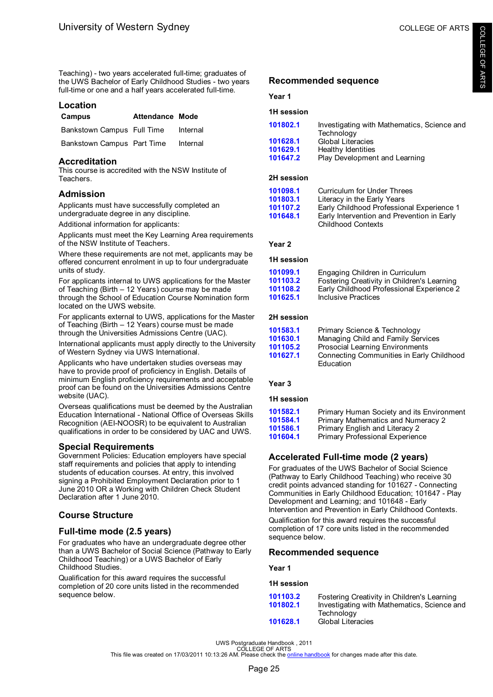Teaching) - two years accelerated full-time; graduates of the UWS Bachelor of Early Childhood Studies - two years full-time or one and a half years accelerated full-time.

### **Location**

| Campus                     | Attendance Mode |          |
|----------------------------|-----------------|----------|
| Bankstown Campus Full Time |                 | Internal |
| Bankstown Campus Part Time |                 | Internal |

# **Accreditation**

This course is accredited with the NSW Institute of Teachers.

# **Admission**

Applicants must have successfully completed an undergraduate degree in any discipline.

Additional information for applicants:

Applicants must meet the Key Learning Area requirements of the NSW Institute of Teachers.

Where these requirements are not met, applicants may be offered concurrent enrolment in up to four undergraduate units of study.

For applicants internal to UWS applications for the Master of Teaching (Birth – 12 Years) course may be made through the School of Education Course Nomination form located on the UWS website.

For applicants external to UWS, applications for the Master of Teaching (Birth – 12 Years) course must be made through the Universities Admissions Centre (UAC).

International applicants must apply directly to the University of Western Sydney via UWS International.

Applicants who have undertaken studies overseas may have to provide proof of proficiency in English. Details of minimum English proficiency requirements and acceptable proof can be found on the Universities Admissions Centre website (UAC).

Overseas qualifications must be deemed by the Australian Education International - National Office of Overseas Skills Recognition (AEI-NOOSR) to be equivalent to Australian qualifications in order to be considered by UAC and UWS.

### **Special Requirements**

Government Policies: Education employers have special staff requirements and policies that apply to intending students of education courses. At entry, this involved signing a Prohibited Employment Declaration prior to 1 June 2010 OR a Working with Children Check Student Declaration after 1 June 2010.

# **Course Structure**

# **Full-time mode (2.5 years)**

For graduates who have an undergraduate degree other than a UWS Bachelor of Social Science (Pathway to Early Childhood Teaching) or a UWS Bachelor of Early Childhood Studies.

Qualification for this award requires the successful completion of 20 core units listed in the recommended sequence below.

# **Recommended sequence**

**Year 1**

# **1H session**

| 101802.1 | Investigating with Mathematics, Science and |
|----------|---------------------------------------------|
|          | Technoloav                                  |
| 101628.1 | <b>Global Literacies</b>                    |
| 101629.1 | Healthy Identities                          |
| 101647.2 | Play Development and Learning               |

#### **2H session**

| 101098.1 | Curriculum for Under Threes                |
|----------|--------------------------------------------|
| 101803.1 | Literacy in the Early Years                |
| 101107.2 | Early Childhood Professional Experience 1  |
| 101648.1 | Early Intervention and Prevention in Early |
|          | <b>Childhood Contexts</b>                  |

### **Year 2**

#### **1H session**

| 101099.1             | Engaging Children in Curriculum             |
|----------------------|---------------------------------------------|
| 101103.2             | Fostering Creativity in Children's Learning |
| 101108.2<br>101625.1 | Early Childhood Professional Experience 2   |
|                      | Inclusive Practices                         |

#### **2H session**

| 101583.1<br>101630.1<br>101105.2<br>101627.1 | Primary Science & Technology<br>Managing Child and Family Services<br><b>Prosocial Learning Environments</b><br>Connecting Communities in Early Childhood<br>Education |
|----------------------------------------------|------------------------------------------------------------------------------------------------------------------------------------------------------------------------|
|                                              |                                                                                                                                                                        |
|                                              |                                                                                                                                                                        |

### **Year 3**

#### **1H session**

| 101582.1 | Primary Human Society and its Environment |
|----------|-------------------------------------------|
| 101584.1 | Primary Mathematics and Numeracy 2        |
| 101586.1 | Primary English and Literacy 2            |
| 101604.1 | <b>Primary Professional Experience</b>    |

# **Accelerated Full-time mode (2 years)**

For graduates of the UWS Bachelor of Social Science (Pathway to Early Childhood Teaching) who receive 30 credit points advanced standing for 101627 - Connecting Communities in Early Childhood Education; 101647 - Play Development and Learning; and 101648 - Early Intervention and Prevention in Early Childhood Contexts. Qualification for this award requires the successful completion of 17 core units listed in the recommended sequence below.

# **Recommended sequence**

**Year 1**

### **1H session**

| 101103.2 | Fostering Creativity in Children's Learning |
|----------|---------------------------------------------|
| 101802.1 | Investigating with Mathematics, Science and |
|          | Technology                                  |
| 101628.1 | <b>Global Literacies</b>                    |

UWS Postgraduate Handbook , 2011 COLLEGE OF ARTS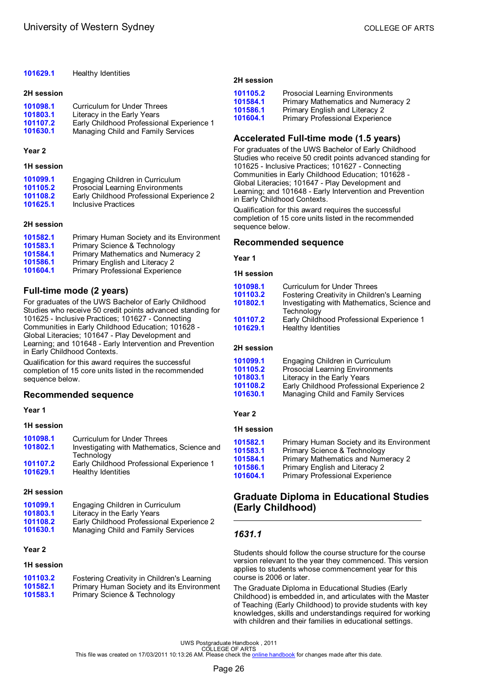<span id="page-29-0"></span>

| 101629.1 |  | Healthy Identities |
|----------|--|--------------------|
|----------|--|--------------------|

#### **2H session**

| 101098.1 | Curriculum for Under Threes               |
|----------|-------------------------------------------|
| 101803.1 | Literacy in the Early Years               |
| 101107.2 | Early Childhood Professional Experience 1 |
| 101630.1 | Managing Child and Family Services        |
|          |                                           |

#### **Year 2**

#### **1H session**

| 101099.1 | Engaging Children in Curriculum           |
|----------|-------------------------------------------|
| 101105.2 | Prosocial Learning Environments           |
| 101108.2 | Early Childhood Professional Experience 2 |
| 101625.1 | Inclusive Practices                       |
|          |                                           |

#### **2H session**

| 101582.1 | Primary Human Society and its Environment |
|----------|-------------------------------------------|
| 101583.1 | Primary Science & Technology              |
| 101584.1 | Primary Mathematics and Numeracy 2        |
| 101586.1 | Primary English and Literacy 2            |
| 101604.1 | Primary Professional Experience           |
|          |                                           |

# **Full-time mode (2 years)**

For graduates of the UWS Bachelor of Early Childhood Studies who receive 50 credit points advanced standing for 101625 - Inclusive Practices; 101627 - Connecting Communities in Early Childhood Education; 101628 - Global Literacies; 101647 - Play Development and Learning; and 101648 - Early Intervention and Prevention in Early Childhood Contexts.

Qualification for this award requires the successful completion of 15 core units listed in the recommended sequence below.

### **Recommended sequence**

#### **Year 1**

#### **1H session**

| 101098.1 | Curriculum for Under Threes                 |
|----------|---------------------------------------------|
| 101802.1 | Investigating with Mathematics, Science and |
|          | Technology                                  |
| 101107.2 | Early Childhood Professional Experience 1   |
| 101629.1 | Healthy Identities                          |

#### **2H session**

| 101099.1 | Engaging Children in Curriculum           |
|----------|-------------------------------------------|
| 101803.1 | Literacy in the Early Years               |
| 101108.2 | Early Childhood Professional Experience 2 |
| 101630.1 | Managing Child and Family Services        |

#### **Year 2**

#### **1H session**

| 101103.2 | Fostering Creativity in Children's Learning |
|----------|---------------------------------------------|
| 101582.1 | Primary Human Society and its Environment   |
| 101583.1 | Primary Science & Technology                |

### **2H session**

| 101105.2 | Prosocial Learning Environments    |
|----------|------------------------------------|
| 101584.1 | Primary Mathematics and Numeracy 2 |
| 101586.1 | Primary English and Literacy 2     |
| 101604.1 | Primary Professional Experience    |

### **Accelerated Full-time mode (1.5 years)**

For graduates of the UWS Bachelor of Early Childhood Studies who receive 50 credit points advanced standing for 101625 - Inclusive Practices; 101627 - Connecting Communities in Early Childhood Education; 101628 - Global Literacies; 101647 - Play Development and Learning; and 101648 - Early Intervention and Prevention in Early Childhood Contexts.

Qualification for this award requires the successful completion of 15 core units listed in the recommended sequence below.

#### **Recommended sequence**

#### **Year 1**

**1H session**

| 101098.1             | <b>Curriculum for Under Threes</b>                              |
|----------------------|-----------------------------------------------------------------|
| 101103.2             | Fostering Creativity in Children's Learning                     |
| 101802.1             | Investigating with Mathematics, Science and<br>Technology       |
| 101107.2<br>101629.1 | Early Childhood Professional Experience 1<br>Healthy Identities |
|                      |                                                                 |

#### **2H session**

| 101099.1 | Engaging Children in Curriculum           |
|----------|-------------------------------------------|
| 101105.2 | <b>Prosocial Learning Environments</b>    |
| 101803.1 | Literacy in the Early Years               |
| 101108.2 | Early Childhood Professional Experience 2 |
| 101630.1 | Managing Child and Family Services        |

### **Year 2**

#### **1H session**

| 101582.1 | Primary Human Society and its Environment |
|----------|-------------------------------------------|
| 101583.1 | Primary Science & Technology              |
| 101584.1 | Primary Mathematics and Numeracy 2        |
| 101586.1 | Primary English and Literacy 2            |
| 101604.1 | <b>Primary Professional Experience</b>    |
|          |                                           |

# **Graduate Diploma in Educational Studies (Early Childhood)**

### *1631.1*

Students should follow the course structure for the course version relevant to the year they commenced. This version applies to students whose commencement year for this course is 2006 or later.

The Graduate Diploma in Educational Studies (Early Childhood) is embedded in, and articulates with the Master of Teaching (Early Childhood) to provide students with key knowledges, skills and understandings required for working with children and their families in educational settings.

UWS Postgraduate Handbook , 2011 COLLEGE OF ARTS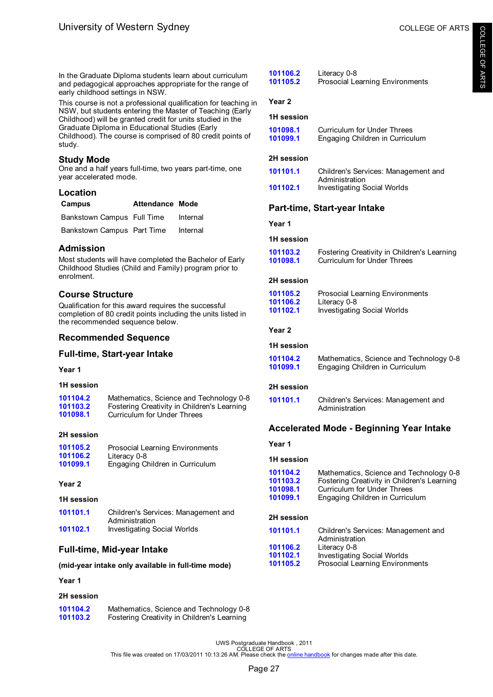In the Graduate Diploma students learn about curriculum and pedagogical approaches appropriate for the range of early childhood settings in NSW.

This course is not a professional qualification for teaching in NSW, but students entering the Master of Teaching (Early Childhood) will be granted credit for units studied in the Graduate Diploma in Educational Studies (Early Childhood). The course is comprised of 80 credit points of study.

# **Study Mode**

One and a half years full-time, two years part-time, one year accelerated mode.

# **Location**

| Campus                     | Attendance Mode |          |
|----------------------------|-----------------|----------|
| Bankstown Campus Full Time |                 | Internal |
| Bankstown Campus Part Time |                 | Internal |

# **Admission**

Most students will have completed the Bachelor of Early Childhood Studies (Child and Family) program prior to enrolment.

# **Course Structure**

Qualification for this award requires the successful completion of 80 credit points including the units listed in the recommended sequence below.

# **Recommended Sequence**

# **Full-time, Start-year Intake**

#### **Year 1**

### **1H session**

| 101104.2 | Mathematics, Science and Technology 0-8     |
|----------|---------------------------------------------|
| 101103.2 | Fostering Creativity in Children's Learning |
| 101098.1 | Curriculum for Under Threes                 |

### **2H session**

| 101105.2 | <b>Prosocial Learning Environments</b> |
|----------|----------------------------------------|
| 101106.2 | Literacy 0-8                           |
| 101099.1 | Engaging Children in Curriculum        |

### **Year 2**

# **1H session**

| 101101.1 | Children's Services: Management and |
|----------|-------------------------------------|
|          | Administration                      |
| 101102.1 | Investigating Social Worlds         |

# **Full-time, Mid-year Intake**

**(mid-year intake only available in full-time mode)**

# **Year 1**

# **2H session**

| 101104.2 | Mathematics, Science and Technology 0-8     |
|----------|---------------------------------------------|
| 101103.2 | Fostering Creativity in Children's Learning |

| 101106.2<br>101105.2 | Literacy 0-8<br><b>Prosocial Learning Environments</b>         |
|----------------------|----------------------------------------------------------------|
| Year 2               |                                                                |
| 1H session           |                                                                |
| 101098.1<br>101099.1 | Curriculum for Under Threes<br>Engaging Children in Curriculum |
| 2H session           |                                                                |

# **2H session**

| 101101.1 | Children's Services: Management and |
|----------|-------------------------------------|
|          | Administration                      |
| 101102.1 | <b>Investigating Social Worlds</b>  |

# **Part-time, Start-year Intake**

**Year 1**

### **1H session**

| 101103.2 | Fostering Creativity in Children's Learning |
|----------|---------------------------------------------|
| 101098.1 | Curriculum for Under Threes                 |

#### **2H session**

| 101105.2 | <b>Prosocial Learning Environments</b> |
|----------|----------------------------------------|
| 101106.2 | Literacy 0-8                           |
| 101102.1 | <b>Investigating Social Worlds</b>     |

### **Year 2**

#### **1H session**

| 101104.2 | Mathematics, Science and Technology 0-8 |
|----------|-----------------------------------------|
| 101099.1 | Engaging Children in Curriculum         |

### **2H session**

| 101101.1 | Children's Services: Management and |
|----------|-------------------------------------|
|          | Administration                      |

# **Accelerated Mode - Beginning Year Intake**

### **1H session**

| 101104.2 | Mathematics, Science and Technology 0-8     |
|----------|---------------------------------------------|
| 101103.2 | Fostering Creativity in Children's Learning |
| 101098.1 | Curriculum for Under Threes                 |
| 101099.1 | Engaging Children in Curriculum             |
|          |                                             |

### **2H session**

| 101101.1             | Children's Services: Management and<br>Administration |
|----------------------|-------------------------------------------------------|
| 101106.2<br>101102.1 | Literacy 0-8<br><b>Investigating Social Worlds</b>    |
| 101105.2             | Prosocial Learning Environments                       |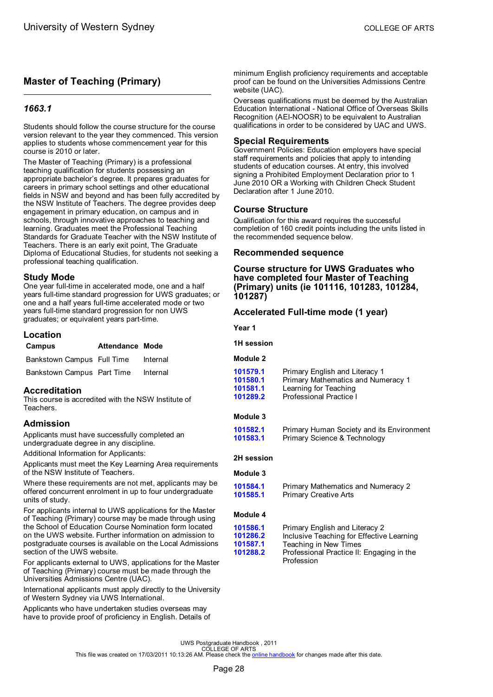# <span id="page-31-0"></span>**Master of Teaching (Primary)**

# *1663.1*

Students should follow the course structure for the course version relevant to the year they commenced. This version applies to students whose commencement year for this course is 2010 or later.

The Master of Teaching (Primary) is a professional teaching qualification for students possessing an appropriate bachelor's degree. It prepares graduates for careers in primary school settings and other educational fields in NSW and beyond and has been fully accredited by the NSW Institute of Teachers. The degree provides deep engagement in primary education, on campus and in schools, through innovative approaches to teaching and learning. Graduates meet the Professional Teaching Standards for Graduate Teacher with the NSW Institute of Teachers. There is an early exit point, The Graduate Diploma of Educational Studies, for students not seeking a professional teaching qualification.

# **Study Mode**

One year full-time in accelerated mode, one and a half years full-time standard progression for UWS graduates; or one and a half years full-time accelerated mode or two years full-time standard progression for non UWS graduates; or equivalent years part-time.

# **Location**

| Campus                     | Attendance Mode |          |
|----------------------------|-----------------|----------|
| Bankstown Campus Full Time |                 | Internal |
| Bankstown Campus Part Time |                 | Internal |

### **Accreditation**

This course is accredited with the NSW Institute of Teachers.

# **Admission**

Applicants must have successfully completed an undergraduate degree in any discipline.

Additional Information for Applicants:

Applicants must meet the Key Learning Area requirements of the NSW Institute of Teachers.

Where these requirements are not met, applicants may be offered concurrent enrolment in up to four undergraduate units of study.

For applicants internal to UWS applications for the Master of Teaching (Primary) course may be made through using the School of Education Course Nomination form located on the UWS website. Further information on admission to postgraduate courses is available on the Local Admissions section of the UWS website.

For applicants external to UWS, applications for the Master of Teaching (Primary) course must be made through the Universities Admissions Centre (UAC).

International applicants must apply directly to the University of Western Sydney via UWS International.

Applicants who have undertaken studies overseas may have to provide proof of proficiency in English. Details of minimum English proficiency requirements and acceptable proof can be found on the Universities Admissions Centre website (UAC).

Overseas qualifications must be deemed by the Australian Education International - National Office of Overseas Skills Recognition (AEI-NOOSR) to be equivalent to Australian qualifications in order to be considered by UAC and UWS.

### **Special Requirements**

Government Policies: Education employers have special staff requirements and policies that apply to intending students of education courses. At entry, this involved signing a Prohibited Employment Declaration prior to 1 June 2010 OR a Working with Children Check Student Declaration after 1 June 2010.

# **Course Structure**

Qualification for this award requires the successful completion of 160 credit points including the units listed in the recommended sequence below.

### **Recommended sequence**

#### **Course structure for UWS Graduates who have completed four Master of Teaching (Primary) units (ie 101116, 101283, 101284, 101287)**

# **Accelerated Full-time mode (1 year)**

**Year 1**

#### **1H session**

#### **Module 2** [101579.1](#page-61-0) Primary English and Literacy 1<br>**101580.1** Primary Mathematics and Num **[101580.1](#page-62-0)** Primary Mathematics and Numeracy 1 **[101581.1](#page-55-0)**

| 101581.1             | Learning for Teaching                                                     |
|----------------------|---------------------------------------------------------------------------|
| 101289.2             | Professional Practice I                                                   |
| Module 3             |                                                                           |
| 101582.1<br>101583.1 | Primary Human Society and its Environment<br>Primary Science & Technology |
| 2H session           |                                                                           |
| Module 3             |                                                                           |
| 101584.1<br>101585.1 | Primary Mathematics and Numeracy 2<br><b>Primary Creative Arts</b>        |
| Module 4             |                                                                           |

| 101586.1 | Primary English and Literacy 2                          |
|----------|---------------------------------------------------------|
| 101286.2 | Inclusive Teaching for Effective Learning               |
| 101587.1 | Teaching in New Times                                   |
| 101288.2 | Professional Practice II: Engaging in the<br>Profession |
|          |                                                         |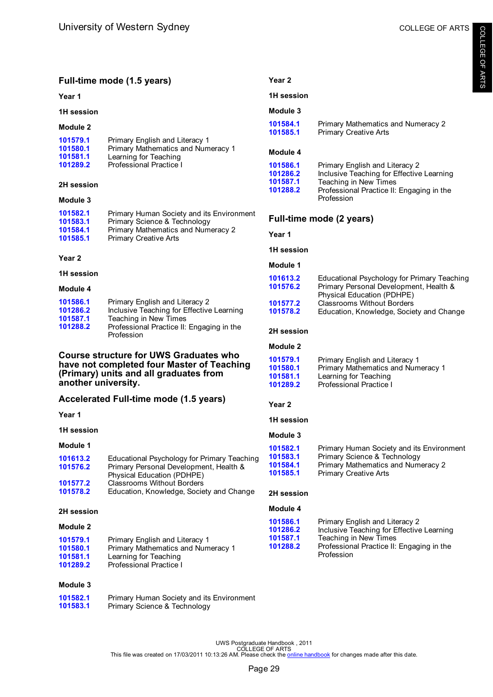|                                                                                                                                                              | Full-time mode (1.5 years)                                                                                               | Year 2                                       |                                                                                                                               |
|--------------------------------------------------------------------------------------------------------------------------------------------------------------|--------------------------------------------------------------------------------------------------------------------------|----------------------------------------------|-------------------------------------------------------------------------------------------------------------------------------|
| Year 1                                                                                                                                                       |                                                                                                                          | 1H session                                   |                                                                                                                               |
| 1H session                                                                                                                                                   |                                                                                                                          | Module 3                                     |                                                                                                                               |
| Module 2<br>101579.1                                                                                                                                         |                                                                                                                          | 101584.1<br>101585.1                         | Primary Mathematics and Numeracy 2<br><b>Primary Creative Arts</b>                                                            |
| 101580.1<br>101581.1                                                                                                                                         | Primary English and Literacy 1<br>Primary Mathematics and Numeracy 1<br>Learning for Teaching                            | Module 4                                     |                                                                                                                               |
| 101289.2                                                                                                                                                     | <b>Professional Practice I</b>                                                                                           | 101586.1<br>101286.2<br>101587.1             | Primary English and Literacy 2<br>Inclusive Teaching for Effective Learning<br>Teaching in New Times                          |
| 2H session<br>Module 3                                                                                                                                       |                                                                                                                          | 101288.2                                     | Professional Practice II: Engaging in the<br>Profession                                                                       |
| 101582.1<br>101583.1<br>101584.1                                                                                                                             | Primary Human Society and its Environment<br>Primary Science & Technology                                                |                                              | Full-time mode (2 years)                                                                                                      |
| 101585.1                                                                                                                                                     | Primary Mathematics and Numeracy 2<br><b>Primary Creative Arts</b>                                                       | Year 1                                       |                                                                                                                               |
| Year 2                                                                                                                                                       |                                                                                                                          | 1H session                                   |                                                                                                                               |
| 1H session                                                                                                                                                   |                                                                                                                          | Module 1                                     |                                                                                                                               |
| Module 4                                                                                                                                                     |                                                                                                                          | 101613.2<br>101576.2                         | Educational Psychology for Primary Teaching<br>Primary Personal Development, Health &<br><b>Physical Education (PDHPE)</b>    |
| 101586.1<br>101286.2<br>101587.1                                                                                                                             | Primary English and Literacy 2<br>Inclusive Teaching for Effective Learning<br>Teaching in New Times                     | 101577.2<br>101578.2                         | <b>Classrooms Without Borders</b><br>Education, Knowledge, Society and Change                                                 |
| 101288.2                                                                                                                                                     | Professional Practice II: Engaging in the<br>Profession                                                                  | <b>2H</b> session                            |                                                                                                                               |
| <b>Course structure for UWS Graduates who</b><br>have not completed four Master of Teaching<br>(Primary) units and all graduates from<br>another university. |                                                                                                                          | Module 2                                     |                                                                                                                               |
|                                                                                                                                                              |                                                                                                                          | 101579.1<br>101580.1<br>101581.1<br>101289.2 | Primary English and Literacy 1<br>Primary Mathematics and Numeracy 1<br>Learning for Teaching<br>Professional Practice I      |
|                                                                                                                                                              | Accelerated Full-time mode (1.5 years)                                                                                   | Year <sub>2</sub>                            |                                                                                                                               |
| Year 1                                                                                                                                                       |                                                                                                                          | 1H session                                   |                                                                                                                               |
| 1H session                                                                                                                                                   |                                                                                                                          | Module 3                                     |                                                                                                                               |
| Module 1                                                                                                                                                     |                                                                                                                          | 101582.1                                     | Primary Human Society and its Environment                                                                                     |
| 101613.2<br>101576.2                                                                                                                                         | Educational Psychology for Primary Teaching<br>Primary Personal Development, Health &<br>Physical Education (PDHPE)      | 101583.1<br>101584.1<br>101585.1             | Primary Science & Technology<br>Primary Mathematics and Numeracy 2<br><b>Primary Creative Arts</b>                            |
| 101577.2<br>101578.2                                                                                                                                         | <b>Classrooms Without Borders</b><br>Education, Knowledge, Society and Change                                            | 2H session                                   |                                                                                                                               |
| 2H session                                                                                                                                                   |                                                                                                                          | Module 4                                     |                                                                                                                               |
| Module 2                                                                                                                                                     |                                                                                                                          | 101586.1                                     | Primary English and Literacy 2                                                                                                |
| 101579.1<br>101580.1<br>101581.1<br>101289.2                                                                                                                 | Primary English and Literacy 1<br>Primary Mathematics and Numeracy 1<br>Learning for Teaching<br>Professional Practice I | 101286.2<br>101587.1<br>101288.2             | Inclusive Teaching for Effective Learning<br>Teaching in New Times<br>Professional Practice II: Engaging in the<br>Profession |
| Module 3                                                                                                                                                     |                                                                                                                          |                                              |                                                                                                                               |
| 101582.1<br>101583.1                                                                                                                                         | Primary Human Society and its Environment<br>Primary Science & Technology                                                |                                              |                                                                                                                               |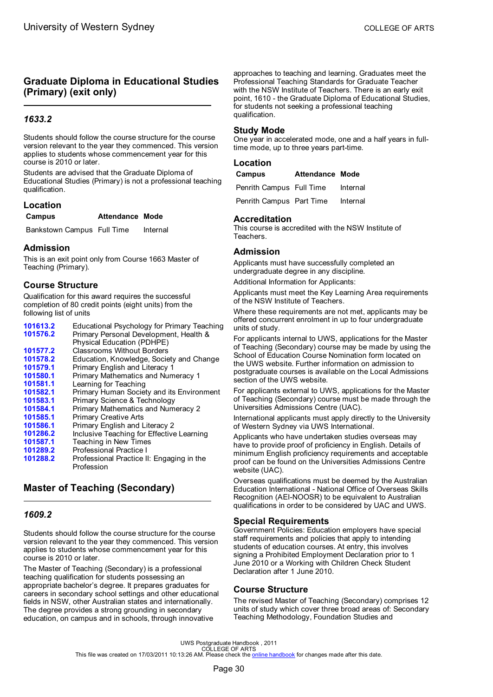# <span id="page-33-0"></span>**Graduate Diploma in Educational Studies (Primary) (exit only)**

# *1633.2*

Students should follow the course structure for the course version relevant to the year they commenced. This version applies to students whose commencement year for this course is 2010 or later.

Students are advised that the Graduate Diploma of Educational Studies (Primary) is not a professional teaching qualification.

#### **Location**

**Campus Attendance Mode**

Bankstown Campus Full Time Internal

# **Admission**

This is an exit point only from Course 1663 Master of Teaching (Primary).

# **Course Structure**

Qualification for this award requires the successful completion of 80 credit points (eight units) from the following list of units

| 101613.2 | Educational Psychology for Primary Teaching |
|----------|---------------------------------------------|
| 101576.2 | Primary Personal Development, Health &      |
|          | Physical Education (PDHPE)                  |
| 101577.2 | <b>Classrooms Without Borders</b>           |
| 101578.2 | Education, Knowledge, Society and Change    |
| 101579.1 | Primary English and Literacy 1              |
| 101580.1 | <b>Primary Mathematics and Numeracy 1</b>   |
| 101581.1 | Learning for Teaching                       |
| 101582.1 | Primary Human Society and its Environment   |
| 101583.1 | Primary Science & Technology                |
| 101584.1 | Primary Mathematics and Numeracy 2          |
| 101585.1 | <b>Primary Creative Arts</b>                |
| 101586.1 | Primary English and Literacy 2              |
| 101286.2 | Inclusive Teaching for Effective Learning   |
| 101587.1 | Teaching in New Times                       |
| 101289.2 | Professional Practice I                     |
| 101288.2 | Professional Practice II: Engaging in the   |
|          | Profession                                  |

# **Master of Teaching (Secondary)**

# *1609.2*

Students should follow the course structure for the course version relevant to the year they commenced. This version applies to students whose commencement year for this course is 2010 or later.

The Master of Teaching (Secondary) is a professional teaching qualification for students possessing an appropriate bachelor's degree. It prepares graduates for careers in secondary school settings and other educational fields in NSW, other Australian states and internationally. The degree provides a strong grounding in secondary education, on campus and in schools, through innovative

approaches to teaching and learning. Graduates meet the Professional Teaching Standards for Graduate Teacher with the NSW Institute of Teachers. There is an early exit point, 1610 - the Graduate Diploma of Educational Studies, for students not seeking a professional teaching qualification.

#### **Study Mode**

One year in accelerated mode, one and a half years in fulltime mode, up to three years part-time.

### **Location**

| Campus                   | <b>Attendance Mode</b> |          |
|--------------------------|------------------------|----------|
| Penrith Campus Full Time |                        | Internal |
| Penrith Campus Part Time |                        | Internal |

### **Accreditation**

This course is accredited with the NSW Institute of Teachers.

### **Admission**

Applicants must have successfully completed an undergraduate degree in any discipline.

Additional Information for Applicants:

Applicants must meet the Key Learning Area requirements of the NSW Institute of Teachers.

Where these requirements are not met, applicants may be offered concurrent enrolment in up to four undergraduate units of study.

For applicants internal to UWS, applications for the Master of Teaching (Secondary) course may be made by using the School of Education Course Nomination form located on the UWS website. Further information on admission to postgraduate courses is available on the Local Admissions section of the UWS website.

For applicants external to UWS, applications for the Master of Teaching (Secondary) course must be made through the Universities Admissions Centre (UAC).

International applicants must apply directly to the University of Western Sydney via UWS International.

Applicants who have undertaken studies overseas may have to provide proof of proficiency in English. Details of minimum English proficiency requirements and acceptable proof can be found on the Universities Admissions Centre website (UAC).

Overseas qualifications must be deemed by the Australian Education International - National Office of Overseas Skills Recognition (AEI-NOOSR) to be equivalent to Australian qualifications in order to be considered by UAC and UWS.

### **Special Requirements**

Government Policies: Education employers have special staff requirements and policies that apply to intending students of education courses. At entry, this involves signing a Prohibited Employment Declaration prior to 1 June 2010 or a Working with Children Check Student Declaration after 1 June 2010.

# **Course Structure**

The revised Master of Teaching (Secondary) comprises 12 units of study which cover three broad areas of: Secondary Teaching Methodology, Foundation Studies and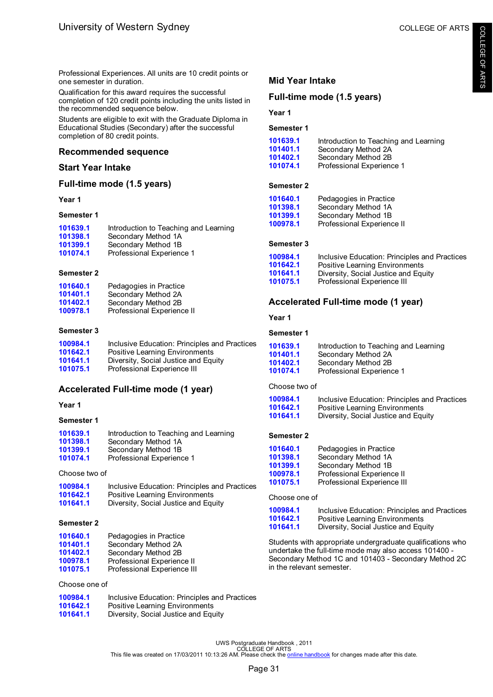Professional Experiences. All units are 10 credit points or one semester in duration.

Qualification for this award requires the successful completion of 120 credit points including the units listed in the recommended sequence below.

Students are eligible to exit with the Graduate Diploma in Educational Studies (Secondary) after the successful completion of 80 credit points.

# **Recommended sequence**

# **Start Year Intake**

# **Full-time mode (1.5 years)**

# **Year 1**

# **Semester 1**

| 101639.1 | Introduction to Teaching and Learning |
|----------|---------------------------------------|
| 101398.1 | Secondary Method 1A                   |
| 101399.1 | Secondary Method 1B                   |
| 101074.1 | Professional Experience 1             |

# **Semester 2**

| 101640.1 | Pedagogies in Practice     |
|----------|----------------------------|
| 101401.1 | Secondary Method 2A        |
| 101402.1 | Secondary Method 2B        |
| 100978.1 | Professional Experience II |

### **Semester 3**

| Inclusive Education: Principles and Practices |
|-----------------------------------------------|
| Positive Learning Environments                |
| Diversity, Social Justice and Equity          |
| Professional Experience III                   |
|                                               |

# **Accelerated Full-time mode (1 year)**

### **Year 1**

### **Semester 1**

| 101639.1 | Introduction to Teaching and Learning |
|----------|---------------------------------------|
| 101398.1 | Secondary Method 1A                   |
| 101399.1 | Secondary Method 1B                   |
| 101074.1 | Professional Experience 1             |

### Choose two of

| 100984.1 | Inclusive Education: Principles and Practices |
|----------|-----------------------------------------------|
| 101642.1 | <b>Positive Learning Environments</b>         |
| 101641.1 | Diversity, Social Justice and Equity          |

### **Semester 2**

| 101640.1 | Pedagogies in Practice      |
|----------|-----------------------------|
| 101401.1 | Secondary Method 2A         |
| 101402.1 | Secondary Method 2B         |
| 100978.1 | Professional Experience II  |
| 101075.1 | Professional Experience III |
|          |                             |

#### Choose one of

| 100984.1 | Inclusive Education: Principles and Practices |
|----------|-----------------------------------------------|
| 101642.1 | <b>Positive Learning Environments</b>         |
| 101641.1 | Diversity, Social Justice and Equity          |

# **Mid Year Intake**

# **Full-time mode (1.5 years)**

### **Year 1**

### **Semester 1**

| 101639.1 | Introduction to Teaching and Learning |
|----------|---------------------------------------|
| 101401.1 | Secondary Method 2A                   |
| 101402.1 | Secondary Method 2B                   |
| 101074.1 | Professional Experience 1             |

### **Semester 2**

| 101640.1 | Pedagogies in Practice     |
|----------|----------------------------|
| 101398.1 | Secondary Method 1A        |
| 101399.1 | Secondary Method 1B        |
| 100978.1 | Professional Experience II |

### **Semester 3**

| 100984.1 | Inclusive Education: Principles and Practices |
|----------|-----------------------------------------------|
| 101642.1 | Positive Learning Environments                |
| 101641.1 | Diversity, Social Justice and Equity          |
| 101075.1 | Professional Experience III                   |

# **Accelerated Full-time mode (1 year)**

**Year 1**

# **Semester 1**

| 101639.1 | Introduction to Teaching and Learning |
|----------|---------------------------------------|
| 101401.1 | Secondary Method 2A                   |
| 101402.1 | Secondary Method 2B                   |
| 101074.1 | Professional Experience 1             |

Choose two of

| 100984.1 | Inclusive Education: Principles and Practices |
|----------|-----------------------------------------------|
| 101642.1 | Positive Learning Environments                |
| 101641.1 | Diversity, Social Justice and Equity          |

### **Semester 2**

| 101640.1 | Pedagogies in Practice      |
|----------|-----------------------------|
| 101398.1 | Secondary Method 1A         |
| 101399.1 | Secondary Method 1B         |
| 100978.1 | Professional Experience II  |
| 101075.1 | Professional Experience III |

#### Choose one of

| 100984.1 | Inclusive Education: Principles and Practices |
|----------|-----------------------------------------------|
| 101642.1 | <b>Positive Learning Environments</b>         |
| 101641.1 | Diversity, Social Justice and Equity          |

Students with appropriate undergraduate qualifications who undertake the full-time mode may also access 101400 - Secondary Method 1C and 101403 - Secondary Method 2C in the relevant semester.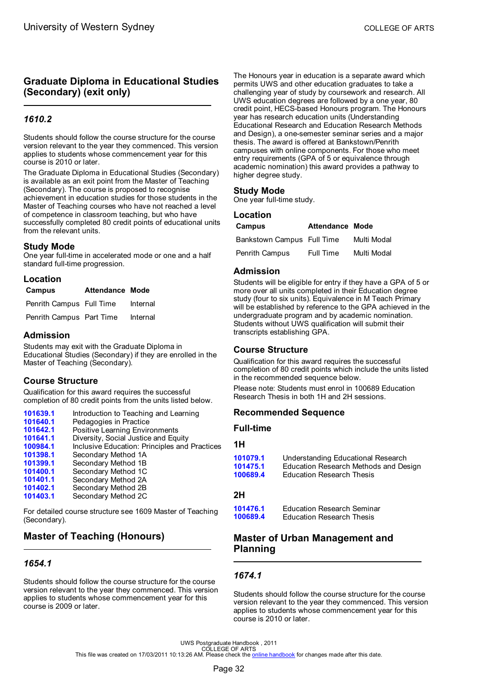# <span id="page-35-0"></span>**Graduate Diploma in Educational Studies (Secondary) (exit only)**

# *1610.2*

Students should follow the course structure for the course version relevant to the year they commenced. This version applies to students whose commencement year for this course is 2010 or later.

The Graduate Diploma in Educational Studies (Secondary) is available as an exit point from the Master of Teaching (Secondary). The course is proposed to recognise achievement in education studies for those students in the Master of Teaching courses who have not reached a level of competence in classroom teaching, but who have successfully completed 80 credit points of educational units from the relevant units.

### **Study Mode**

One year full-time in accelerated mode or one and a half standard full-time progression.

### **Location**

| Campus                   | Attendance Mode |          |
|--------------------------|-----------------|----------|
| Penrith Campus Full Time |                 | Internal |
| Penrith Campus Part Time |                 | Internal |

# **Admission**

Students may exit with the Graduate Diploma in Educational Studies (Secondary) if they are enrolled in the Master of Teaching (Secondary).

# **Course Structure**

Qualification for this award requires the successful completion of 80 credit points from the units listed below.

| 101639.1 | Introduction to Teaching and Learning         |
|----------|-----------------------------------------------|
| 101640.1 | Pedagogies in Practice                        |
| 101642.1 | <b>Positive Learning Environments</b>         |
| 101641.1 | Diversity, Social Justice and Equity          |
| 100984.1 | Inclusive Education: Principles and Practices |
| 101398.1 | Secondary Method 1A                           |
| 101399.1 | Secondary Method 1B                           |
| 101400.1 | Secondary Method 1C                           |
| 101401.1 | Secondary Method 2A                           |
| 101402.1 | Secondary Method 2B                           |
| 101403.1 | Secondary Method 2C                           |
|          |                                               |

For detailed course structure see 1609 Master of Teaching (Secondary).

# **Master of Teaching (Honours)**

# *1654.1*

Students should follow the course structure for the course version relevant to the year they commenced. This version applies to students whose commencement year for this course is 2009 or later.

The Honours year in education is a separate award which permits UWS and other education graduates to take a challenging year of study by coursework and research. All UWS education degrees are followed by a one year, 80 credit point, HECS-based Honours program. The Honours year has research education units (Understanding Educational Research and Education Research Methods and Design), a one-semester seminar series and a major thesis. The award is offered at Bankstown/Penrith campuses with online components. For those who meet entry requirements (GPA of 5 or equivalence through academic nomination) this award provides a pathway to higher degree study.

### **Study Mode**

One year full-time study.

# **Location**

| Campus                     | <b>Attendance Mode</b> |             |
|----------------------------|------------------------|-------------|
| Bankstown Campus Full Time |                        | Multi Modal |
| <b>Penrith Campus</b>      | <b>Full Time</b>       | Multi Modal |

### **Admission**

Students will be eligible for entry if they have a GPA of 5 or more over all units completed in their Education degree study (four to six units). Equivalence in M Teach Primary will be established by reference to the GPA achieved in the undergraduate program and by academic nomination. Students without UWS qualification will submit their transcripts establishing GPA.

### **Course Structure**

Qualification for this award requires the successful completion of 80 credit points which include the units listed in the recommended sequence below.

Please note: Students must enrol in 100689 Education Research Thesis in both 1H and 2H sessions.

# **Recommended Sequence**

### **Full-time**

# **1H**

| 101079.1 | Understanding Educational Research    |
|----------|---------------------------------------|
| 101475.1 | Education Research Methods and Design |
| 100689.4 | <b>Education Research Thesis</b>      |
|          |                                       |

**[100689.4](#page-48-0)** Education Research Thesis

### **2H**

**[101476.1](#page-48-0)** Education Research Seminar<br>**100689.4** Education Research Thesis

# **Master of Urban Management and Planning**

# *1674.1*

Students should follow the course structure for the course version relevant to the year they commenced. This version applies to students whose commencement year for this course is 2010 or later.

UWS Postgraduate Handbook , 2011 COLLEGE OF ARTS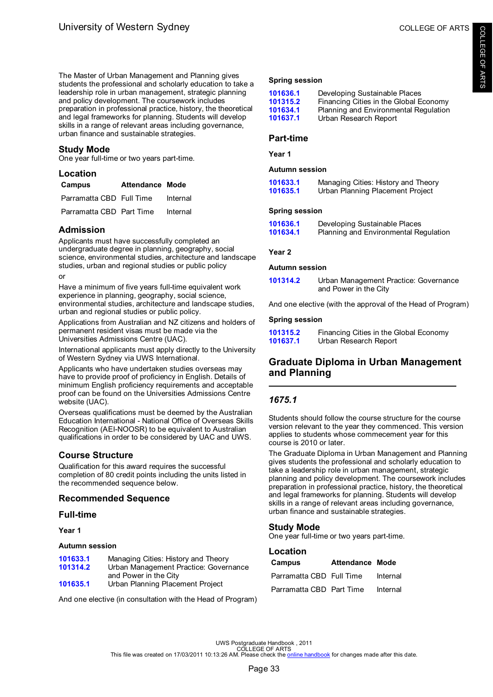The Master of Urban Management and Planning gives students the professional and scholarly education to take a leadership role in urban management, strategic planning and policy development. The coursework includes preparation in professional practice, history, the theoretical and legal frameworks for planning. Students will develop skills in a range of relevant areas including governance, urban finance and sustainable strategies.

### **Study Mode**

One year full-time or two years part-time.

# **Location**

| Campus                   | Attendance Mode |          |
|--------------------------|-----------------|----------|
| Parramatta CBD Full Time |                 | Internal |
| Parramatta CBD Part Time |                 | Internal |

# **Admission**

Applicants must have successfully completed an undergraduate degree in planning, geography, social science, environmental studies, architecture and landscape studies, urban and regional studies or public policy or

Have a minimum of five years full-time equivalent work experience in planning, geography, social science, environmental studies, architecture and landscape studies, urban and regional studies or public policy.

Applications from Australian and NZ citizens and holders of permanent resident visas must be made via the Universities Admissions Centre (UAC).

International applicants must apply directly to the University of Western Sydney via UWS International.

Applicants who have undertaken studies overseas may have to provide proof of proficiency in English. Details of minimum English proficiency requirements and acceptable proof can be found on the Universities Admissions Centre website (UAC).

Overseas qualifications must be deemed by the Australian Education International - National Office of Overseas Skills Recognition (AEI-NOOSR) to be equivalent to Australian qualifications in order to be considered by UAC and UWS.

# **Course Structure**

Qualification for this award requires the successful completion of 80 credit points including the units listed in the recommended sequence below.

### **Recommended Sequence**

### **Full-time**

**Year 1**

#### **Autumn session**

| 101633.1 | Managing Cities: History and Theory   |
|----------|---------------------------------------|
| 101314.2 | Urban Management Practice: Governance |
|          | and Power in the City                 |
| 101635.1 | Urban Planning Placement Project      |

And one elective (in consultation with the Head of Program)

### **Spring session**

| 101636.1 | Developing Sustainable Places          |
|----------|----------------------------------------|
| 101315.2 | Financing Cities in the Global Economy |
| 101634.1 | Planning and Environmental Regulation  |
| 101637.1 | Urban Research Report                  |

### **Part-time**

**Year 1**

#### **Autumn session**

| 101633.1 | Managing Cities: History and Theory |
|----------|-------------------------------------|
| 101635.1 | Urban Planning Placement Project    |

#### **Spring session**

| 101636.1 | Developing Sustainable Places         |
|----------|---------------------------------------|
| 101634.1 | Planning and Environmental Regulation |

### **Year 2**

#### **Autumn session**

**[101314.2](#page-71-0)** Urban Management Practice: Governance and Power in the City

And one elective (with the approval of the Head of Program)

#### **Spring session**

| 101315.2 | Financing Cities in the Global Economy |
|----------|----------------------------------------|
| 101637.1 | Urban Research Report                  |

# **Graduate Diploma in Urban Management and Planning**

# *1675.1*

Students should follow the course structure for the course version relevant to the year they commenced. This version applies to students whose commecement year for this course is 2010 or later.

The Graduate Diploma in Urban Management and Planning gives students the professional and scholarly education to take a leadership role in urban management, strategic planning and policy development. The coursework includes preparation in professional practice, history, the theoretical and legal frameworks for planning. Students will develop skills in a range of relevant areas including governance, urban finance and sustainable strategies.

# **Study Mode**

One year full-time or two years part-time.

| Location                 |                 |          |
|--------------------------|-----------------|----------|
| Campus                   | Attendance Mode |          |
| Parramatta CBD Full Time |                 | Internal |
| Parramatta CBD Part Time |                 | Internal |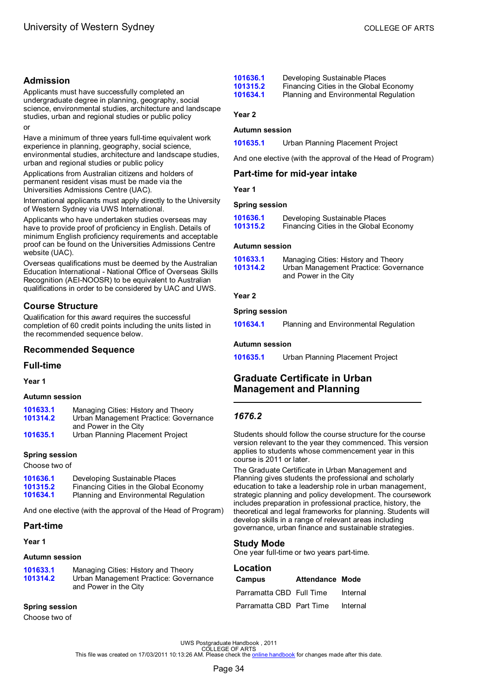Applicants must have successfully completed an undergraduate degree in planning, geography, social science, environmental studies, architecture and landscape studies, urban and regional studies or public policy or

Have a minimum of three years full-time equivalent work experience in planning, geography, social science, environmental studies, architecture and landscape studies, urban and regional studies or public policy

Applications from Australian citizens and holders of permanent resident visas must be made via the Universities Admissions Centre (UAC).

International applicants must apply directly to the University of Western Sydney via UWS International.

Applicants who have undertaken studies overseas may have to provide proof of proficiency in English. Details of minimum English proficiency requirements and acceptable proof can be found on the Universities Admissions Centre website (UAC).

Overseas qualifications must be deemed by the Australian Education International - National Office of Overseas Skills Recognition (AEI-NOOSR) to be equivalent to Australian qualifications in order to be considered by UAC and UWS.

# **Course Structure**

Qualification for this award requires the successful completion of 60 credit points including the units listed in the recommended sequence below.

# **Recommended Sequence**

### **Full-time**

**Year 1**

### **Autumn session**

| 101633.1 | Managing Cities: History and Theory   |
|----------|---------------------------------------|
| 101314.2 | Urban Management Practice: Governance |
|          | and Power in the City                 |
| 101635.1 | Urban Planning Placement Project      |

### **Spring session**

Choose two of

| 101636.1 | Developing Sustainable Places          |
|----------|----------------------------------------|
| 101315.2 | Financing Cities in the Global Economy |
| 101634.1 | Planning and Environmental Regulation  |

And one elective (with the approval of the Head of Program)

# **Part-time**

**Year 1**

#### **Autumn session**

| 101633.1 | Managing Cities: History and Theory   |
|----------|---------------------------------------|
| 101314.2 | Urban Management Practice: Governance |
|          | and Power in the City                 |

#### **Spring session**

Choose two of

#### **[101636.1](#page-47-0)** Developing Sustainable Places<br>**101315.2** Financing Cities in the Global E **[101315.2](#page-50-0)** Financing Cities in the Global Economy<br>**101634.1** Planning and Environmental Regulation **[101634.1](#page-60-0)** Planning and Environmental Regulation

### **Year 2**

### **Autumn session**

**[101635.1](#page-71-0)** Urban Planning Placement Project

And one elective (with the approval of the Head of Program)

### **Part-time for mid-year intake**

**Year 1**

#### **Spring session**

| 101636.1 | Developing Sustainable Places          |
|----------|----------------------------------------|
| 101315.2 | Financing Cities in the Global Economy |

#### **Autumn session**

| 101633.1 | Managing Cities: History and Theory   |
|----------|---------------------------------------|
| 101314.2 | Urban Management Practice: Governance |
|          | and Power in the City                 |

### **Year 2**

#### **Spring session**

**[101634.1](#page-60-0)** Planning and Environmental Regulation

#### **Autumn session**

**[101635.1](#page-71-0)** Urban Planning Placement Project

# **Graduate Certificate in Urban Management and Planning**

# *1676.2*

Students should follow the course structure for the course version relevant to the year they commenced. This version applies to students whose commencement year in this course is 2011 or later.

The Graduate Certificate in Urban Management and Planning gives students the professional and scholarly education to take a leadership role in urban management, strategic planning and policy development. The coursework includes preparation in professional practice, history, the theoretical and legal frameworks for planning. Students will develop skills in a range of relevant areas including governance, urban finance and sustainable strategies.

# **Study Mode**

One year full-time or two years part-time.

| Location                 |                 |          |  |  |
|--------------------------|-----------------|----------|--|--|
| Campus                   | Attendance Mode |          |  |  |
| Parramatta CBD Full Time |                 | Internal |  |  |
| Parramatta CBD Part Time |                 | Internal |  |  |

UWS Postgraduate Handbook , 2011 COLLEGE OF ARTS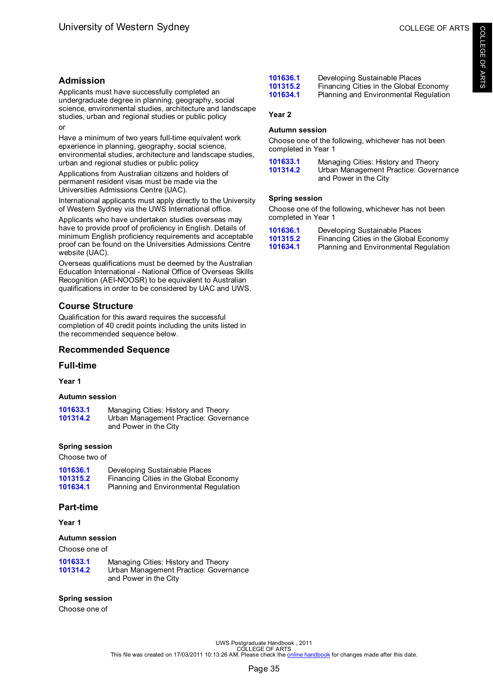# **Admission**

Applicants must have successfully completed an undergraduate degree in planning, geography, social science, environmental studies, architecture and landscape studies, urban and regional studies or public policy or

Have a minimum of two years full-time equivalent work epxerience in planning, geography, social science, environmental studies, architecture and landscape studies, urban and regional studies or public policy

Applications from Australian citizens and holders of permanent resident visas must be made via the Universities Admissions Centre (UAC).

International applicants must apply directly to the University of Western Sydney via the UWS International office.

Applicants who have undertaken studies overseas may have to provide proof of proficiency in English. Details of minimum English proficiency requirements and acceptable proof can be found on the Universities Admissions Centre website (UAC).

Overseas qualifications must be deemed by the Australian Education International - National Office of Overseas Skills Recognition (AEI-NOOSR) to be equivalent to Australian qualifications in order to be considered by UAC and UWS.

# **Course Structure**

Qualification for this award requires the successful completion of 40 credit points including the units listed in the recommended sequence below.

### **Recommended Sequence**

### **Full-time**

**Year 1**

#### **Autumn session**

| 101633.1 | Managing Cities: History and Theory   |
|----------|---------------------------------------|
| 101314.2 | Urban Management Practice: Governance |
|          | and Power in the City                 |

### **Spring session**

Choose two of

| 101636.1 | Developing Sustainable Places          |
|----------|----------------------------------------|
| 101315.2 | Financing Cities in the Global Economy |
| 101634.1 | Planning and Environmental Regulation  |

### **Part-time**

**Year 1**

### **Autumn session**

Choose one of

| 101633.1 | Managing Cities: History and Theory   |
|----------|---------------------------------------|
| 101314.2 | Urban Management Practice: Governance |
|          | and Power in the City                 |

#### **Spring session**

Choose one of

| 101636.1 | Developing Sustainable Places          |
|----------|----------------------------------------|
| 101315.2 | Financing Cities in the Global Economy |
| 101634.1 | Planning and Environmental Regulation  |

# **Year 2**

### **Autumn session**

Choose one of the following, whichever has not been completed in Year 1

**[101633.1](#page-57-0)** Managing Cities: History and Theory **[101314.2](#page-71-0)** Urban Management Practice: Governance and Power in the City

### **Spring session**

Choose one of the following, whichever has not been completed in Year 1

| 101636.1 | Developing Sustainable Places          |
|----------|----------------------------------------|
| 101315.2 | Financing Cities in the Global Economy |
| 101634.1 | Planning and Environmental Regulation  |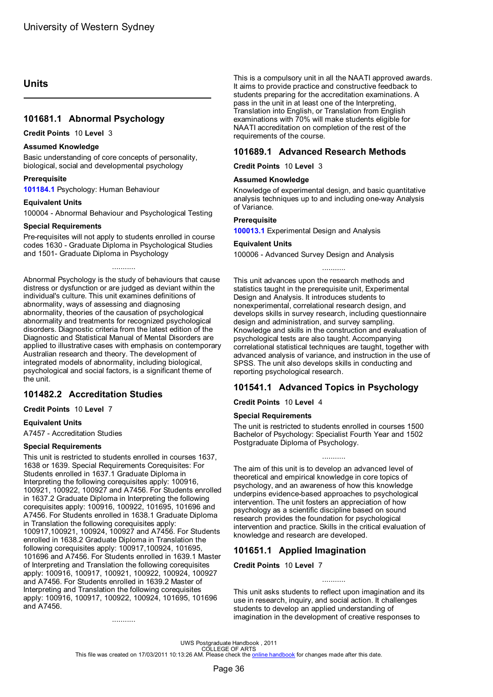# **Units**

# **101681.1 Abnormal Psychology**

**Credit Points** 10 **Level** 3

#### **Assumed Knowledge**

Basic understanding of core concepts of personality, biological, social and developmental psychology

### **Prerequisite**

**[101184.1](#page-66-0)** Psychology: Human Behaviour

#### **Equivalent Units**

100004 - Abnormal Behaviour and Psychological Testing

#### **Special Requirements**

Pre-requisites will not apply to students enrolled in course codes 1630 - Graduate Diploma in Psychological Studies and 1501- Graduate Diploma in Psychology

...........

Abnormal Psychology is the study of behaviours that cause distress or dysfunction or are judged as deviant within the individual's culture. This unit examines definitions of abnormality, ways of assessing and diagnosing abnormality, theories of the causation of psychological abnormality and treatments for recognized psychological disorders. Diagnostic criteria from the latest edition of the Diagnostic and Statistical Manual of Mental Disorders are applied to illustrative cases with emphasis on contemporary Australian research and theory. The development of integrated models of abnormality, including biological, psychological and social factors, is a significant theme of the unit.

# **101482.2 Accreditation Studies**

#### **Credit Points** 10 **Level** 7

### **Equivalent Units**

A7457 - Accreditation Studies

#### **Special Requirements**

This unit is restricted to students enrolled in courses 1637, 1638 or 1639. Special Requirements Corequisites: For Students enrolled in 1637.1 Graduate Diploma in Interpreting the following corequisites apply: 100916, 100921, 100922, 100927 and A7456. For Students enrolled in 1637.2 Graduate Diploma in Interpreting the following corequisites apply: 100916, 100922, 101695, 101696 and A7456. For Students enrolled in 1638.1 Graduate Diploma in Translation the following corequisites apply: 100917,100921, 100924, 100927 and A7456. For Students enrolled in 1638.2 Graduate Diploma in Translation the following corequisites apply: 100917,100924, 101695, 101696 and A7456. For Students enrolled in 1639.1 Master of Interpreting and Translation the following corequisites apply: 100916, 100917, 100921, 100922, 100924, 100927 and A7456. For Students enrolled in 1639.2 Master of Interpreting and Translation the following corequisites apply: 100916, 100917, 100922, 100924, 101695, 101696 and A7456.

...........

This is a compulsory unit in all the NAATI approved awards. It aims to provide practice and constructive feedback to students preparing for the accreditation examinations. A pass in the unit in at least one of the Interpreting, Translation into English, or Translation from English examinations with 70% will make students eligible for NAATI accreditation on completion of the rest of the requirements of the course.

# **101689.1 Advanced Research Methods**

#### **Credit Points** 10 **Level** 3

#### **Assumed Knowledge**

Knowledge of experimental design, and basic quantitative analysis techniques up to and including one-way Analysis of Variance.

#### **Prerequisite**

**[100013.1](#page-50-0)** Experimental Design and Analysis

#### **Equivalent Units**

100006 - Advanced Survey Design and Analysis

This unit advances upon the research methods and statistics taught in the prerequisite unit, Experimental Design and Analysis. It introduces students to nonexperimental, correlational research design, and develops skills in survey research, including questionnaire design and administration, and survey sampling. Knowledge and skills in the construction and evaluation of psychological tests are also taught. Accompanying correlational statistical techniques are taught, together with advanced analysis of variance, and instruction in the use of SPSS. The unit also develops skills in conducting and reporting psychological research.

...........

# **101541.1 Advanced Topics in Psychology**

**Credit Points** 10 **Level** 4

### **Special Requirements**

The unit is restricted to students enrolled in courses 1500 Bachelor of Psychology: Specialist Fourth Year and 1502 Postgraduate Diploma of Psychology.

...........

The aim of this unit is to develop an advanced level of theoretical and empirical knowledge in core topics of psychology, and an awareness of how this knowledge underpins evidence-based approaches to psychological intervention. The unit fosters an appreciation of how psychology as a scientific discipline based on sound research provides the foundation for psychological intervention and practice. Skills in the critical evaluation of knowledge and research are developed.

# **101651.1 Applied Imagination**

**Credit Points** 10 **Level** 7

This unit asks students to reflect upon imagination and its use in research, inquiry, and social action. It challenges students to develop an applied understanding of imagination in the development of creative responses to

...........

UWS Postgraduate Handbook , 2011 COLLEGE OF ARTS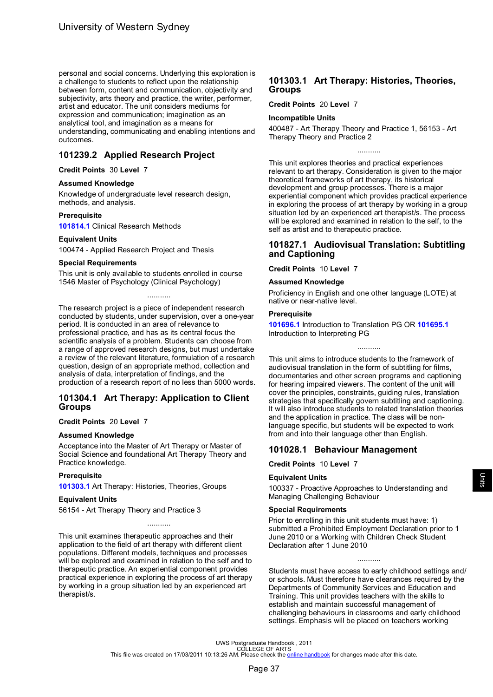<span id="page-40-0"></span>personal and social concerns. Underlying this exploration is a challenge to students to reflect upon the relationship between form, content and communication, objectivity and subjectivity, arts theory and practice, the writer, performer, artist and educator. The unit considers mediums for expression and communication; imagination as an analytical tool, and imagination as a means for understanding, communicating and enabling intentions and outcomes.

# **101239.2 Applied Research Project**

**Credit Points** 30 **Level** 7

#### **Assumed Knowledge**

Knowledge of undergraduate level research design, methods, and analysis.

#### **Prerequisite**

**[101814.1](#page-43-0)** Clinical Research Methods

#### **Equivalent Units**

100474 - Applied Research Project and Thesis

#### **Special Requirements**

This unit is only available to students enrolled in course 1546 Master of Psychology (Clinical Psychology)

...........

The research project is a piece of independent research conducted by students, under supervision, over a one-year period. It is conducted in an area of relevance to professional practice, and has as its central focus the scientific analysis of a problem. Students can choose from a range of approved research designs, but must undertake a review of the relevant literature, formulation of a research question, design of an appropriate method, collection and analysis of data, interpretation of findings, and the production of a research report of no less than 5000 words.

# **101304.1 Art Therapy: Application to Client Groups**

#### **Credit Points** 20 **Level** 7

#### **Assumed Knowledge**

Acceptance into the Master of Art Therapy or Master of Social Science and foundational Art Therapy Theory and Practice knowledge.

#### **Prerequisite**

**101303.1** Art Therapy: Histories, Theories, Groups

#### **Equivalent Units**

56154 - Art Therapy Theory and Practice 3

This unit examines therapeutic approaches and their application to the field of art therapy with different client populations. Different models, techniques and processes will be explored and examined in relation to the self and to therapeutic practice. An experiential component provides practical experience in exploring the process of art therapy by working in a group situation led by an experienced art therapist/s.

...........

# **101303.1 Art Therapy: Histories, Theories, Groups**

**Credit Points** 20 **Level** 7

#### **Incompatible Units**

400487 - Art Therapy Theory and Practice 1, 56153 - Art Therapy Theory and Practice 2

...........

This unit explores theories and practical experiences relevant to art therapy. Consideration is given to the major theoretical frameworks of art therapy, its historical development and group processes. There is a major experiential component which provides practical experience in exploring the process of art therapy by working in a group situation led by an experienced art therapist/s. The process will be explored and examined in relation to the self, to the self as artist and to therapeutic practice.

### **101827.1 Audiovisual Translation: Subtitling and Captioning**

**Credit Points** 10 **Level** 7

#### **Assumed Knowledge**

Proficiency in English and one other language (LOTE) at native or near-native level.

#### **Prerequisite**

**[101696.1](#page-54-0)** Introduction to Translation PG OR **[101695.1](#page-54-0)** Introduction to Interpreting PG

This unit aims to introduce students to the framework of audiovisual translation in the form of subtitling for films, documentaries and other screen programs and captioning for hearing impaired viewers. The content of the unit will cover the principles, constraints, guiding rules, translation strategies that specifically govern subtitling and captioning. It will also introduce students to related translation theories and the application in practice. The class will be nonlanguage specific, but students will be expected to work from and into their language other than English.

...........

# **101028.1 Behaviour Management**

#### **Credit Points** 10 **Level** 7

#### **Equivalent Units**

100337 - Proactive Approaches to Understanding and Managing Challenging Behaviour

#### **Special Requirements**

Prior to enrolling in this unit students must have: 1) submitted a Prohibited Employment Declaration prior to 1 June 2010 or a Working with Children Check Student Declaration after 1 June 2010

Students must have access to early childhood settings and/ or schools. Must therefore have clearances required by the Departments of Community Services and Education and Training. This unit provides teachers with the skills to establish and maintain successful management of challenging behaviours in classrooms and early childhood settings. Emphasis will be placed on teachers working

...........

UWS Postgraduate Handbook , 2011 COLLEGE OF ARTS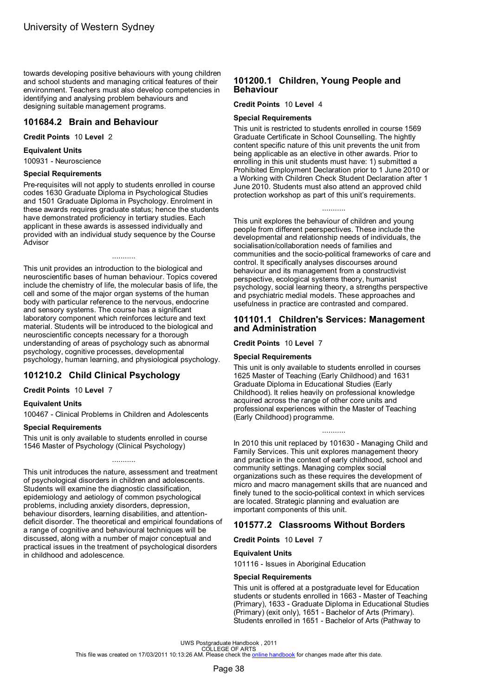towards developing positive behaviours with young children and school students and managing critical features of their environment. Teachers must also develop competencies in identifying and analysing problem behaviours and designing suitable management programs.

# **101684.2 Brain and Behaviour**

### **Credit Points** 10 **Level** 2

#### **Equivalent Units**

100931 - Neuroscience

#### **Special Requirements**

Pre-requisites will not apply to students enrolled in course codes 1630 Graduate Diploma in Psychological Studies and 1501 Graduate Diploma in Psychology. Enrolment in these awards requires graduate status; hence the students have demonstrated proficiency in tertiary studies. Each applicant in these awards is assessed individually and provided with an individual study sequence by the Course Advisor

...........

This unit provides an introduction to the biological and neuroscientific bases of human behaviour. Topics covered include the chemistry of life, the molecular basis of life, the cell and some of the major organ systems of the human body with particular reference to the nervous, endocrine and sensory systems. The course has a significant laboratory component which reinforces lecture and text material. Students will be introduced to the biological and neuroscientific concepts necessary for a thorough understanding of areas of psychology such as abnormal psychology, cognitive processes, developmental psychology, human learning, and physiological psychology.

# **101210.2 Child Clinical Psychology**

#### **Credit Points** 10 **Level** 7

#### **Equivalent Units**

100467 - Clinical Problems in Children and Adolescents

#### **Special Requirements**

This unit is only available to students enrolled in course 1546 Master of Psychology (Clinical Psychology)

This unit introduces the nature, assessment and treatment of psychological disorders in children and adolescents. Students will examine the diagnostic classification, epidemiology and aetiology of common psychological problems, including anxiety disorders, depression, behaviour disorders, learning disabilities, and attentiondeficit disorder. The theoretical and empirical foundations of a range of cognitive and behavioural techniques will be discussed, along with a number of major conceptual and practical issues in the treatment of psychological disorders in childhood and adolescence.

...........

# **101200.1 Children, Young People and Behaviour**

#### **Credit Points** 10 **Level** 4

#### **Special Requirements**

This unit is restricted to students enrolled in course 1569 Graduate Certificate in School Counselling. The hightly content specific nature of this unit prevents the unit from being applicable as an elective in other awards. Prior to enrolling in this unit students must have: 1) submitted a Prohibited Employment Declaration prior to 1 June 2010 or a Working with Children Check Student Declaration after 1 June 2010. Students must also attend an approved child protection workshop as part of this unit's requirements.

This unit explores the behaviour of children and young people from different peerspectives. These include the developmental and relationship needs of individuals, the socialisation/collaboration needs of families and communities and the socio-political frameworks of care and control. It specifically analyses discourses around behaviour and its management from a constructivist perspective, ecological systems theory, humanist psychology, social learning theory, a strengths perspective and psychiatric medial models. These approaches and usefulness in practice are contrasted and compared.

...........

# **101101.1 Children's Services: Management and Administration**

**Credit Points** 10 **Level** 7

#### **Special Requirements**

This unit is only available to students enrolled in courses 1625 Master of Teaching (Early Childhood) and 1631 Graduate Diploma in Educational Studies (Early Childhood). It relies heavily on professional knowledge acquired across the range of other core units and professional experiences within the Master of Teaching (Early Childhood) programme.

In 2010 this unit replaced by 101630 - Managing Child and Family Services. This unit explores management theory and practice in the context of early childhood, school and community settings. Managing complex social organizations such as these requires the development of micro and macro management skills that are nuanced and finely tuned to the socio-political context in which services are located. Strategic planning and evaluation are important components of this unit.

...........

# **101577.2 Classrooms Without Borders**

#### **Credit Points** 10 **Level** 7

#### **Equivalent Units**

101116 - Issues in Aboriginal Education

#### **Special Requirements**

This unit is offered at a postgraduate level for Education students or students enrolled in 1663 - Master of Teaching (Primary), 1633 - Graduate Diploma in Educational Studies (Primary) (exit only), 1651 - Bachelor of Arts (Primary). Students enrolled in 1651 - Bachelor of Arts (Pathway to

UWS Postgraduate Handbook , 2011 COLLEGE OF ARTS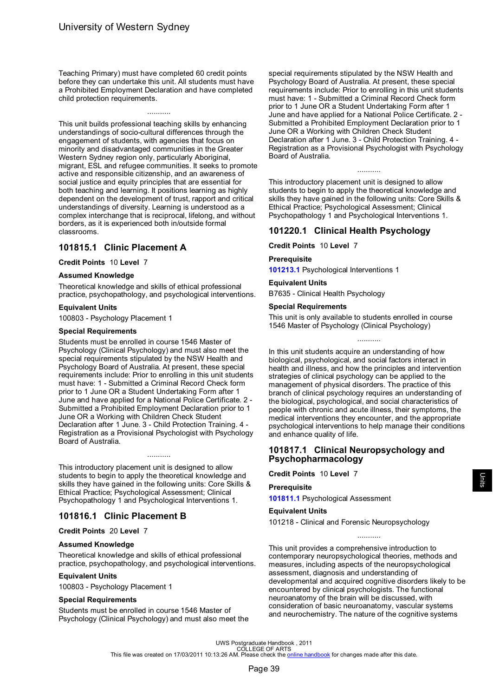Teaching Primary) must have completed 60 credit points before they can undertake this unit. All students must have a Prohibited Employment Declaration and have completed child protection requirements.

#### ...........

This unit builds professional teaching skills by enhancing understandings of socio-cultural differences through the engagement of students, with agencies that focus on minority and disadvantaged communities in the Greater Western Sydney region only, particularly Aboriginal, migrant, ESL and refugee communities. It seeks to promote active and responsible citizenship, and an awareness of social justice and equity principles that are essential for both teaching and learning. It positions learning as highly dependent on the development of trust, rapport and critical understandings of diversity. Learning is understood as a complex interchange that is reciprocal, lifelong, and without borders, as it is experienced both in/outside formal classrooms.

# **101815.1 Clinic Placement A**

**Credit Points** 10 **Level** 7

#### **Assumed Knowledge**

Theoretical knowledge and skills of ethical professional practice, psychopathology, and psychological interventions.

#### **Equivalent Units**

100803 - Psychology Placement 1

#### **Special Requirements**

Students must be enrolled in course 1546 Master of Psychology (Clinical Psychology) and must also meet the special requirements stipulated by the NSW Health and Psychology Board of Australia. At present, these special requirements include: Prior to enrolling in this unit students must have: 1 - Submitted a Criminal Record Check form prior to 1 June OR a Student Undertaking Form after 1 June and have applied for a National Police Certificate. 2 - Submitted a Prohibited Employment Declaration prior to 1 June OR a Working with Children Check Student Declaration after 1 June. 3 - Child Protection Training. 4 - Registration as a Provisional Psychologist with Psychology Board of Australia.

This introductory placement unit is designed to allow students to begin to apply the theoretical knowledge and skills they have gained in the following units: Core Skills & Ethical Practice; Psychological Assessment; Clinical Psychopathology 1 and Psychological Interventions 1.

...........

# **101816.1 Clinic Placement B**

#### **Credit Points** 20 **Level** 7

#### **Assumed Knowledge**

Theoretical knowledge and skills of ethical professional practice, psychopathology, and psychological interventions.

#### **Equivalent Units**

100803 - Psychology Placement 1

#### **Special Requirements**

Students must be enrolled in course 1546 Master of Psychology (Clinical Psychology) and must also meet the special requirements stipulated by the NSW Health and Psychology Board of Australia. At present, these special requirements include: Prior to enrolling in this unit students must have: 1 - Submitted a Criminal Record Check form prior to 1 June OR a Student Undertaking Form after 1 June and have applied for a National Police Certificate. 2 - Submitted a Prohibited Employment Declaration prior to 1 June OR a Working with Children Check Student Declaration after 1 June. 3 - Child Protection Training. 4 - Registration as a Provisional Psychologist with Psychology Board of Australia.

This introductory placement unit is designed to allow students to begin to apply the theoretical knowledge and skills they have gained in the following units: Core Skills & Ethical Practice; Psychological Assessment; Clinical Psychopathology 1 and Psychological Interventions 1.

# **101220.1 Clinical Health Psychology**

**Credit Points** 10 **Level** 7

**Prerequisite**

**101213.1** Psychological Interventions 1

**Equivalent Units**

B7635 - Clinical Health Psychology

#### **Special Requirements**

This unit is only available to students enrolled in course 1546 Master of Psychology (Clinical Psychology)

...........

In this unit students acquire an understanding of how biological, psychological, and social factors interact in health and illness, and how the principles and intervention strategies of clinical psychology can be applied to the management of physical disorders. The practice of this branch of clinical psychology requires an understanding of the biological, psychological, and social characteristics of people with chronic and acute illness, their symptoms, the medical interventions they encounter, and the appropriate psychological interventions to help manage their conditions and enhance quality of life.

#### **101817.1 Clinical Neuropsychology and Psychopharmacology**

**Credit Points** 10 **Level** 7

#### **Prerequisite**

**[101811.1](#page-66-0)** Psychological Assessment

#### **Equivalent Units**

101218 - Clinical and Forensic Neuropsychology

This unit provides a comprehensive introduction to contemporary neuropsychological theories, methods and measures, including aspects of the neuropsychological assessment, diagnosis and understanding of developmental and acquired cognitive disorders likely to be encountered by clinical psychologists. The functional neuroanatomy of the brain will be discussed, with consideration of basic neuroanatomy, vascular systems and neurochemistry. The nature of the cognitive systems

...........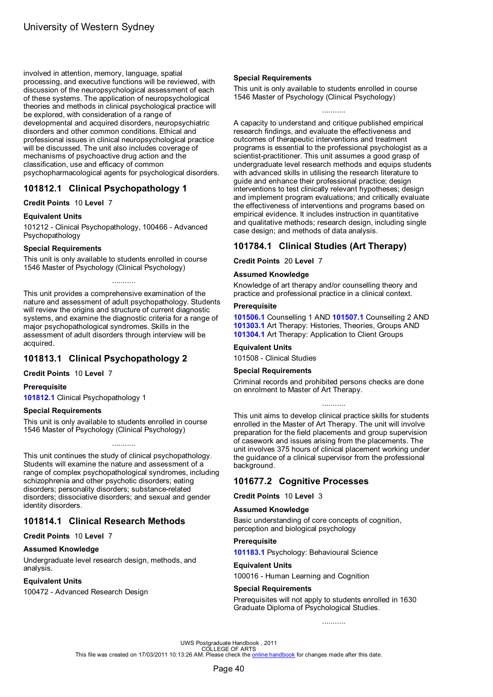<span id="page-43-0"></span>involved in attention, memory, language, spatial processing, and executive functions will be reviewed, with discussion of the neuropsychological assessment of each of these systems. The application of neuropsychological theories and methods in clinical psychological practice will be explored, with consideration of a range of developmental and acquired disorders, neuropsychiatric disorders and other common conditions. Ethical and professional issues in clinical neuropsychological practice will be discussed. The unit also includes coverage of mechanisms of psychoactive drug action and the classification, use and efficacy of common psychopharmacological agents for psychological disorders.

# **101812.1 Clinical Psychopathology 1**

**Credit Points** 10 **Level** 7

#### **Equivalent Units**

101212 - Clinical Psychopathology, 100466 - Advanced Psychopathology

#### **Special Requirements**

This unit is only available to students enrolled in course 1546 Master of Psychology (Clinical Psychology)

This unit provides a comprehensive examination of the nature and assessment of adult psychopathology. Students will review the origins and structure of current diagnostic systems, and examine the diagnostic criteria for a range of major psychopathological syndromes. Skills in the assessment of adult disorders through interview will be acquired.

...........

# **101813.1 Clinical Psychopathology 2**

**Credit Points** 10 **Level** 7

#### **Prerequisite**

**101812.1** Clinical Psychopathology 1

#### **Special Requirements**

This unit is only available to students enrolled in course 1546 Master of Psychology (Clinical Psychology)

This unit continues the study of clinical psychopathology. Students will examine the nature and assessment of a range of complex psychopathological syndromes, including schizophrenia and other psychotic disorders; eating disorders; personality disorders; substance-related disorders; dissociative disorders; and sexual and gender identity disorders.

...........

# **101814.1 Clinical Research Methods**

#### **Credit Points** 10 **Level** 7

#### **Assumed Knowledge**

Undergraduate level research design, methods, and analysis.

### **Equivalent Units**

100472 - Advanced Research Design

#### **Special Requirements**

This unit is only available to students enrolled in course 1546 Master of Psychology (Clinical Psychology)

...........

A capacity to understand and critique published empirical research findings, and evaluate the effectiveness and outcomes of therapeutic interventions and treatment programs is essential to the professional psychologist as a scientist-practitioner. This unit assumes a good grasp of undergraduate level research methods and equips students with advanced skills in utilising the research literature to guide and enhance their professional practice; design interventions to test clinically relevant hypotheses; design and implement program evaluations; and critically evaluate the effectiveness of interventions and programs based on empirical evidence. It includes instruction in quantitative and qualitative methods; research design, including single case design; and methods of data analysis.

# **101784.1 Clinical Studies (Art Therapy)**

**Credit Points** 20 **Level** 7

#### **Assumed Knowledge**

Knowledge of art therapy and/or counselling theory and practice and professional practice in a clinical context.

#### **Prerequisite**

**[101506.1](#page-45-0)** Counselling 1 AND **[101507.1](#page-45-0)** Counselling 2 AND **[101303.1](#page-40-0)** Art Therapy: Histories, Theories, Groups AND **[101304.1](#page-40-0)** Art Therapy: Application to Client Groups

#### **Equivalent Units**

101508 - Clinical Studies

#### **Special Requirements**

Criminal records and prohibited persons checks are done on enrolment to Master of Art Therapy.

...........

This unit aims to develop clinical practice skills for students enrolled in the Master of Art Therapy. The unit will involve preparation for the field placements and group supervision of casework and issues arising from the placements. The unit involves 375 hours of clinical placement working under the guidance of a clinical supervisor from the professional background.

# **101677.2 Cognitive Processes**

**Credit Points** 10 **Level** 3

### **Assumed Knowledge**

Basic understanding of core concepts of cognition, perception and biological psychology

#### **Prerequisite**

**101183.1** Psychology: Behavioural Science

#### **Equivalent Units**

100016 - Human Learning and Cognition

#### **Special Requirements**

Prerequisites will not apply to students enrolled in 1630 Graduate Diploma of Psychological Studies.

...........

UWS Postgraduate Handbook , 2011 COLLEGE OF ARTS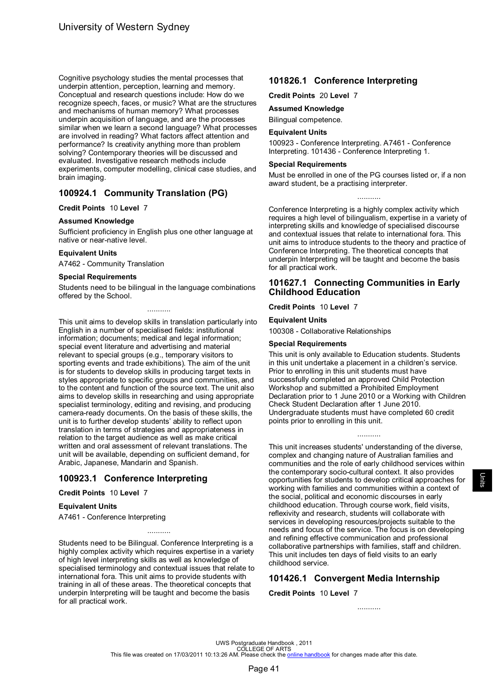<span id="page-44-0"></span>Cognitive psychology studies the mental processes that underpin attention, perception, learning and memory. Conceptual and research questions include: How do we recognize speech, faces, or music? What are the structures and mechanisms of human memory? What processes underpin acquisition of language, and are the processes similar when we learn a second language? What processes are involved in reading? What factors affect attention and performance? Is creativity anything more than problem solving? Contemporary theories will be discussed and evaluated. Investigative research methods include experiments, computer modelling, clinical case studies, and brain imaging.

# **100924.1 Community Translation (PG)**

**Credit Points** 10 **Level** 7

#### **Assumed Knowledge**

Sufficient proficiency in English plus one other language at native or near-native level.

#### **Equivalent Units**

A7462 - Community Translation

#### **Special Requirements**

Students need to be bilingual in the language combinations offered by the School.

...........

This unit aims to develop skills in translation particularly into English in a number of specialised fields: institutional information; documents; medical and legal information; special event literature and advertising and material relevant to special groups (e.g., temporary visitors to sporting events and trade exhibitions). The aim of the unit is for students to develop skills in producing target texts in styles appropriate to specific groups and communities, and to the content and function of the source text. The unit also aims to develop skills in researching and using appropriate specialist terminology, editing and revising, and producing camera-ready documents. On the basis of these skills, the unit is to further develop students' ability to reflect upon translation in terms of strategies and appropriateness in relation to the target audience as well as make critical written and oral assessment of relevant translations. The unit will be available, depending on sufficient demand, for Arabic, Japanese, Mandarin and Spanish.

# **100923.1 Conference Interpreting**

**Credit Points** 10 **Level** 7

### **Equivalent Units**

A7461 - Conference Interpreting

Students need to be Bilingual. Conference Interpreting is a highly complex activity which requires expertise in a variety of high level interpreting skills as well as knowledge of specialised terminology and contextual issues that relate to international fora. This unit aims to provide students with training in all of these areas. The theoretical concepts that underpin Interpreting will be taught and become the basis for all practical work.

...........

# **101826.1 Conference Interpreting**

**Credit Points** 20 **Level** 7

#### **Assumed Knowledge**

Bilingual competence.

#### **Equivalent Units**

100923 - Conference Interpreting. A7461 - Conference Interpreting. 101436 - Conference Interpreting 1.

#### **Special Requirements**

Must be enrolled in one of the PG courses listed or, if a non award student, be a practising interpreter.

...........

Conference Interpreting is a highly complex activity which requires a high level of bilingualism, expertise in a variety of interpreting skills and knowledge of specialised discourse and contextual issues that relate to international fora. This unit aims to introduce students to the theory and practice of Conference Interpreting. The theoretical concepts that underpin Interpreting will be taught and become the basis for all practical work.

# **101627.1 Connecting Communities in Early Childhood Education**

**Credit Points** 10 **Level** 7

#### **Equivalent Units**

100308 - Collaborative Relationships

#### **Special Requirements**

This unit is only available to Education students. Students in this unit undertake a placement in a children's service. Prior to enrolling in this unit students must have successfully completed an approved Child Protection Workshop and submitted a Prohibited Employment Declaration prior to 1 June 2010 or a Working with Children Check Student Declaration after 1 June 2010. Undergraduate students must have completed 60 credit points prior to enrolling in this unit.

...........

This unit increases students' understanding of the diverse, complex and changing nature of Australian families and communities and the role of early childhood services within the contemporary socio-cultural context. It also provides opportunities for students to develop critical approaches for working with families and communities within a context of the social, political and economic discourses in early childhood education. Through course work, field visits, reflexivity and research, students will collaborate with services in developing resources/projects suitable to the needs and focus of the service. The focus is on developing and refining effective communication and professional collaborative partnerships with families, staff and children. This unit includes ten days of field visits to an early childhood service.

# **101426.1 Convergent Media Internship**

### **Credit Points** 10 **Level** 7

# UWS Postgraduate Handbook , 2011 COLLEGE OF ARTS

Units

Page 41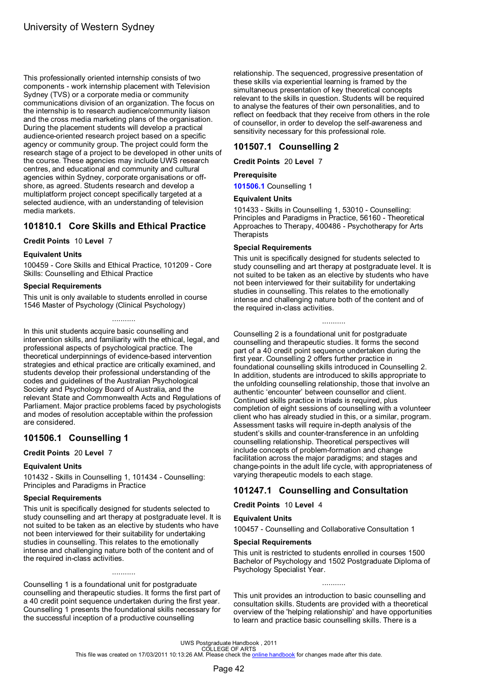<span id="page-45-0"></span>This professionally oriented internship consists of two components - work internship placement with Television Sydney (TVS) or a corporate media or community communications division of an organization. The focus on the internship is to research audience/community liaison and the cross media marketing plans of the organisation. During the placement students will develop a practical audience-oriented research project based on a specific agency or community group. The project could form the research stage of a project to be developed in other units of the course. These agencies may include UWS research centres, and educational and community and cultural agencies within Sydney, corporate organisations or offshore, as agreed. Students research and develop a multiplatform project concept specifically targeted at a selected audience, with an understanding of television media markets.

# **101810.1 Core Skills and Ethical Practice**

#### **Credit Points** 10 **Level** 7

### **Equivalent Units**

100459 - Core Skills and Ethical Practice, 101209 - Core Skills: Counselling and Ethical Practice

#### **Special Requirements**

This unit is only available to students enrolled in course 1546 Master of Psychology (Clinical Psychology)

In this unit students acquire basic counselling and intervention skills, and familiarity with the ethical, legal, and professional aspects of psychological practice. The theoretical underpinnings of evidence-based intervention strategies and ethical practice are critically examined, and students develop their professional understanding of the codes and guidelines of the Australian Psychological Society and Psychology Board of Australia, and the relevant State and Commonwealth Acts and Regulations of Parliament. Major practice problems faced by psychologists and modes of resolution acceptable within the profession are considered.

# **101506.1 Counselling 1**

### **Credit Points** 20 **Level** 7

### **Equivalent Units**

101432 - Skills in Counselling 1, 101434 - Counselling: Principles and Paradigms in Practice

#### **Special Requirements**

This unit is specifically designed for students selected to study counselling and art therapy at postgraduate level. It is not suited to be taken as an elective by students who have not been interviewed for their suitability for undertaking studies in counselling. This relates to the emotionally intense and challenging nature both of the content and of the required in-class activities.

Counselling 1 is a foundational unit for postgraduate counselling and therapeutic studies. It forms the first part of a 40 credit point sequence undertaken during the first year. Counselling 1 presents the foundational skills necessary for the successful inception of a productive counselling

...........

relationship. The sequenced, progressive presentation of these skills via experiential learning is framed by the simultaneous presentation of key theoretical concepts relevant to the skills in question. Students will be required to analyse the features of their own personalities, and to reflect on feedback that they receive from others in the role of counsellor, in order to develop the self-awareness and sensitivity necessary for this professional role.

# **101507.1 Counselling 2**

**Credit Points** 20 **Level** 7

#### **Prerequisite**

**101506.1** Counselling 1

#### **Equivalent Units**

101433 - Skills in Counselling 1, 53010 - Counselling: Principles and Paradigms in Practice, 56160 - Theoretical Approaches to Therapy, 400486 - Psychotherapy for Arts **Therapists** 

### **Special Requirements**

This unit is specifically designed for students selected to study counselling and art therapy at postgraduate level. It is not suited to be taken as an elective by students who have not been interviewed for their suitability for undertaking studies in counselling. This relates to the emotionally intense and challenging nature both of the content and of the required in-class activities.

...........

Counselling 2 is a foundational unit for postgraduate counselling and therapeutic studies. It forms the second part of a 40 credit point sequence undertaken during the first year. Counselling 2 offers further practice in foundational counselling skills introduced in Counselling 2. In addition, students are introduced to skills appropriate to the unfolding counselling relationship, those that involve an authentic 'encounter' between counsellor and client. Continued skills practice in triads is required, plus completion of eight sessions of counselling with a volunteer client who has already studied in this, or a similar, program. Assessment tasks will require in-depth analysis of the student's skills and counter-transference in an unfolding counselling relationship. Theoretical perspectives will include concepts of problem-formation and change facilitation across the major paradigms; and stages and change-points in the adult life cycle, with appropriateness of varying therapeutic models to each stage.

# **101247.1 Counselling and Consultation**

#### **Credit Points** 10 **Level** 4

### **Equivalent Units**

100457 - Counselling and Collaborative Consultation 1

#### **Special Requirements**

This unit is restricted to students enrolled in courses 1500 Bachelor of Psychology and 1502 Postgraduate Diploma of Psychology Specialist Year.

...........

This unit provides an introduction to basic counselling and consultation skills. Students are provided with a theoretical overview of the 'helping relationship' and have opportunities to learn and practice basic counselling skills. There is a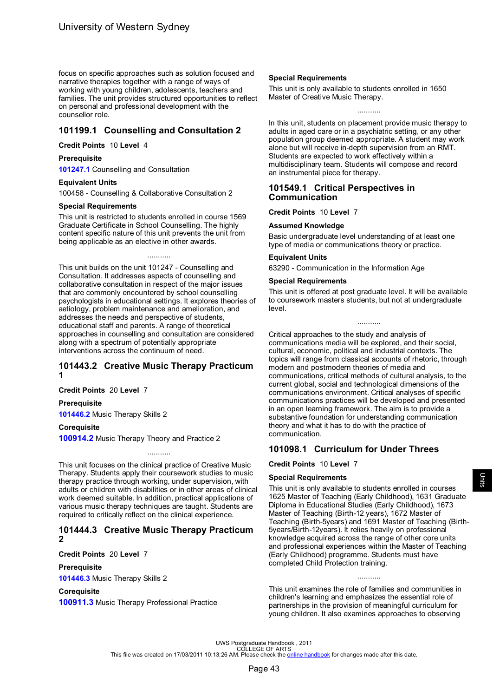<span id="page-46-0"></span>focus on specific approaches such as solution focused and narrative therapies together with a range of ways of working with young children, adolescents, teachers and families. The unit provides structured opportunities to reflect on personal and professional development with the counsellor role.

# **101199.1 Counselling and Consultation 2**

**Credit Points** 10 **Level** 4

### **Prerequisite**

**[101247.1](#page-45-0)** Counselling and Consultation

### **Equivalent Units**

100458 - Counselling & Collaborative Consultation 2

#### **Special Requirements**

This unit is restricted to students enrolled in course 1569 Graduate Certificate in School Counselling. The highly content specific nature of this unit prevents the unit from being applicable as an elective in other awards.

...........

This unit builds on the unit 101247 - Counselling and Consultation. It addresses aspects of counselling and collaborative consultation in respect of the major issues that are commonly encountered by school counselling psychologists in educational settings. It explores theories of aetiology, problem maintenance and amelioration, and addresses the needs and perspective of students, educational staff and parents. A range of theoretical approaches in counselling and consultation are considered along with a spectrum of potentially appropriate interventions across the continuum of need.

# **101443.2 Creative Music Therapy Practicum 1**

**Credit Points** 20 **Level** 7

### **Prerequisite**

**101446.2** Music Therapy Skills 2

#### **Corequisite**

**100914.2** Music Therapy Theory and Practice 2

This unit focuses on the clinical practice of Creative Music Therapy. Students apply their coursework studies to music therapy practice through working, under supervision, with adults or children with disabilities or in other areas of clinical work deemed suitable. In addition, practical applications of various music therapy techniques are taught. Students are required to critically reflect on the clinical experience.

...........

### **101444.3 Creative Music Therapy Practicum 2**

**Credit Points** 20 **Level** 7

#### **Prerequisite**

**[101446.3](#page-59-0)** Music Therapy Skills 2

### **Corequisite**

**[100911.3](#page-58-0)** Music Therapy Professional Practice

#### **Special Requirements**

This unit is only available to students enrolled in 1650 Master of Creative Music Therapy.

...........

In this unit, students on placement provide music therapy to adults in aged care or in a psychiatric setting, or any other population group deemed appropriate. A student may work alone but will receive in-depth supervision from an RMT. Students are expected to work effectively within a multidisciplinary team. Students will compose and record an instrumental piece for therapy.

### **101549.1 Critical Perspectives in Communication**

#### **Credit Points** 10 **Level** 7

#### **Assumed Knowledge**

Basic undergraduate level understanding of at least one type of media or communications theory or practice.

#### **Equivalent Units**

63290 - Communication in the Information Age

#### **Special Requirements**

This unit is offered at post graduate level. It will be available to coursework masters students, but not at undergraduate level.

...........

Critical approaches to the study and analysis of communications media will be explored, and their social, cultural, economic, political and industrial contexts. The topics will range from classical accounts of rhetoric, through modern and postmodern theories of media and communications, critical methods of cultural analysis, to the current global, social and technological dimensions of the communications environment. Critical analyses of specific communications practices will be developed and presented in an open learning framework. The aim is to provide a substantive foundation for understanding communication theory and what it has to do with the practice of communication.

# **101098.1 Curriculum for Under Threes**

**Credit Points** 10 **Level** 7

#### **Special Requirements**

This unit is only available to students enrolled in courses 1625 Master of Teaching (Early Childhood), 1631 Graduate Diploma in Educational Studies (Early Childhood), 1673 Master of Teaching (Birth-12 years), 1672 Master of Teaching (Birth-5years) and 1691 Master of Teaching (Birth-5years/Birth-12years). It relies heavily on professional knowledge acquired across the range of other core units and professional experiences within the Master of Teaching (Early Childhood) programme. Students must have completed Child Protection training.

This unit examines the role of families and communities in children's learning and emphasizes the essential role of partnerships in the provision of meaningful curriculum for young children. It also examines approaches to observing

...........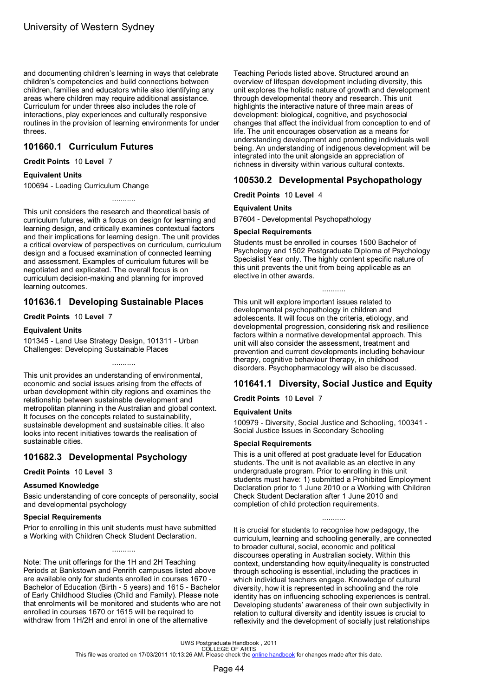<span id="page-47-0"></span>and documenting children's learning in ways that celebrate children's competencies and build connections between children, families and educators while also identifying any areas where children may require additional assistance. Curriculum for under threes also includes the role of interactions, play experiences and culturally responsive routines in the provision of learning environments for under threes.

# **101660.1 Curriculum Futures**

### **Credit Points** 10 **Level** 7

### **Equivalent Units**

100694 - Leading Curriculum Change

...........

This unit considers the research and theoretical basis of curriculum futures, with a focus on design for learning and learning design, and critically examines contextual factors and their implications for learning design. The unit provides a critical overview of perspectives on curriculum, curriculum design and a focused examination of connected learning and assessment. Examples of curriculum futures will be negotiated and explicated. The overall focus is on curriculum decision-making and planning for improved learning outcomes.

# **101636.1 Developing Sustainable Places**

**Credit Points** 10 **Level** 7

#### **Equivalent Units**

101345 - Land Use Strategy Design, 101311 - Urban Challenges: Developing Sustainable Places

This unit provides an understanding of environmental, economic and social issues arising from the effects of urban development within city regions and examines the relationship between sustainable development and metropolitan planning in the Australian and global context. It focuses on the concepts related to sustainability, sustainable development and sustainable cities. It also looks into recent initiatives towards the realisation of sustainable cities.

...........

# **101682.3 Developmental Psychology**

#### **Credit Points** 10 **Level** 3

#### **Assumed Knowledge**

Basic understanding of core concepts of personality, social and developmental psychology

#### **Special Requirements**

Prior to enrolling in this unit students must have submitted a Working with Children Check Student Declaration.

...........

Note: The unit offerings for the 1H and 2H Teaching Periods at Bankstown and Penrith campuses listed above are available only for students enrolled in courses 1670 - Bachelor of Education (Birth - 5 years) and 1615 - Bachelor of Early Childhood Studies (Child and Family). Please note that enrolments will be monitored and students who are not enrolled in courses 1670 or 1615 will be required to withdraw from 1H/2H and enrol in one of the alternative

Teaching Periods listed above. Structured around an overview of lifespan development including diversity, this unit explores the holistic nature of growth and development through developmental theory and research. This unit highlights the interactive nature of three main areas of development: biological, cognitive, and psychosocial changes that affect the individual from conception to end of life. The unit encourages observation as a means for understanding development and promoting individuals well being. An understanding of indigenous development will be integrated into the unit alongside an appreciation of richness in diversity within various cultural contexts.

# **100530.2 Developmental Psychopathology**

**Credit Points** 10 **Level** 4

#### **Equivalent Units**

B7604 - Developmental Psychopathology

#### **Special Requirements**

Students must be enrolled in courses 1500 Bachelor of Psychology and 1502 Postgraduate Diploma of Psychology Specialist Year only. The highly content specific nature of this unit prevents the unit from being applicable as an elective in other awards.

...........

This unit will explore important issues related to developmental psychopathology in children and adolescents. It will focus on the criteria, etiology, and developmental progression, considering risk and resilience factors within a normative developmental approach. This unit will also consider the assessment, treatment and prevention and current developments including behaviour therapy, cognitive behaviour therapy, in childhood disorders. Psychopharmacology will also be discussed.

# **101641.1 Diversity, Social Justice and Equity**

### **Credit Points** 10 **Level** 7

#### **Equivalent Units**

100979 - Diversity, Social Justice and Schooling, 100341 - Social Justice Issues in Secondary Schooling

#### **Special Requirements**

This is a unit offered at post graduate level for Education students. The unit is not available as an elective in any undergraduate program. Prior to enrolling in this unit students must have: 1) submitted a Prohibited Employment Declaration prior to 1 June 2010 or a Working with Children Check Student Declaration after 1 June 2010 and completion of child protection requirements.

...........

It is crucial for students to recognise how pedagogy, the curriculum, learning and schooling generally, are connected to broader cultural, social, economic and political discourses operating in Australian society. Within this context, understanding how equity/inequality is constructed through schooling is essential, including the practices in which individual teachers engage. Knowledge of cultural diversity, how it is represented in schooling and the role identity has on influencing schooling experiences is central. Developing students' awareness of their own subjectivity in relation to cultural diversity and identity issues is crucial to reflexivity and the development of socially just relationships

UWS Postgraduate Handbook , 2011 COLLEGE OF ARTS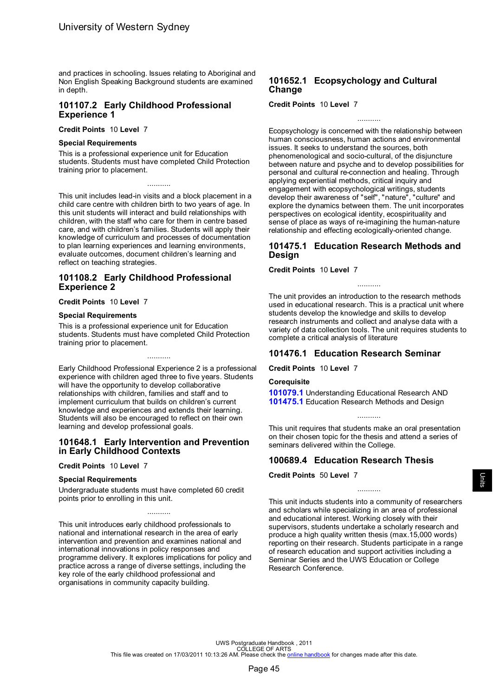and practices in schooling. Issues relating to Aboriginal and Non English Speaking Background students are examined in depth.

# **101107.2 Early Childhood Professional Experience 1**

**Credit Points** 10 **Level** 7

#### **Special Requirements**

This is a professional experience unit for Education students. Students must have completed Child Protection training prior to placement.

...........

This unit includes lead-in visits and a block placement in a child care centre with children birth to two years of age. In this unit students will interact and build relationships with children, with the staff who care for them in centre based care, and with children's families. Students will apply their knowledge of curriculum and processes of documentation to plan learning experiences and learning environments, evaluate outcomes, document children's learning and reflect on teaching strategies.

# **101108.2 Early Childhood Professional Experience 2**

#### **Credit Points** 10 **Level** 7

#### **Special Requirements**

This is a professional experience unit for Education students. Students must have completed Child Protection training prior to placement.

Early Childhood Professional Experience 2 is a professional experience with children aged three to five years. Students will have the opportunity to develop collaborative relationships with children, families and staff and to implement curriculum that builds on children's current knowledge and experiences and extends their learning. Students will also be encouraged to reflect on their own learning and develop professional goals.

# **101648.1 Early Intervention and Prevention in Early Childhood Contexts**

**Credit Points** 10 **Level** 7

#### **Special Requirements**

Undergraduate students must have completed 60 credit points prior to enrolling in this unit.

...........

This unit introduces early childhood professionals to national and international research in the area of early intervention and prevention and examines national and international innovations in policy responses and programme delivery. It explores implications for policy and practice across a range of diverse settings, including the key role of the early childhood professional and organisations in community capacity building.

# **101652.1 Ecopsychology and Cultural Change**

**Credit Points** 10 **Level** 7

Ecopsychology is concerned with the relationship between human consciousness, human actions and environmental issues. It seeks to understand the sources, both phenomenological and socio-cultural, of the disjuncture between nature and psyche and to develop possibilities for personal and cultural re-connection and healing. Through applying experiential methods, critical inquiry and engagement with ecopsychological writings, students develop their awareness of "self", "nature", "culture" and explore the dynamics between them. The unit incorporates perspectives on ecological identity, ecospirituality and sense of place as ways of re-imagining the human-nature relationship and effecting ecologically-oriented change.

# **101475.1 Education Research Methods and Design**

**Credit Points** 10 **Level** 7

The unit provides an introduction to the research methods used in educational research. This is a practical unit where students develop the knowledge and skills to develop research instruments and collect and analyse data with a variety of data collection tools. The unit requires students to complete a critical analysis of literature

### **101476.1 Education Research Seminar**

**Credit Points** 10 **Level** 7

#### **Corequisite**

**[101079.1](#page-71-0)** Understanding Educational Research AND **101475.1** Education Research Methods and Design

This unit requires that students make an oral presentation on their chosen topic for the thesis and attend a series of seminars delivered within the College.

...........

# **100689.4 Education Research Thesis**

**Credit Points** 50 **Level** 7

#### ...........

This unit inducts students into a community of researchers and scholars while specializing in an area of professional and educational interest. Working closely with their supervisors, students undertake a scholarly research and produce a high quality written thesis (max.15,000 words) reporting on their research. Students participate in a range of research education and support activities including a Seminar Series and the UWS Education or College Research Conference.

Units Units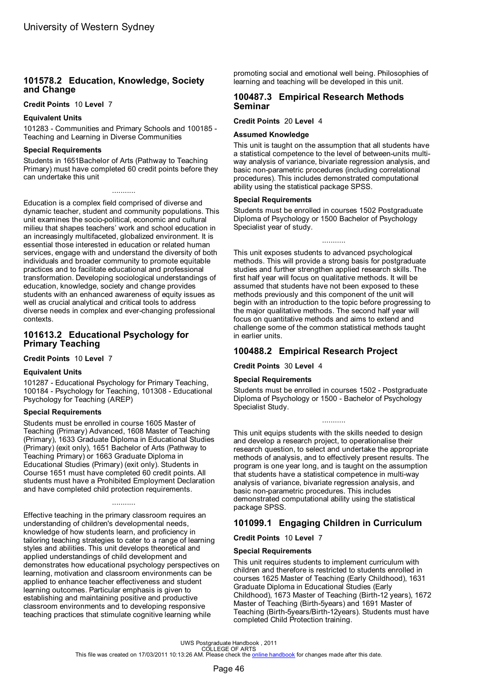# **101578.2 Education, Knowledge, Society and Change**

### **Credit Points** 10 **Level** 7

#### **Equivalent Units**

101283 - Communities and Primary Schools and 100185 - Teaching and Learning in Diverse Communities

#### **Special Requirements**

Students in 1651Bachelor of Arts (Pathway to Teaching Primary) must have completed 60 credit points before they can undertake this unit

...........

Education is a complex field comprised of diverse and dynamic teacher, student and community populations. This unit examines the socio-political, economic and cultural milieu that shapes teachers' work and school education in an increasingly multifaceted, globalized environment. It is essential those interested in education or related human services, engage with and understand the diversity of both individuals and broader community to promote equitable practices and to facilitate educational and professional transformation. Developing sociological understandings of education, knowledge, society and change provides students with an enhanced awareness of equity issues as well as crucial analytical and critical tools to address diverse needs in complex and ever-changing professional contexts.

# **101613.2 Educational Psychology for Primary Teaching**

**Credit Points** 10 **Level** 7

#### **Equivalent Units**

101287 - Educational Psychology for Primary Teaching, 100184 - Psychology for Teaching, 101308 - Educational Psychology for Teaching (AREP)

#### **Special Requirements**

Students must be enrolled in course 1605 Master of Teaching (Primary) Advanced, 1608 Master of Teaching (Primary), 1633 Graduate Diploma in Educational Studies (Primary) (exit only), 1651 Bachelor of Arts (Pathway to Teaching Primary) or 1663 Graduate Diploma in Educational Studies (Primary) (exit only). Students in Course 1651 must have completed 60 credit points. All students must have a Prohibited Employment Declaration and have completed child protection requirements.

...........

Effective teaching in the primary classroom requires an understanding of children's developmental needs, knowledge of how students learn, and proficiency in tailoring teaching strategies to cater to a range of learning styles and abilities. This unit develops theoretical and applied understandings of child development and demonstrates how educational psychology perspectives on learning, motivation and classroom environments can be applied to enhance teacher effectiveness and student learning outcomes. Particular emphasis is given to establishing and maintaining positive and productive classroom environments and to developing responsive teaching practices that stimulate cognitive learning while

promoting social and emotional well being. Philosophies of learning and teaching will be developed in this unit.

# **100487.3 Empirical Research Methods Seminar**

**Credit Points** 20 **Level** 4

#### **Assumed Knowledge**

This unit is taught on the assumption that all students have a statistical competence to the level of between-units multiway analysis of variance, bivariate regression analysis, and basic non-parametric procedures (including correlational procedures). This includes demonstrated computational ability using the statistical package SPSS.

#### **Special Requirements**

Students must be enrolled in courses 1502 Postgraduate Diploma of Psychology or 1500 Bachelor of Psychology Specialist year of study.

...........

This unit exposes students to advanced psychological methods. This will provide a strong basis for postgraduate studies and further strengthen applied research skills. The first half year will focus on qualitative methods. It will be assumed that students have not been exposed to these methods previously and this component of the unit will begin with an introduction to the topic before progressing to the major qualitative methods. The second half year will focus on quantitative methods and aims to extend and challenge some of the common statistical methods taught in earlier units.

# **100488.2 Empirical Research Project**

**Credit Points** 30 **Level** 4

### **Special Requirements**

Students must be enrolled in courses 1502 - Postgraduate Diploma of Psychology or 1500 - Bachelor of Psychology Specialist Study.

...........

This unit equips students with the skills needed to design and develop a research project, to operationalise their research question, to select and undertake the appropriate methods of analysis, and to effectively present results. The program is one year long, and is taught on the assumption that students have a statistical competence in multi-way analysis of variance, bivariate regression analysis, and basic non-parametric procedures. This includes demonstrated computational ability using the statistical package SPSS.

# **101099.1 Engaging Children in Curriculum**

**Credit Points** 10 **Level** 7

### **Special Requirements**

This unit requires students to implement curriculum with children and therefore is restricted to students enrolled in courses 1625 Master of Teaching (Early Childhood), 1631 Graduate Diploma in Educational Studies (Early Childhood), 1673 Master of Teaching (Birth-12 years), 1672 Master of Teaching (Birth-5years) and 1691 Master of Teaching (Birth-5years/Birth-12years). Students must have completed Child Protection training.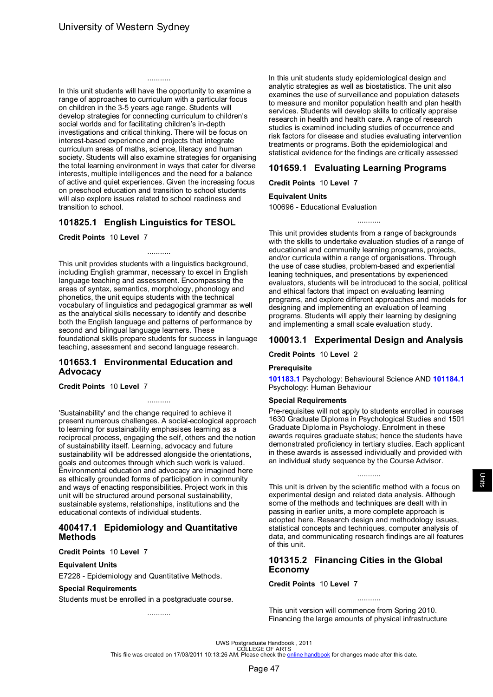<span id="page-50-0"></span>In this unit students will have the opportunity to examine a range of approaches to curriculum with a particular focus on children in the 3-5 years age range. Students will develop strategies for connecting curriculum to children's social worlds and for facilitating children's in-depth investigations and critical thinking. There will be focus on interest-based experience and projects that integrate curriculum areas of maths, science, literacy and human society. Students will also examine strategies for organising the total learning environment in ways that cater for diverse interests, multiple intelligences and the need for a balance of active and quiet experiences. Given the increasing focus on preschool education and transition to school students will also explore issues related to school readiness and transition to school.

...........

# **101825.1 English Linguistics for TESOL**

**Credit Points** 10 **Level** 7

This unit provides students with a linguistics background, including English grammar, necessary to excel in English language teaching and assessment. Encompassing the areas of syntax, semantics, morphology, phonology and phonetics, the unit equips students with the technical vocabulary of linguistics and pedagogical grammar as well as the analytical skills necessary to identify and describe both the English language and patterns of performance by second and bilingual language learners. These foundational skills prepare students for success in language teaching, assessment and second language research.

...........

# **101653.1 Environmental Education and Advocacy**

**Credit Points** 10 **Level** 7

'Sustainability' and the change required to achieve it present numerous challenges. A social-ecological approach to learning for sustainability emphasises learning as a reciprocal process, engaging the self, others and the notion of sustainability itself. Learning, advocacy and future sustainability will be addressed alongside the orientations, goals and outcomes through which such work is valued. Environmental education and advocacy are imagined here as ethically grounded forms of participation in community and ways of enacting responsibilities. Project work in this unit will be structured around personal sustainability, sustainable systems, relationships, institutions and the educational contexts of individual students.

...........

# **400417.1 Epidemiology and Quantitative Methods**

#### **Credit Points** 10 **Level** 7

#### **Equivalent Units**

E7228 - Epidemiology and Quantitative Methods.

#### **Special Requirements**

Students must be enrolled in a postgraduate course.

...........

In this unit students study epidemiological design and analytic strategies as well as biostatistics. The unit also examines the use of surveillance and population datasets to measure and monitor population health and plan health services. Students will develop skills to critically appraise research in health and health care. A range of research studies is examined including studies of occurrence and risk factors for disease and studies evaluating intervention treatments or programs. Both the epidemiological and statistical evidence for the findings are critically assessed

# **101659.1 Evaluating Learning Programs**

**Credit Points** 10 **Level** 7

#### **Equivalent Units**

100696 - Educational Evaluation

This unit provides students from a range of backgrounds with the skills to undertake evaluation studies of a range of educational and community learning programs, projects, and/or curricula within a range of organisations. Through the use of case studies, problem-based and experiential leaning techniques, and presentations by experienced evaluators, students will be introduced to the social, political and ethical factors that impact on evaluating learning programs, and explore different approaches and models for designing and implementing an evaluation of learning programs. Students will apply their learning by designing and implementing a small scale evaluation study.

...........

# **100013.1 Experimental Design and Analysis**

**Credit Points** 10 **Level** 2

#### **Prerequisite**

**101183.1** Psychology: Behavioural Science AND **[101184.1](#page-66-0)** Psychology: Human Behaviour

#### **Special Requirements**

Pre-requisites will not apply to students enrolled in courses 1630 Graduate Diploma in Psychological Studies and 1501 Graduate Diploma in Psychology. Enrolment in these awards requires graduate status; hence the students have demonstrated proficiency in tertiary studies. Each applicant in these awards is assessed individually and provided with an individual study sequence by the Course Advisor.

...........

This unit is driven by the scientific method with a focus on experimental design and related data analysis. Although some of the methods and techniques are dealt with in passing in earlier units, a more complete approach is adopted here. Research design and methodology issues, statistical concepts and techniques, computer analysis of data, and communicating research findings are all features of this unit.

# **101315.2 Financing Cities in the Global Economy**

#### **Credit Points** 10 **Level** 7

This unit version will commence from Spring 2010. Financing the large amounts of physical infrastructure

...........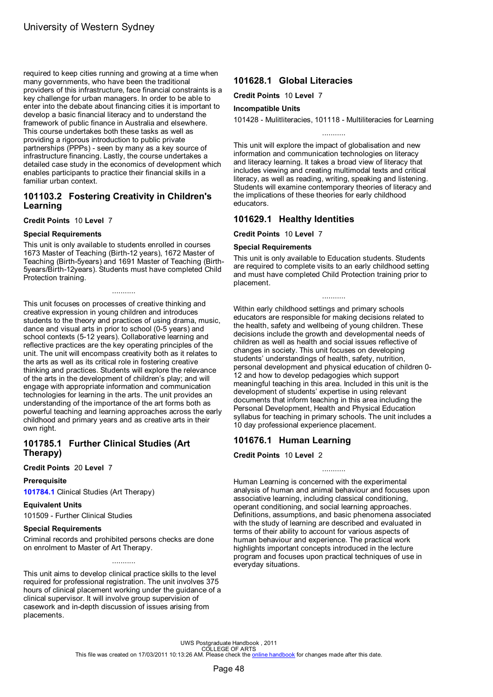required to keep cities running and growing at a time when many governments, who have been the traditional providers of this infrastructure, face financial constraints is a key challenge for urban managers. In order to be able to enter into the debate about financing cities it is important to develop a basic financial literacy and to understand the framework of public finance in Australia and elsewhere. This course undertakes both these tasks as well as providing a rigorous introduction to public private partnerships (PPPs) - seen by many as a key source of infrastructure financing. Lastly, the course undertakes a detailed case study in the economics of development which enables participants to practice their financial skills in a familiar urban context.

# **101103.2 Fostering Creativity in Children's Learning**

#### **Credit Points** 10 **Level** 7

### **Special Requirements**

This unit is only available to students enrolled in courses 1673 Master of Teaching (Birth-12 years), 1672 Master of Teaching (Birth-5years) and 1691 Master of Teaching (Birth-5years/Birth-12years). Students must have completed Child Protection training.

...........

This unit focuses on processes of creative thinking and creative expression in young children and introduces students to the theory and practices of using drama, music, dance and visual arts in prior to school (0-5 years) and school contexts (5-12 years). Collaborative learning and reflective practices are the key operating principles of the unit. The unit will encompass creativity both as it relates to the arts as well as its critical role in fostering creative thinking and practices. Students will explore the relevance of the arts in the development of children's play; and will engage with appropriate information and communication technologies for learning in the arts. The unit provides an understanding of the importance of the art forms both as powerful teaching and learning approaches across the early childhood and primary years and as creative arts in their own right.

# **101785.1 Further Clinical Studies (Art Therapy)**

**Credit Points** 20 **Level** 7

#### **Prerequisite**

**[101784.1](#page-43-0)** Clinical Studies (Art Therapy)

#### **Equivalent Units**

101509 - Further Clinical Studies

#### **Special Requirements**

Criminal records and prohibited persons checks are done on enrolment to Master of Art Therapy.

This unit aims to develop clinical practice skills to the level required for professional registration. The unit involves 375 hours of clinical placement working under the guidance of a clinical supervisor. It will involve group supervision of casework and in-depth discussion of issues arising from placements.

...........

# **101628.1 Global Literacies**

**Credit Points** 10 **Level** 7

#### **Incompatible Units**

101428 - Mulitliteracies, 101118 - Multiliteracies for Learning ...........

This unit will explore the impact of globalisation and new information and communication technologies on literacy and literacy learning. It takes a broad view of literacy that includes viewing and creating multimodal texts and critical literacy, as well as reading, writing, speaking and listening. Students will examine contemporary theories of literacy and the implications of these theories for early childhood educators.

# **101629.1 Healthy Identities**

**Credit Points** 10 **Level** 7

#### **Special Requirements**

This unit is only available to Education students. Students are required to complete visits to an early childhood setting and must have completed Child Protection training prior to placement.

...........

Within early childhood settings and primary schools educators are responsible for making decisions related to the health, safety and wellbeing of young children. These decisions include the growth and developmental needs of children as well as health and social issues reflective of changes in society. This unit focuses on developing students' understandings of health, safety, nutrition, personal development and physical education of children 0- 12 and how to develop pedagogies which support meaningful teaching in this area. Included in this unit is the development of students' expertise in using relevant documents that inform teaching in this area including the Personal Development, Health and Physical Education syllabus for teaching in primary schools. The unit includes a 10 day professional experience placement.

# **101676.1 Human Learning**

**Credit Points** 10 **Level** 2

Human Learning is concerned with the experimental analysis of human and animal behaviour and focuses upon associative learning, including classical conditioning, operant conditioning, and social learning approaches. Definitions, assumptions, and basic phenomena associated with the study of learning are described and evaluated in terms of their ability to account for various aspects of human behaviour and experience. The practical work highlights important concepts introduced in the lecture program and focuses upon practical techniques of use in everyday situations.

...........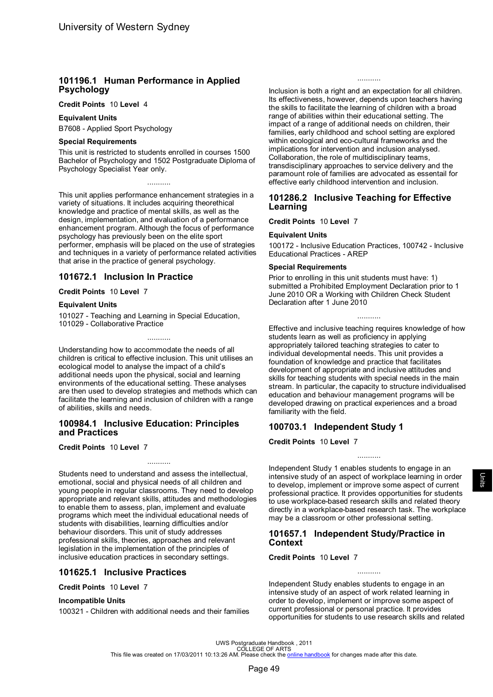# **101196.1 Human Performance in Applied Psychology**

#### **Credit Points** 10 **Level** 4

#### **Equivalent Units**

B7608 - Applied Sport Psychology

#### **Special Requirements**

This unit is restricted to students enrolled in courses 1500 Bachelor of Psychology and 1502 Postgraduate Diploma of Psychology Specialist Year only.

...........

This unit applies performance enhancement strategies in a variety of situations. It includes acquiring theorethical knowledge and practice of mental skills, as well as the design, implementation, and evaluation of a performance enhancement program. Although the focus of performance psychology has previously been on the elite sport performer, emphasis will be placed on the use of strategies and techniques in a variety of performance related activities that arise in the practice of general psychology.

# **101672.1 Inclusion In Practice**

#### **Credit Points** 10 **Level** 7

#### **Equivalent Units**

101027 - Teaching and Learning in Special Education, 101029 - Collaborative Practice

Understanding how to accommodate the needs of all children is critical to effective inclusion. This unit utilises an ecological model to analyse the impact of a child's additional needs upon the physical, social and learning environments of the educational setting. These analyses are then used to develop strategies and methods which can facilitate the learning and inclusion of children with a range of abilities, skills and needs.

#### **100984.1 Inclusive Education: Principles and Practices**

**Credit Points** 10 **Level** 7

Students need to understand and assess the intellectual, emotional, social and physical needs of all children and young people in regular classrooms. They need to develop appropriate and relevant skills, attitudes and methodologies to enable them to assess, plan, implement and evaluate programs which meet the individual educational needs of students with disabilities, learning difficulties and/or behaviour disorders. This unit of study addresses professional skills, theories, approaches and relevant legislation in the implementation of the principles of inclusive education practices in secondary settings.

...........

# **101625.1 Inclusive Practices**

#### **Credit Points** 10 **Level** 7

#### **Incompatible Units**

100321 - Children with additional needs and their families

Inclusion is both a right and an expectation for all children. Its effectiveness, however, depends upon teachers having the skills to facilitate the learning of children with a broad range of abilities within their educational setting. The impact of a range of additional needs on children, their families, early childhood and school setting are explored within ecological and eco-cultural frameworks and the implications for intervention and inclusion analysed. Collaboration, the role of multidisciplinary teams, transdisciplinary approaches to service delivery and the paramount role of families are advocated as essentail for effective early childhood intervention and inclusion.

...........

# **101286.2 Inclusive Teaching for Effective Learning**

#### **Credit Points** 10 **Level** 7

#### **Equivalent Units**

100172 - Inclusive Education Practices, 100742 - Inclusive Educational Practices - AREP

#### **Special Requirements**

Prior to enrolling in this unit students must have: 1) submitted a Prohibited Employment Declaration prior to 1 June 2010 OR a Working with Children Check Student Declaration after 1 June 2010

...........

Effective and inclusive teaching requires knowledge of how students learn as well as proficiency in applying appropriately tailored teaching strategies to cater to individual developmental needs. This unit provides a foundation of knowledge and practice that facilitates development of appropriate and inclusive attitudes and skills for teaching students with special needs in the main stream. In particular, the capacity to structure individualised education and behaviour management programs will be developed drawing on practical experiences and a broad familiarity with the field.

# **100703.1 Independent Study 1**

### **Credit Points** 10 **Level** 7

Independent Study 1 enables students to engage in an intensive study of an aspect of workplace learning in order to develop, implement or improve some aspect of current professional practice. It provides opportunities for students to use workplace-based research skills and related theory directly in a workplace-based research task. The workplace may be a classroom or other professional setting.

...........

# **101657.1 Independent Study/Practice in Context**

**Credit Points** 10 **Level** 7

Independent Study enables students to engage in an intensive study of an aspect of work related learning in order to develop, implement or improve some aspect of current professional or personal practice. It provides opportunities for students to use research skills and related

...........

Units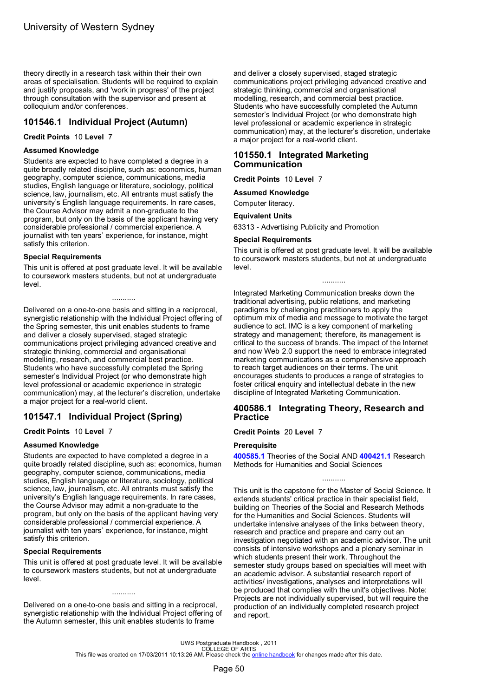theory directly in a research task within their their own areas of specialisation. Students will be required to explain and justify proposals, and 'work in progress' of the project through consultation with the supervisor and present at colloquium and/or conferences.

# **101546.1 Individual Project (Autumn)**

#### **Credit Points** 10 **Level** 7

#### **Assumed Knowledge**

Students are expected to have completed a degree in a quite broadly related discipline, such as: economics, human geography, computer science, communications, media studies, English language or literature, sociology, political science, law, journalism, etc. All entrants must satisfy the university's English language requirements. In rare cases, the Course Advisor may admit a non-graduate to the program, but only on the basis of the applicant having very considerable professional / commercial experience. A journalist with ten years' experience, for instance, might satisfy this criterion.

#### **Special Requirements**

This unit is offered at post graduate level. It will be available to coursework masters students, but not at undergraduate level.

...........

Delivered on a one-to-one basis and sitting in a reciprocal, synergistic relationship with the Individual Project offering of the Spring semester, this unit enables students to frame and deliver a closely supervised, staged strategic communications project privileging advanced creative and strategic thinking, commercial and organisational modelling, research, and commercial best practice. Students who have successfully completed the Spring semester's Individual Project (or who demonstrate high level professional or academic experience in strategic communication) may, at the lecturer's discretion, undertake a major project for a real-world client.

# **101547.1 Individual Project (Spring)**

#### **Credit Points** 10 **Level** 7

#### **Assumed Knowledge**

Students are expected to have completed a degree in a quite broadly related discipline, such as: economics, human geography, computer science, communications, media studies, English language or literature, sociology, political science, law, journalism, etc. All entrants must satisfy the university's English language requirements. In rare cases, the Course Advisor may admit a non-graduate to the program, but only on the basis of the applicant having very considerable professional / commercial experience. A journalist with ten years' experience, for instance, might satisfy this criterion.

#### **Special Requirements**

This unit is offered at post graduate level. It will be available to coursework masters students, but not at undergraduate level.

...........

Delivered on a one-to-one basis and sitting in a reciprocal, synergistic relationship with the Individual Project offering of the Autumn semester, this unit enables students to frame

and deliver a closely supervised, staged strategic communications project privileging advanced creative and strategic thinking, commercial and organisational modelling, research, and commercial best practice. Students who have successfully completed the Autumn semester's Individual Project (or who demonstrate high level professional or academic experience in strategic communication) may, at the lecturer's discretion, undertake a major project for a real-world client.

# **101550.1 Integrated Marketing Communication**

**Credit Points** 10 **Level** 7

#### **Assumed Knowledge**

Computer literacy.

#### **Equivalent Units**

63313 - Advertising Publicity and Promotion

#### **Special Requirements**

This unit is offered at post graduate level. It will be available to coursework masters students, but not at undergraduate level.

...........

Integrated Marketing Communication breaks down the traditional advertising, public relations, and marketing paradigms by challenging practitioners to apply the optimum mix of media and message to motivate the target audience to act. IMC is a key component of marketing strategy and management; therefore, its management is critical to the success of brands. The impact of the Internet and now Web 2.0 support the need to embrace integrated marketing communications as a comprehensive approach to reach target audiences on their terms. The unit encourages students to produces a range of strategies to foster critical enquiry and intellectual debate in the new discipline of Integrated Marketing Communication.

#### **400586.1 Integrating Theory, Research and Practice**

**Credit Points** 20 **Level** 7

### **Prerequisite**

**[400585.1](#page-70-0)** Theories of the Social AND **[400421.1](#page-67-0)** Research Methods for Humanities and Social Sciences

...........

This unit is the capstone for the Master of Social Science. It extends students' critical practice in their specialist field, building on Theories of the Social and Research Methods for the Humanities and Social Sciences. Students will undertake intensive analyses of the links between theory, research and practice and prepare and carry out an investigation negotiated with an academic advisor. The unit consists of intensive workshops and a plenary seminar in which students present their work. Throughout the semester study groups based on specialties will meet with an academic advisor. A substantial research report of activities/ investigations, analyses and interpretations will be produced that complies with the unit's objectives. Note: Projects are not individually supervised, but will require the production of an individually completed research project and report.

UWS Postgraduate Handbook , 2011 COLLEGE OF ARTS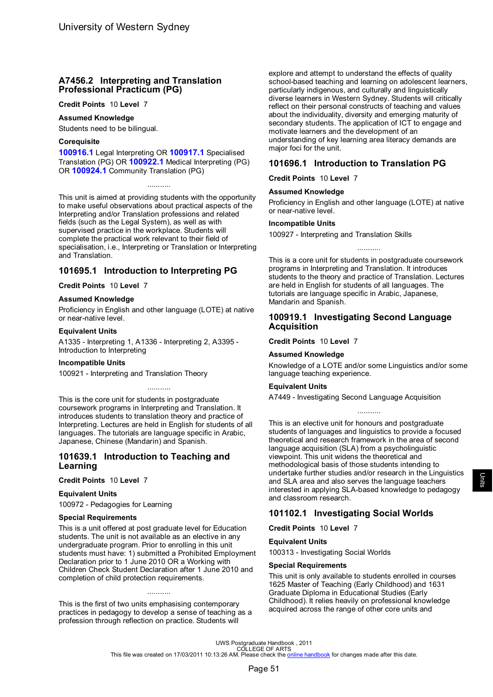# <span id="page-54-0"></span>**A7456.2 Interpreting and Translation Professional Practicum (PG)**

**Credit Points** 10 **Level** 7

#### **Assumed Knowledge**

Students need to be bilingual.

#### **Corequisite**

**[100916.1](#page-56-0)** Legal Interpreting OR **[100917.1](#page-69-0)** Specialised Translation (PG) OR **[100922.1](#page-57-0)** Medical Interpreting (PG) OR **[100924.1](#page-44-0)** Community Translation (PG)

...........

This unit is aimed at providing students with the opportunity to make useful observations about practical aspects of the Interpreting and/or Translation professions and related fields (such as the Legal System), as well as with supervised practice in the workplace. Students will complete the practical work relevant to their field of specialisation, i.e., Interpreting or Translation or Interpreting and Translation.

# **101695.1 Introduction to Interpreting PG**

**Credit Points** 10 **Level** 7

#### **Assumed Knowledge**

Proficiency in English and other language (LOTE) at native or near-native level.

#### **Equivalent Units**

A1335 - Interpreting 1, A1336 - Interpreting 2, A3395 - Introduction to Interpreting

#### **Incompatible Units**

100921 - Interpreting and Translation Theory

This is the core unit for students in postgraduate coursework programs in Interpreting and Translation. It introduces students to translation theory and practice of Interpreting. Lectures are held in English for students of all languages. The tutorials are language specific in Arabic, Japanese, Chinese (Mandarin) and Spanish.

...........

# **101639.1 Introduction to Teaching and Learning**

#### **Credit Points** 10 **Level** 7

#### **Equivalent Units**

100972 - Pedagogies for Learning

#### **Special Requirements**

This is a unit offered at post graduate level for Education students. The unit is not available as an elective in any undergraduate program. Prior to enrolling in this unit students must have: 1) submitted a Prohibited Employment Declaration prior to 1 June 2010 OR a Working with Children Check Student Declaration after 1 June 2010 and completion of child protection requirements.

This is the first of two units emphasising contemporary practices in pedagogy to develop a sense of teaching as a profession through reflection on practice. Students will

...........

explore and attempt to understand the effects of quality school-based teaching and learning on adolescent learners, particularly indigenous, and culturally and linguistically diverse learners in Western Sydney. Students will critically reflect on their personal constructs of teaching and values about the individuality, diversity and emerging maturity of secondary students. The application of ICT to engage and motivate learners and the development of an understanding of key learning area literacy demands are major foci for the unit.

# **101696.1 Introduction to Translation PG**

**Credit Points** 10 **Level** 7

#### **Assumed Knowledge**

Proficiency in English and other language (LOTE) at native or near-native level.

#### **Incompatible Units**

100927 - Interpreting and Translation Skills

This is a core unit for students in postgraduate coursework programs in Interpreting and Translation. It introduces students to the theory and practice of Translation. Lectures are held in English for students of all languages. The tutorials are language specific in Arabic, Japanese, Mandarin and Spanish.

...........

### **100919.1 Investigating Second Language Acquisition**

**Credit Points** 10 **Level** 7

#### **Assumed Knowledge**

Knowledge of a LOTE and/or some Linguistics and/or some language teaching experience.

...........

#### **Equivalent Units**

A7449 - Investigating Second Language Acquisition

This is an elective unit for honours and postgraduate students of languages and linguistics to provide a focused theoretical and research framework in the area of second language acquisition (SLA) from a psycholinguistic viewpoint. This unit widens the theoretical and methodological basis of those students intending to undertake further studies and/or research in the Linguistics and SLA area and also serves the language teachers interested in applying SLA-based knowledge to pedagogy and classroom research.

# **101102.1 Investigating Social Worlds**

**Credit Points** 10 **Level** 7

#### **Equivalent Units**

100313 - Investigating Social Worlds

#### **Special Requirements**

This unit is only available to students enrolled in courses 1625 Master of Teaching (Early Childhood) and 1631 Graduate Diploma in Educational Studies (Early Childhood). It relies heavily on professional knowledge acquired across the range of other core units and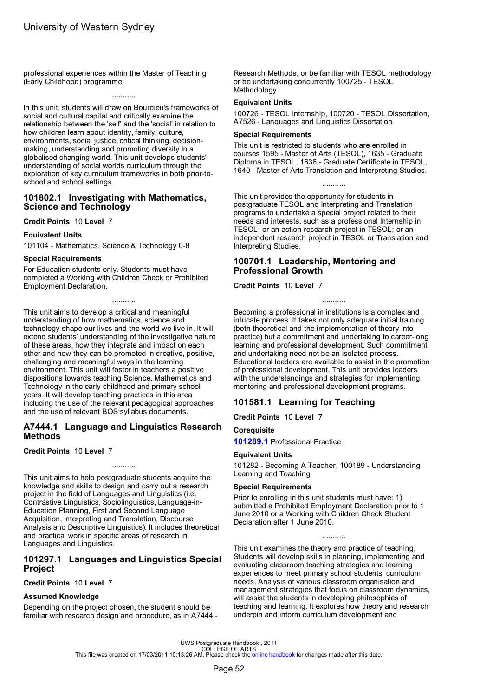<span id="page-55-0"></span>professional experiences within the Master of Teaching (Early Childhood) programme.

#### ...........

In this unit, students will draw on Bourdieu's frameworks of social and cultural capital and critically examine the relationship between the 'self' and the 'social' in relation to how children learn about identity, family, culture, environments, social justice, critical thinking, decisionmaking, understanding and promoting diversity in a globalised changing world. This unit develops students' understanding of social worlds curriculum through the exploration of key curriculum frameworks in both prior-toschool and school settings.

### **101802.1 Investigating with Mathematics, Science and Technology**

**Credit Points** 10 **Level** 7

#### **Equivalent Units**

101104 - Mathematics, Science & Technology 0-8

#### **Special Requirements**

For Education students only. Students must have completed a Working with Children Check or Prohibited Employment Declaration.

...........

This unit aims to develop a critical and meaningful understanding of how mathematics, science and technology shape our lives and the world we live in. It will extend students' understanding of the investigative nature of these areas, how they integrate and impact on each other and how they can be promoted in creative, positive, challenging and meaningful ways in the learning environment. This unit will foster in teachers a positive dispositions towards teaching Science, Mathematics and Technology in the early childhood and primary school years. It will develop teaching practices in this area including the use of the relevant pedagogical approaches and the use of relevant BOS syllabus documents.

# **A7444.1 Language and Linguistics Research Methods**

...........

#### **Credit Points** 10 **Level** 7

This unit aims to help postgraduate students acquire the knowledge and skills to design and carry out a research project in the field of Languages and Linguistics (i.e. Contrastive Linguistics, Sociolinguistics, Language-in-Education Planning, First and Second Language Acquisition, Interpreting and Translation, Discourse Analysis and Descriptive Linguistics). It includes theoretical and practical work in specific areas of research in Languages and Linguistics.

# **101297.1 Languages and Linguistics Special Project**

**Credit Points** 10 **Level** 7

#### **Assumed Knowledge**

Depending on the project chosen, the student should be familiar with research design and procedure, as in A7444 - Research Methods, or be familiar with TESOL methodology or be undertaking concurrently 100725 - TESOL Methodology.

#### **Equivalent Units**

100726 - TESOL Internship, 100720 - TESOL Dissertation, A7526 - Languages and Linguistics Dissertation

#### **Special Requirements**

This unit is restricted to students who are enrolled in courses 1595 - Master of Arts (TESOL), 1635 - Graduate Diploma in TESOL, 1636 - Graduate Certificate in TESOL, 1640 - Master of Arts Translation and Interpreting Studies.

...........

This unit provides the opportunity for students in postgraduate TESOL and Interpreting and Translation programs to undertake a special project related to their needs and interests, such as a professional Internship in TESOL; or an action research project in TESOL; or an independent research project in TESOL or Translation and Interpreting Studies.

# **100701.1 Leadership, Mentoring and Professional Growth**

**Credit Points** 10 **Level** 7

Becoming a professional in institutions is a complex and intricate process. It takes not only adequate initial training (both theoretical and the implementation of theory into practice) but a commitment and undertaking to career-long learning and professional development. Such commitment and undertaking need not be an isolated process. Educational leaders are available to assist in the promotion of professional development. This unit provides leaders with the understandings and strategies for implementing mentoring and professional development programs.

...........

# **101581.1 Learning for Teaching**

**Credit Points** 10 **Level** 7

#### **Corequisite**

**101289.1** Professional Practice I

#### **Equivalent Units**

101282 - Becoming A Teacher, 100189 - Understanding Learning and Teaching

#### **Special Requirements**

Prior to enrolling in this unit students must have: 1) submitted a Prohibited Employment Declaration prior to 1 June 2010 or a Working with Children Check Student Declaration after 1 June 2010.

...........

This unit examines the theory and practice of teaching, Students will develop skills in planning, implementing and evaluating classroom teaching strategies and learning experiences to meet primary school students' curriculum needs. Analysis of various classroom organisation and management strategies that focus on classroom dynamics, will assist the students in developing philosophies of teaching and learning. It explores how theory and research underpin and inform curriculum development and

UWS Postgraduate Handbook , 2011 COLLEGE OF ARTS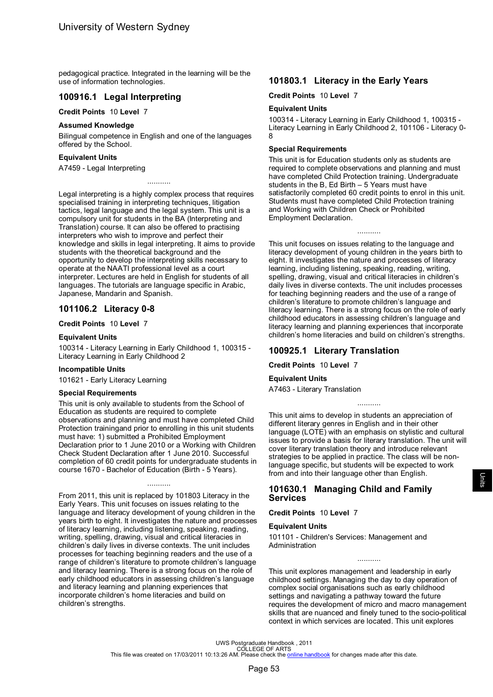<span id="page-56-0"></span>pedagogical practice. Integrated in the learning will be the use of information technologies.

# **100916.1 Legal Interpreting**

**Credit Points** 10 **Level** 7

#### **Assumed Knowledge**

Bilingual competence in English and one of the languages offered by the School.

...........

### **Equivalent Units**

A7459 - Legal Interpreting

Legal interpreting is a highly complex process that requires specialised training in interpreting techniques, litigation tactics, legal language and the legal system. This unit is a compulsory unit for students in the BA (Interpreting and Translation) course. It can also be offered to practising interpreters who wish to improve and perfect their knowledge and skills in legal interpreting. It aims to provide students with the theoretical background and the opportunity to develop the interpreting skills necessary to operate at the NAATI professional level as a court interpreter. Lectures are held in English for students of all languages. The tutorials are language specific in Arabic, Japanese, Mandarin and Spanish.

# **101106.2 Literacy 0-8**

**Credit Points** 10 **Level** 7

#### **Equivalent Units**

100314 - Literacy Learning in Early Childhood 1, 100315 - Literacy Learning in Early Childhood 2

#### **Incompatible Units**

101621 - Early Literacy Learning

#### **Special Requirements**

This unit is only available to students from the School of Education as students are required to complete observations and planning and must have completed Child Protection trainingand prior to enrolling in this unit students must have: 1) submitted a Prohibited Employment Declaration prior to 1 June 2010 or a Working with Children Check Student Declaration after 1 June 2010. Successful completion of 60 credit points for undergraduate students in course 1670 - Bachelor of Education (Birth - 5 Years).

...........

From 2011, this unit is replaced by 101803 Literacy in the Early Years. This unit focuses on issues relating to the language and literacy development of young children in the years birth to eight. It investigates the nature and processes of literacy learning, including listening, speaking, reading, writing, spelling, drawing, visual and critical literacies in children's daily lives in diverse contexts. The unit includes processes for teaching beginning readers and the use of a range of children's literature to promote children's language and literacy learning. There is a strong focus on the role of early childhood educators in assessing children's language and literacy learning and planning experiences that incorporate children's home literacies and build on children's strengths.

# **101803.1 Literacy in the Early Years**

**Credit Points** 10 **Level** 7

#### **Equivalent Units**

100314 - Literacy Learning in Early Childhood 1, 100315 - Literacy Learning in Early Childhood 2, 101106 - Literacy 0- 8

#### **Special Requirements**

This unit is for Education students only as students are required to complete observations and planning and must have completed Child Protection training. Undergraduate students in the B, Ed Birth – 5 Years must have satisfactorily completed 60 credit points to enrol in this unit. Students must have completed Child Protection training and Working with Children Check or Prohibited Employment Declaration.

...........

This unit focuses on issues relating to the language and literacy development of young children in the years birth to eight. It investigates the nature and processes of literacy learning, including listening, speaking, reading, writing, spelling, drawing, visual and critical literacies in children's daily lives in diverse contexts. The unit includes processes for teaching beginning readers and the use of a range of children's literature to promote children's language and literacy learning. There is a strong focus on the role of early childhood educators in assessing children's language and literacy learning and planning experiences that incorporate children's home literacies and build on children's strengths.

### **100925.1 Literary Translation**

**Credit Points** 10 **Level** 7

#### **Equivalent Units**

A7463 - Literary Translation

...........

This unit aims to develop in students an appreciation of different literary genres in English and in their other language (LOTE) with an emphasis on stylistic and cultural issues to provide a basis for literary translation. The unit will cover literary translation theory and introduce relevant strategies to be applied in practice. The class will be nonlanguage specific, but students will be expected to work from and into their language other than English.

# **101630.1 Managing Child and Family Services**

**Credit Points** 10 **Level** 7

#### **Equivalent Units**

101101 - Children's Services: Management and Administration

This unit explores management and leadership in early childhood settings. Managing the day to day operation of complex social organisations such as early childhood settings and navigating a pathway toward the future requires the development of micro and macro management skills that are nuanced and finely tuned to the socio-political context in which services are located. This unit explores

...........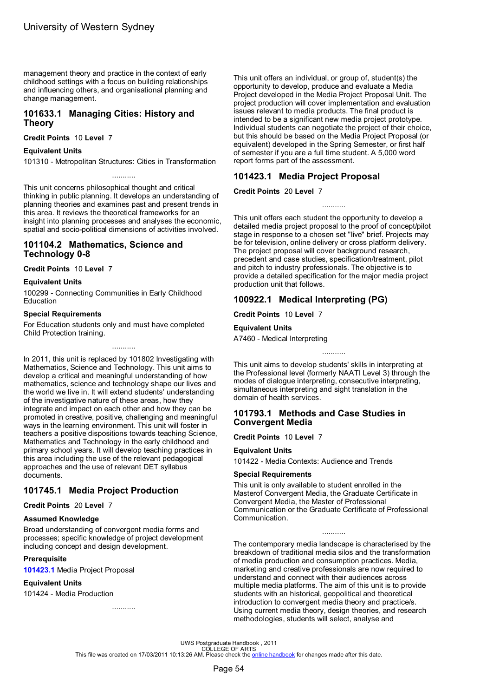<span id="page-57-0"></span>management theory and practice in the context of early childhood settings with a focus on building relationships and influencing others, and organisational planning and change management.

# **101633.1 Managing Cities: History and Theory**

#### **Credit Points** 10 **Level** 7

#### **Equivalent Units**

101310 - Metropolitan Structures: Cities in Transformation ...........

This unit concerns philosophical thought and critical thinking in public planning. It develops an understanding of planning theories and examines past and present trends in this area. It reviews the theoretical frameworks for an insight into planning processes and analyses the economic, spatial and socio-political dimensions of activities involved.

# **101104.2 Mathematics, Science and Technology 0-8**

**Credit Points** 10 **Level** 7

#### **Equivalent Units**

100299 - Connecting Communities in Early Childhood Education

#### **Special Requirements**

For Education students only and must have completed Child Protection training.

...........

In 2011, this unit is replaced by 101802 Investigating with Mathematics, Science and Technology. This unit aims to develop a critical and meaningful understanding of how mathematics, science and technology shape our lives and the world we live in. It will extend students' understanding of the investigative nature of these areas, how they integrate and impact on each other and how they can be promoted in creative, positive, challenging and meaningful ways in the learning environment. This unit will foster in teachers a positive dispositions towards teaching Science, Mathematics and Technology in the early childhood and primary school years. It will develop teaching practices in this area including the use of the relevant pedagogical approaches and the use of relevant DET syllabus documents.

# **101745.1 Media Project Production**

#### **Credit Points** 20 **Level** 7

#### **Assumed Knowledge**

Broad understanding of convergent media forms and processes; specific knowledge of project development including concept and design development.

#### **Prerequisite**

**101423.1** Media Project Proposal

#### **Equivalent Units**

101424 - Media Production

...........

This unit offers an individual, or group of, student(s) the opportunity to develop, produce and evaluate a Media Project developed in the Media Project Proposal Unit. The project production will cover implementation and evaluation issues relevant to media products. The final product is intended to be a significant new media project prototype. Individual students can negotiate the project of their choice, but this should be based on the Media Project Proposal (or equivalent) developed in the Spring Semester, or first half of semester if you are a full time student. A 5,000 word report forms part of the assessment.

# **101423.1 Media Project Proposal**

**Credit Points** 20 **Level** 7

This unit offers each student the opportunity to develop a detailed media project proposal to the proof of concept/pilot stage in response to a chosen set "live" brief. Projects may be for television, online delivery or cross platform delivery. The project proposal will cover background research, precedent and case studies, specification/treatment, pilot and pitch to industry professionals. The objective is to provide a detailed specification for the major media project production unit that follows.

...........

# **100922.1 Medical Interpreting (PG)**

**Credit Points** 10 **Level** 7

#### **Equivalent Units**

A7460 - Medical Interpreting

This unit aims to develop students' skills in interpreting at the Professional level (formerly NAATI Level 3) through the modes of dialogue interpreting, consecutive interpreting, simultaneous interpreting and sight translation in the domain of health services.

...........

# **101793.1 Methods and Case Studies in Convergent Media**

#### **Credit Points** 10 **Level** 7

#### **Equivalent Units**

101422 - Media Contexts: Audience and Trends

#### **Special Requirements**

This unit is only available to student enrolled in the Masterof Convergent Media, the Graduate Certificate in Convergent Media, the Master of Professional Communication or the Graduate Certificate of Professional Communication.

...........

The contemporary media landscape is characterised by the breakdown of traditional media silos and the transformation of media production and consumption practices. Media, marketing and creative professionals are now required to understand and connect with their audiences across multiple media platforms. The aim of this unit is to provide students with an historical, geopolitical and theoretical introduction to convergent media theory and practice/s. Using current media theory, design theories, and research methodologies, students will select, analyse and

UWS Postgraduate Handbook , 2011 COLLEGE OF ARTS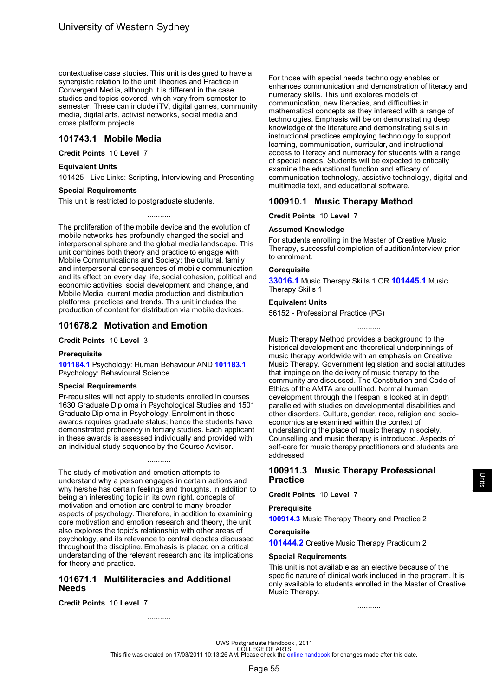<span id="page-58-0"></span>contextualise case studies. This unit is designed to have a synergistic relation to the unit Theories and Practice in Convergent Media, although it is different in the case studies and topics covered, which vary from semester to semester. These can include iTV, digital games, community media, digital arts, activist networks, social media and cross platform projects.

# **101743.1 Mobile Media**

#### **Credit Points** 10 **Level** 7

#### **Equivalent Units**

101425 - Live Links: Scripting, Interviewing and Presenting

...........

#### **Special Requirements**

This unit is restricted to postgraduate students.

The proliferation of the mobile device and the evolution of mobile networks has profoundly changed the social and interpersonal sphere and the global media landscape. This unit combines both theory and practice to engage with Mobile Communications and Society: the cultural, family and interpersonal consequences of mobile communication and its effect on every day life, social cohesion, political and economic activities, social development and change, and Mobile Media: current media production and distribution platforms, practices and trends. This unit includes the production of content for distribution via mobile devices.

# **101678.2 Motivation and Emotion**

# **Credit Points** 10 **Level** 3

#### **Prerequisite**

**[101184.1](#page-66-0)** Psychology: Human Behaviour AND **101183.1** Psychology: Behavioural Science

#### **Special Requirements**

Pr-requisites will not apply to students enrolled in courses 1630 Graduate Diploma in Psychological Studies and 1501 Graduate Diploma in Psychology. Enrolment in these awards requires graduate status; hence the students have demonstrated proficiency in tertiary studies. Each applicant in these awards is assessed individually and provided with an individual study sequence by the Course Advisor.

...........

The study of motivation and emotion attempts to understand why a person engages in certain actions and why he/she has certain feelings and thoughts. In addition to being an interesting topic in its own right, concepts of motivation and emotion are central to many broader aspects of psychology. Therefore, in addition to examining core motivation and emotion research and theory, the unit also explores the topic's relationship with other areas of psychology, and its relevance to central debates discussed throughout the discipline. Emphasis is placed on a critical understanding of the relevant research and its implications for theory and practice.

# **101671.1 Multiliteracies and Additional Needs**

...........

**Credit Points** 10 **Level** 7

For those with special needs technology enables or enhances communication and demonstration of literacy and numeracy skills. This unit explores models of communication, new literacies, and difficulties in mathematical concepts as they intersect with a range of technologies. Emphasis will be on demonstrating deep knowledge of the literature and demonstrating skills in instructional practices employing technology to support learning, communication, curricular, and instructional access to literacy and numeracy for students with a range of special needs. Students will be expected to critically examine the educational function and efficacy of communication technology, assistive technology, digital and multimedia text, and educational software.

# **100910.1 Music Therapy Method**

**Credit Points** 10 **Level** 7

#### **Assumed Knowledge**

For students enrolling in the Master of Creative Music Therapy, successful completion of audition/interview prior to enrolment.

#### **Corequisite**

**33016.1** Music Therapy Skills 1 OR **101445.1** Music Therapy Skills 1

#### **Equivalent Units**

56152 - Professional Practice (PG)

Music Therapy Method provides a background to the historical development and theoretical underpinnings of music therapy worldwide with an emphasis on Creative Music Therapy. Government legislation and social attitudes that impinge on the delivery of music therapy to the community are discussed. The Constitution and Code of Ethics of the AMTA are outlined. Normal human development through the lifespan is looked at in depth paralleled with studies on developmental disabilities and other disorders. Culture, gender, race, religion and socioeconomics are examined within the context of understanding the place of music therapy in society. Counselling and music therapy is introduced. Aspects of self-care for music therapy practitioners and students are addressed.

...........

### **100911.3 Music Therapy Professional Practice**

**Credit Points** 10 **Level** 7

**Prerequisite**

**[100914.3](#page-59-0)** Music Therapy Theory and Practice 2

### **Corequisite**

**101444.2** Creative Music Therapy Practicum 2

#### **Special Requirements**

This unit is not available as an elective because of the specific nature of clinical work included in the program. It is only available to students enrolled in the Master of Creative Music Therapy.

...........

UWS Postgraduate Handbook , 2011 COLLEGE OF ARTS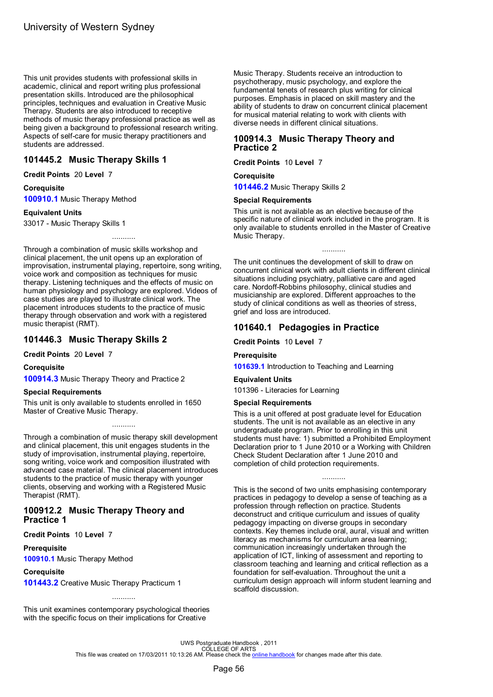<span id="page-59-0"></span>This unit provides students with professional skills in academic, clinical and report writing plus professional presentation skills. Introduced are the philosophical principles, techniques and evaluation in Creative Music Therapy. Students are also introduced to receptive methods of music therapy professional practice as well as being given a background to professional research writing. Aspects of self-care for music therapy practitioners and students are addressed.

# **101445.2 Music Therapy Skills 1**

#### **Credit Points** 20 **Level** 7

#### **Corequisite**

**[100910.1](#page-58-0)** Music Therapy Method

#### **Equivalent Units**

33017 - Music Therapy Skills 1

Through a combination of music skills workshop and clinical placement, the unit opens up an exploration of improvisation, instrumental playing, repertoire, song writing, voice work and composition as techniques for music therapy. Listening techniques and the effects of music on human physiology and psychology are explored. Videos of case studies are played to illustrate clinical work. The placement introduces students to the practice of music therapy through observation and work with a registered music therapist (RMT).

...........

# **101446.3 Music Therapy Skills 2**

**Credit Points** 20 **Level** 7

#### **Corequisite**

**100914.3** Music Therapy Theory and Practice 2

#### **Special Requirements**

This unit is only available to students enrolled in 1650 Master of Creative Music Therapy.

Through a combination of music therapy skill development and clinical placement, this unit engages students in the study of improvisation, instrumental playing, repertoire, song writing, voice work and composition illustrated with advanced case material. The clinical placement introduces students to the practice of music therapy with younger clients, observing and working with a Registered Music Therapist (RMT).

...........

### **100912.2 Music Therapy Theory and Practice 1**

**Credit Points** 10 **Level** 7

#### **Prerequisite**

**[100910.1](#page-58-0)** Music Therapy Method

#### **Corequisite**

**[101443.2](#page-46-0)** Creative Music Therapy Practicum 1

This unit examines contemporary psychological theories with the specific focus on their implications for Creative

...........

Music Therapy. Students receive an introduction to psychotherapy, music psychology, and explore the fundamental tenets of research plus writing for clinical purposes. Emphasis in placed on skill mastery and the ability of students to draw on concurrent clinical placement for musical material relating to work with clients with diverse needs in different clinical situations.

# **100914.3 Music Therapy Theory and Practice 2**

**Credit Points** 10 **Level** 7

#### **Corequisite**

**101446.2** Music Therapy Skills 2

#### **Special Requirements**

This unit is not available as an elective because of the specific nature of clinical work included in the program. It is only available to students enrolled in the Master of Creative Music Therapy.

The unit continues the development of skill to draw on concurrent clinical work with adult clients in different clinical situations including psychiatry, palliative care and aged care. Nordoff-Robbins philosophy, clinical studies and musicianship are explored. Different approaches to the study of clinical conditions as well as theories of stress, grief and loss are introduced.

# **101640.1 Pedagogies in Practice**

**Credit Points** 10 **Level** 7

#### **Prerequisite**

**[101639.1](#page-54-0)** Introduction to Teaching and Learning

#### **Equivalent Units**

101396 - Literacies for Learning

#### **Special Requirements**

This is a unit offered at post graduate level for Education students. The unit is not available as an elective in any undergraduate program. Prior to enrolling in this unit students must have: 1) submitted a Prohibited Employment Declaration prior to 1 June 2010 or a Working with Children Check Student Declaration after 1 June 2010 and completion of child protection requirements.

...........

This is the second of two units emphasising contemporary practices in pedagogy to develop a sense of teaching as a profession through reflection on practice. Students deconstruct and critique curriculum and issues of quality pedagogy impacting on diverse groups in secondary contexts. Key themes include oral, aural, visual and written literacy as mechanisms for curriculum area learning; communication increasingly undertaken through the application of ICT, linking of assessment and reporting to classroom teaching and learning and critical reflection as a foundation for self-evaluation. Throughout the unit a curriculum design approach will inform student learning and scaffold discussion.

UWS Postgraduate Handbook , 2011 COLLEGE OF ARTS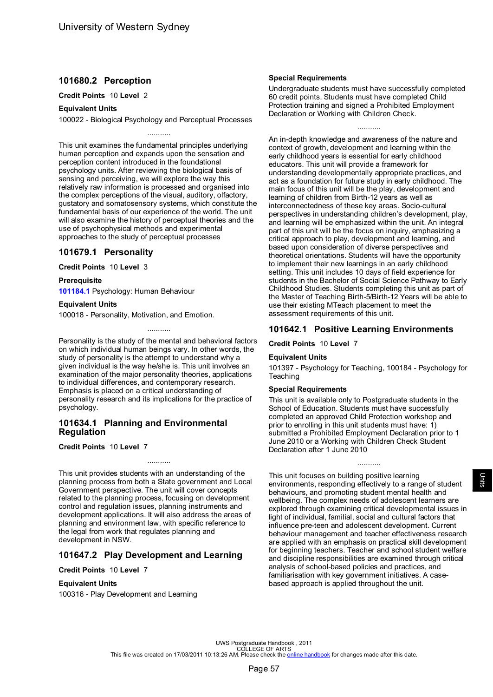# <span id="page-60-0"></span>**101680.2 Perception**

**Credit Points** 10 **Level** 2

#### **Equivalent Units**

100022 - Biological Psychology and Perceptual Processes

This unit examines the fundamental principles underlying human perception and expands upon the sensation and perception content introduced in the foundational psychology units. After reviewing the biological basis of sensing and perceiving, we will explore the way this relatively raw information is processed and organised into the complex perceptions of the visual, auditory, olfactory, gustatory and somatosensory systems, which constitute the fundamental basis of our experience of the world. The unit will also examine the history of perceptual theories and the use of psychophysical methods and experimental approaches to the study of perceptual processes

# **101679.1 Personality**

**Credit Points** 10 **Level** 3

#### **Prerequisite**

**[101184.1](#page-66-0)** Psychology: Human Behaviour

#### **Equivalent Units**

100018 - Personality, Motivation, and Emotion.

Personality is the study of the mental and behavioral factors on which individual human beings vary. In other words, the study of personality is the attempt to understand why a given individual is the way he/she is. This unit involves an examination of the major personality theories, applications to individual differences, and contemporary research. Emphasis is placed on a critical understanding of personality research and its implications for the practice of psychology.

...........

### **101634.1 Planning and Environmental Regulation**

**Credit Points** 10 **Level** 7

This unit provides students with an understanding of the planning process from both a State government and Local Government perspective. The unit will cover concepts related to the planning process, focusing on development control and regulation issues, planning instruments and development applications. It will also address the areas of planning and environment law, with specific reference to the legal from work that regulates planning and development in NSW.

...........

# **101647.2 Play Development and Learning**

#### **Credit Points** 10 **Level** 7

#### **Equivalent Units**

100316 - Play Development and Learning

#### **Special Requirements**

Undergraduate students must have successfully completed 60 credit points. Students must have completed Child Protection training and signed a Prohibited Employment Declaration or Working with Children Check.

...........

An in-depth knowledge and awareness of the nature and context of growth, development and learning within the early childhood years is essential for early childhood educators. This unit will provide a framework for understanding developmentally appropriate practices, and act as a foundation for future study in early childhood. The main focus of this unit will be the play, development and learning of children from Birth-12 years as well as interconnectedness of these key areas. Socio-cultural perspectives in understanding children's development, play, and learning will be emphasized within the unit. An integral part of this unit will be the focus on inquiry, emphasizing a critical approach to play, development and learning, and based upon consideration of diverse perspectives and theoretical orientations. Students will have the opportunity to implement their new learnings in an early childhood setting. This unit includes 10 days of field experience for students in the Bachelor of Social Science Pathway to Early Childhood Studies. Students completing this unit as part of the Master of Teaching Birth-5/Birth-12 Years will be able to use their existing MTeach placement to meet the assessment requirements of this unit.

# **101642.1 Positive Learning Environments**

**Credit Points** 10 **Level** 7

#### **Equivalent Units**

101397 - Psychology for Teaching, 100184 - Psychology for **Teaching** 

#### **Special Requirements**

This unit is available only to Postgraduate students in the School of Education. Students must have successfully completed an approved Child Protection workshop and prior to enrolling in this unit students must have: 1) submitted a Prohibited Employment Declaration prior to 1 June 2010 or a Working with Children Check Student Declaration after 1 June 2010

...........

This unit focuses on building positive learning environments, responding effectively to a range of student behaviours, and promoting student mental health and wellbeing. The complex needs of adolescent learners are explored through examining critical developmental issues in light of individual, familial, social and cultural factors that influence pre-teen and adolescent development. Current behaviour management and teacher effectiveness research are applied with an emphasis on practical skill development for beginning teachers. Teacher and school student welfare and discipline responsibilities are examined through critical analysis of school-based policies and practices, and familiarisation with key government initiatives. A casebased approach is applied throughout the unit.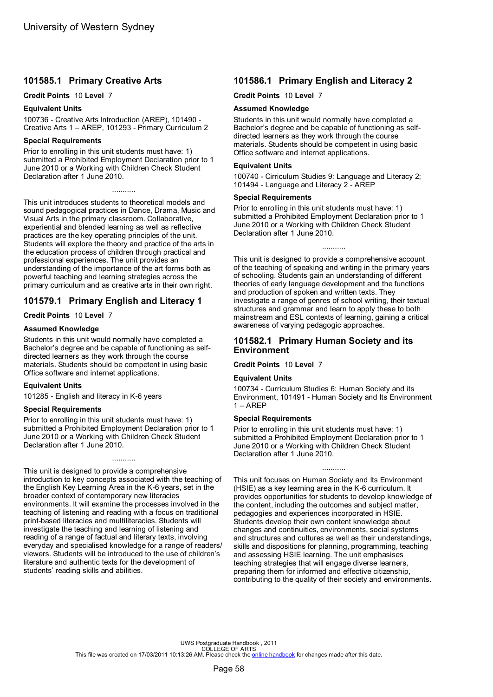# **101585.1 Primary Creative Arts**

#### **Credit Points** 10 **Level** 7

#### **Equivalent Units**

100736 - Creative Arts Introduction (AREP), 101490 - Creative Arts 1 – AREP, 101293 - Primary Curriculum 2

#### **Special Requirements**

Prior to enrolling in this unit students must have: 1) submitted a Prohibited Employment Declaration prior to 1 June 2010 or a Working with Children Check Student Declaration after 1 June 2010.

...........

This unit introduces students to theoretical models and sound pedagogical practices in Dance, Drama, Music and Visual Arts in the primary classroom. Collaborative, experiential and blended learning as well as reflective practices are the key operating principles of the unit. Students will explore the theory and practice of the arts in the education process of children through practical and professional experiences. The unit provides an understanding of the importance of the art forms both as powerful teaching and learning strategies across the primary curriculum and as creative arts in their own right.

# **101579.1 Primary English and Literacy 1**

**Credit Points** 10 **Level** 7

#### **Assumed Knowledge**

Students in this unit would normally have completed a Bachelor's degree and be capable of functioning as selfdirected learners as they work through the course materials. Students should be competent in using basic Office software and internet applications.

### **Equivalent Units**

101285 - English and literacy in K-6 years

#### **Special Requirements**

Prior to enrolling in this unit students must have: 1) submitted a Prohibited Employment Declaration prior to 1 June 2010 or a Working with Children Check Student Declaration after 1 June 2010.

...........

This unit is designed to provide a comprehensive introduction to key concepts associated with the teaching of the English Key Learning Area in the K-6 years, set in the broader context of contemporary new literacies environments. It will examine the processes involved in the teaching of listening and reading with a focus on traditional print-based literacies and multiliteracies. Students will investigate the teaching and learning of listening and reading of a range of factual and literary texts, involving everyday and specialised knowledge for a range of readers/ viewers. Students will be introduced to the use of children's literature and authentic texts for the development of students' reading skills and abilities.

# **101586.1 Primary English and Literacy 2**

#### **Credit Points** 10 **Level** 7

#### **Assumed Knowledge**

Students in this unit would normally have completed a Bachelor's degree and be capable of functioning as selfdirected learners as they work through the course materials. Students should be competent in using basic Office software and internet applications.

#### **Equivalent Units**

100740 - Cirriculum Studies 9: Language and Literacy 2; 101494 - Language and Literacy 2 - AREP

#### **Special Requirements**

Prior to enrolling in this unit students must have: 1) submitted a Prohibited Employment Declaration prior to 1 June 2010 or a Working with Children Check Student Declaration after 1 June 2010.

...........

This unit is designed to provide a comprehensive account of the teaching of speaking and writing in the primary years of schooling. Students gain an understanding of different theories of early language development and the functions and production of spoken and written texts. They investigate a range of genres of school writing, their textual structures and grammar and learn to apply these to both mainstream and ESL contexts of learning, gaining a critical awareness of varying pedagogic approaches.

# **101582.1 Primary Human Society and its Environment**

#### **Credit Points** 10 **Level** 7

#### **Equivalent Units**

100734 - Curriculum Studies 6: Human Society and its Environment, 101491 - Human Society and Its Environment 1 – AREP

#### **Special Requirements**

Prior to enrolling in this unit students must have: 1) submitted a Prohibited Employment Declaration prior to 1 June 2010 or a Working with Children Check Student Declaration after 1 June 2010.

...........

This unit focuses on Human Society and Its Environment (HSIE) as a key learning area in the K-6 curriculum. It provides opportunities for students to develop knowledge of the content, including the outcomes and subject matter, pedagogies and experiences incorporated in HSIE. Students develop their own content knowledge about changes and continuities, environments, social systems and structures and cultures as well as their understandings, skills and dispositions for planning, programming, teaching and assessing HSIE learning. The unit emphasises teaching strategies that will engage diverse learners, preparing them for informed and effective citizenship, contributing to the quality of their society and environments.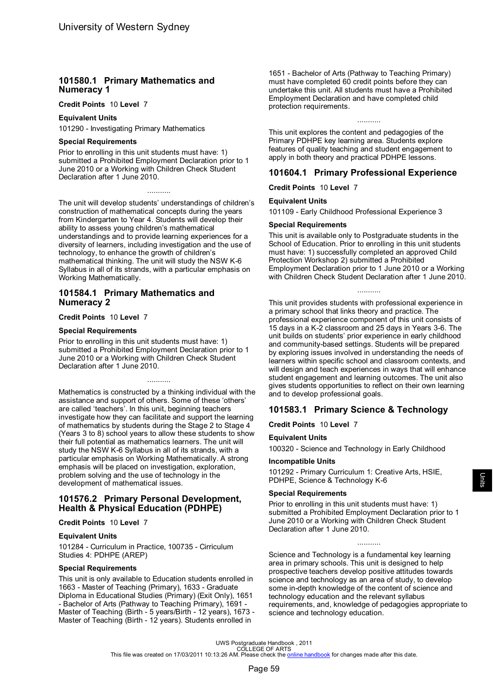# **101580.1 Primary Mathematics and Numeracy 1**

#### **Credit Points** 10 **Level** 7

#### **Equivalent Units**

101290 - Investigating Primary Mathematics

#### **Special Requirements**

Prior to enrolling in this unit students must have: 1) submitted a Prohibited Employment Declaration prior to 1 June 2010 or a Working with Children Check Student Declaration after 1 June 2010.

...........

The unit will develop students' understandings of children's construction of mathematical concepts during the years from Kindergarten to Year 4. Students will develop their ability to assess young children's mathematical understandings and to provide learning experiences for a diversity of learners, including investigation and the use of technology, to enhance the growth of children's mathematical thinking. The unit will study the NSW K-6 Syllabus in all of its strands, with a particular emphasis on Working Mathematically.

#### **101584.1 Primary Mathematics and Numeracy 2**

#### **Credit Points** 10 **Level** 7

#### **Special Requirements**

Prior to enrolling in this unit students must have: 1) submitted a Prohibited Employment Declaration prior to 1 June 2010 or a Working with Children Check Student Declaration after 1 June 2010.

...........

Mathematics is constructed by a thinking individual with the assistance and support of others. Some of these 'others' are called 'teachers'. In this unit, beginning teachers investigate how they can facilitate and support the learning of mathematics by students during the Stage 2 to Stage 4 (Years 3 to 8) school years to allow these students to show their full potential as mathematics learners. The unit will study the NSW K-6 Syllabus in all of its strands, with a particular emphasis on Working Mathematically. A strong emphasis will be placed on investigation, exploration, problem solving and the use of technology in the development of mathematical issues.

# **101576.2 Primary Personal Development, Health & Physical Education (PDHPE)**

#### **Credit Points** 10 **Level** 7

#### **Equivalent Units**

101284 - Curriculum in Practice, 100735 - Cirriculum Studies 4: PDHPE (AREP)

#### **Special Requirements**

This unit is only available to Education students enrolled in 1663 - Master of Teaching (Primary), 1633 - Graduate Diploma in Educational Studies (Primary) (Exit Only), 1651 - Bachelor of Arts (Pathway to Teaching Primary), 1691 - Master of Teaching (Birth - 5 years/Birth - 12 years), 1673 - Master of Teaching (Birth - 12 years). Students enrolled in

1651 - Bachelor of Arts (Pathway to Teaching Primary) must have completed 60 credit points before they can undertake this unit. All students must have a Prohibited Employment Declaration and have completed child protection requirements.

This unit explores the content and pedagogies of the Primary PDHPE key learning area. Students explore features of quality teaching and student engagement to apply in both theory and practical PDHPE lessons.

...........

### **101604.1 Primary Professional Experience**

#### **Credit Points** 10 **Level** 7

#### **Equivalent Units**

101109 - Early Childhood Professional Experience 3

#### **Special Requirements**

This unit is available only to Postgraduate students in the School of Education. Prior to enrolling in this unit students must have: 1) successfully completed an approved Child Protection Workshop 2) submitted a Prohibited Employment Declaration prior to 1 June 2010 or a Working with Children Check Student Declaration after 1 June 2010.

...........

This unit provides students with professional experience in a primary school that links theory and practice. The professional experience component of this unit consists of 15 days in a K-2 classroom and 25 days in Years 3-6. The unit builds on students' prior experience in early childhood and community-based settings. Students will be prepared by exploring issues involved in understanding the needs of learners within specific school and classroom contexts, and will design and teach experiences in ways that will enhance student engagement and learning outcomes. The unit also gives students opportunities to reflect on their own learning and to develop professional goals.

### **101583.1 Primary Science & Technology**

**Credit Points** 10 **Level** 7

#### **Equivalent Units**

100320 - Science and Technology in Early Childhood

#### **Incompatible Units**

101292 - Primary Curriculum 1: Creative Arts, HSIE, PDHPE, Science & Technology K-6

#### **Special Requirements**

Prior to enrolling in this unit students must have: 1) submitted a Prohibited Employment Declaration prior to 1 June 2010 or a Working with Children Check Student Declaration after 1 June 2010.

...........

Science and Technology is a fundamental key learning area in primary schools. This unit is designed to help prospective teachers develop positive attitudes towards science and technology as an area of study, to develop some in-depth knowledge of the content of science and technology education and the relevant syllabus requirements, and, knowledge of pedagogies appropriate to science and technology education.

UWS Postgraduate Handbook , 2011 COLLEGE OF ARTS This file was created on 17/03/2011 10:13:26 AM. Please check the online [handbook](http://handbook.uws.edu.au/hbook/) for changes made after this date.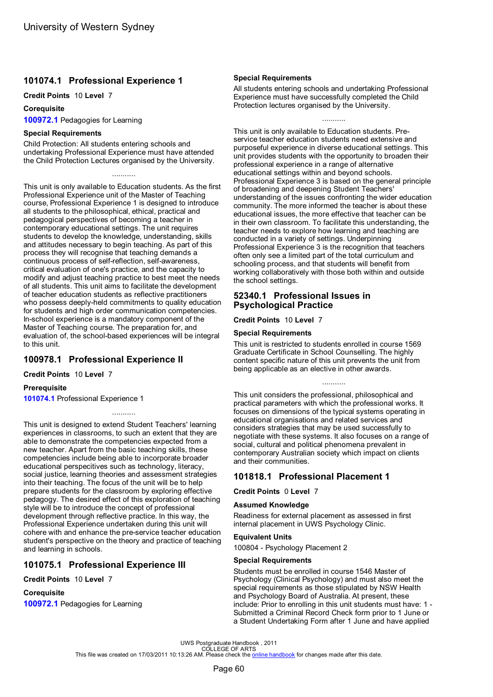# **101074.1 Professional Experience 1**

**Credit Points** 10 **Level** 7

**Corequisite**

**100972.1** Pedagogies for Learning

#### **Special Requirements**

Child Protection: All students entering schools and undertaking Professional Experience must have attended the Child Protection Lectures organised by the University.

...........

This unit is only available to Education students. As the first Professional Experience unit of the Master of Teaching course, Professional Experience 1 is designed to introduce all students to the philosophical, ethical, practical and pedagogical perspectives of becoming a teacher in contemporary educational settings. The unit requires students to develop the knowledge, understanding, skills and attitudes necessary to begin teaching. As part of this process they will recognise that teaching demands a continuous process of self-reflection, self-awareness, critical evaluation of one's practice, and the capacity to modify and adjust teaching practice to best meet the needs of all students. This unit aims to facilitate the development of teacher education students as reflective practitioners who possess deeply-held commitments to quality education for students and high order communication competencies. In-school experience is a mandatory component of the Master of Teaching course. The preparation for, and evaluation of, the school-based experiences will be integral to this unit.

# **100978.1 Professional Experience II**

**Credit Points** 10 **Level** 7

#### **Prerequisite**

**101074.1** Professional Experience 1

This unit is designed to extend Student Teachers' learning experiences in classrooms, to such an extent that they are able to demonstrate the competencies expected from a new teacher. Apart from the basic teaching skills, these competencies include being able to incorporate broader educational perspecitives such as technology, literacy, social justice, learning theories and assessment strategies into their teaching. The focus of the unit will be to help prepare students for the classroom by exploring effective pedagogy. The desired effect of this exploration of teaching style will be to introduce the concept of professional development through reflective practice. In this way, the Professional Experience undertaken during this unit will cohere with and enhance the pre-service teacher education student's perspective on the theory and practice of teaching and learning in schools.

# **101075.1 Professional Experience III**

**Credit Points** 10 **Level** 7

### **Corequisite**

**100972.1** Pedagogies for Learning

#### **Special Requirements**

All students entering schools and undertaking Professional Experience must have successfully completed the Child Protection lectures organised by the University.

#### ...........

This unit is only available to Education students. Preservice teacher education students need extensive and purposeful experience in diverse educational settings. This unit provides students with the opportunity to broaden their professional experience in a range of alternative educational settings within and beyond schools. Professional Experience 3 is based on the general principle of broadening and deepening Student Teachers' understanding of the issues confronting the wider education community. The more informed the teacher is about these educational issues, the more effective that teacher can be in their own classroom. To facilitate this understanding, the teacher needs to explore how learning and teaching are conducted in a variety of settings. Underpinning Professional Experience 3 is the recognition that teachers often only see a limited part of the total curriculum and schooling process, and that students will benefit from working collaboratively with those both within and outside the school settings.

# **52340.1 Professional Issues in Psychological Practice**

**Credit Points** 10 **Level** 7

#### **Special Requirements**

This unit is restricted to students enrolled in course 1569 Graduate Certificate in School Counselling. The highly content specific nature of this unit prevents the unit from being applicable as an elective in other awards.

...........

This unit considers the professional, philosophical and practical parameters with which the professional works. It focuses on dimensions of the typical systems operating in educational organisations and related services and considers strategies that may be used successfully to negotiate with these systems. It also focuses on a range of social, cultural and political phenomena prevalent in contemporary Australian society which impact on clients and their communities.

### **101818.1 Professional Placement 1**

**Credit Points** 0 **Level** 7

#### **Assumed Knowledge**

Readiness for external placement as assessed in first internal placement in UWS Psychology Clinic.

#### **Equivalent Units**

100804 - Psychology Placement 2

#### **Special Requirements**

Students must be enrolled in course 1546 Master of Psychology (Clinical Psychology) and must also meet the special requirements as those stipulated by NSW Health and Psychology Board of Australia. At present, these include: Prior to enrolling in this unit students must have: 1 - Submitted a Criminal Record Check form prior to 1 June or a Student Undertaking Form after 1 June and have applied

UWS Postgraduate Handbook , 2011 COLLEGE OF ARTS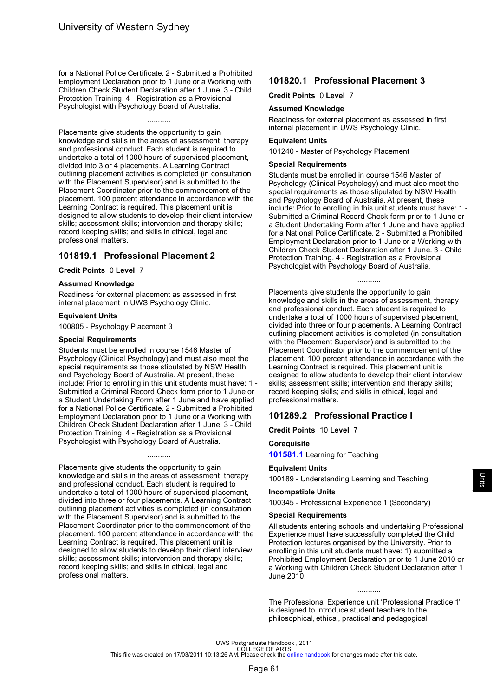for a National Police Certificate. 2 - Submitted a Prohibited Employment Declaration prior to 1 June or a Working with Children Check Student Declaration after 1 June. 3 - Child Protection Training. 4 - Registration as a Provisional Psychologist with Psychology Board of Australia.

...........

Placements give students the opportunity to gain knowledge and skills in the areas of assessment, therapy and professional conduct. Each student is required to undertake a total of 1000 hours of supervised placement, divided into 3 or 4 placements. A Learning Contract outlining placement activities is completed (in consultation with the Placement Supervisor) and is submitted to the Placement Coordinator prior to the commencement of the placement. 100 percent attendance in accordance with the Learning Contract is required. This placement unit is designed to allow students to develop their client interview skills; assessment skills; intervention and therapy skills; record keeping skills; and skills in ethical, legal and professional matters.

# **101819.1 Professional Placement 2**

**Credit Points** 0 **Level** 7

#### **Assumed Knowledge**

Readiness for external placement as assessed in first internal placement in UWS Psychology Clinic.

#### **Equivalent Units**

100805 - Psychology Placement 3

#### **Special Requirements**

Students must be enrolled in course 1546 Master of Psychology (Clinical Psychology) and must also meet the special requirements as those stipulated by NSW Health and Psychology Board of Australia. At present, these include: Prior to enrolling in this unit students must have: 1 - Submitted a Criminal Record Check form prior to 1 June or a Student Undertaking Form after 1 June and have applied for a National Police Certificate. 2 - Submitted a Prohibited Employment Declaration prior to 1 June or a Working with Children Check Student Declaration after 1 June. 3 - Child Protection Training. 4 - Registration as a Provisional Psychologist with Psychology Board of Australia.

...........

Placements give students the opportunity to gain knowledge and skills in the areas of assessment, therapy and professional conduct. Each student is required to undertake a total of 1000 hours of supervised placement, divided into three or four placements. A Learning Contract outlining placement activities is completed (in consultation with the Placement Supervisor) and is submitted to the Placement Coordinator prior to the commencement of the placement. 100 percent attendance in accordance with the Learning Contract is required. This placement unit is designed to allow students to develop their client interview skills; assessment skills; intervention and therapy skills; record keeping skills; and skills in ethical, legal and professional matters.

# **101820.1 Professional Placement 3**

**Credit Points** 0 **Level** 7

#### **Assumed Knowledge**

Readiness for external placement as assessed in first internal placement in UWS Psychology Clinic.

#### **Equivalent Units**

101240 - Master of Psychology Placement

#### **Special Requirements**

Students must be enrolled in course 1546 Master of Psychology (Clinical Psychology) and must also meet the special requirements as those stipulated by NSW Health and Psychology Board of Australia. At present, these include: Prior to enrolling in this unit students must have: 1 - Submitted a Criminal Record Check form prior to 1 June or a Student Undertaking Form after 1 June and have applied for a National Police Certificate. 2 - Submitted a Prohibited Employment Declaration prior to 1 June or a Working with Children Check Student Declaration after 1 June. 3 - Child Protection Training. 4 - Registration as a Provisional Psychologist with Psychology Board of Australia.

...........

Placements give students the opportunity to gain knowledge and skills in the areas of assessment, therapy and professional conduct. Each student is required to undertake a total of 1000 hours of supervised placement, divided into three or four placements. A Learning Contract outlining placement activities is completed (in consultation with the Placement Supervisor) and is submitted to the Placement Coordinator prior to the commencement of the placement. 100 percent attendance in accordance with the Learning Contract is required. This placement unit is designed to allow students to develop their client interview skills; assessment skills; intervention and therapy skills; record keeping skills; and skills in ethical, legal and professional matters.

# **101289.2 Professional Practice I**

**Credit Points** 10 **Level** 7

#### **Corequisite**

**[101581.1](#page-55-0)** Learning for Teaching

### **Equivalent Units**

100189 - Understanding Learning and Teaching

### **Incompatible Units**

100345 - Professional Experience 1 (Secondary)

#### **Special Requirements**

All students entering schools and undertaking Professional Experience must have successfully completed the Child Protection lectures organised by the University. Prior to enrolling in this unit students must have: 1) submitted a Prohibited Employment Declaration prior to 1 June 2010 or a Working with Children Check Student Declaration after 1 June 2010.

The Professional Experience unit 'Professional Practice 1' is designed to introduce student teachers to the philosophical, ethical, practical and pedagogical

...........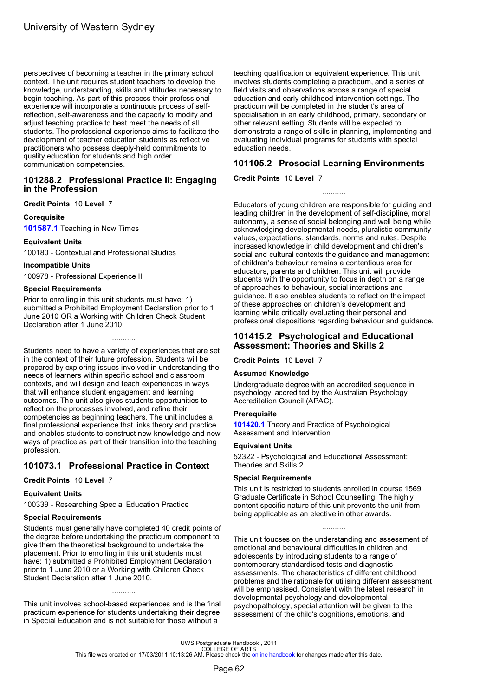<span id="page-65-0"></span>perspectives of becoming a teacher in the primary school context. The unit requires student teachers to develop the knowledge, understanding, skills and attitudes necessary to begin teaching. As part of this process their professional experience will incorporate a continuous process of selfreflection, self-awareness and the capacity to modify and adjust teaching practice to best meet the needs of all students. The professional experience aims to facilitate the development of teacher education students as reflective practitioners who possess deeply-held commitments to quality education for students and high order communication competencies.

# **101288.2 Professional Practice II: Engaging in the Profession**

#### **Credit Points** 10 **Level** 7

#### **Corequisite**

**[101587.1](#page-70-0)** Teaching in New Times

#### **Equivalent Units**

100180 - Contextual and Professional Studies

#### **Incompatible Units**

100978 - Professional Experience II

#### **Special Requirements**

Prior to enrolling in this unit students must have: 1) submitted a Prohibited Employment Declaration prior to 1 June 2010 OR a Working with Children Check Student Declaration after 1 June 2010

...........

Students need to have a variety of experiences that are set in the context of their future profession. Students will be prepared by exploring issues involved in understanding the needs of learners within specific school and classroom contexts, and will design and teach experiences in ways that will enhance student engagement and learning outcomes. The unit also gives students opportunities to reflect on the processes involved, and refine their competencies as beginning teachers. The unit includes a final professional experience that links theory and practice and enables students to construct new knowledge and new ways of practice as part of their transition into the teaching profession.

# **101073.1 Professional Practice in Context**

**Credit Points** 10 **Level** 7

#### **Equivalent Units**

100339 - Researching Special Education Practice

#### **Special Requirements**

Students must generally have completed 40 credit points of the degree before undertaking the practicum component to give them the theoretical background to undertake the placement. Prior to enrolling in this unit students must have: 1) submitted a Prohibited Employment Declaration prior to 1 June 2010 or a Working with Children Check Student Declaration after 1 June 2010.

This unit involves school-based experiences and is the final practicum experience for students undertaking their degree in Special Education and is not suitable for those without a

...........

teaching qualification or equivalent experience. This unit involves students completing a practicum, and a series of field visits and observations across a range of special education and early childhood intervention settings. The practicum will be completed in the student's area of specialisation in an early childhood, primary, secondary or other relevant setting. Students will be expected to demonstrate a range of skills in planning, implementing and evaluating individual programs for students with special education needs.

# **101105.2 Prosocial Learning Environments**

...........

#### **Credit Points** 10 **Level** 7

Educators of young children are responsible for guiding and leading children in the development of self-discipline, moral autonomy, a sense of social belonging and well being while acknowledging developmental needs, pluralistic community values, expectations, standards, norms and rules. Despite increased knowledge in child development and children's social and cultural contexts the guidance and management of children's behaviour remains a contentious area for educators, parents and children. This unit will provide students with the opportunity to focus in depth on a range of approaches to behaviour, social interactions and guidance. It also enables students to reflect on the impact of these approaches on children's development and learning while critically evaluating their personal and professional dispositions regarding behaviour and guidance.

### **101415.2 Psychological and Educational Assessment: Theories and Skills 2**

**Credit Points** 10 **Level** 7

#### **Assumed Knowledge**

Undergraduate degree with an accredited sequence in psychology, accredited by the Australian Psychology Accreditation Council (APAC).

#### **Prerequisite**

**[101420.1](#page-71-0)** Theory and Practice of Psychological Assessment and Intervention

#### **Equivalent Units**

52322 - Psychological and Educational Assessment: Theories and Skills 2

#### **Special Requirements**

This unit is restricted to students enrolled in course 1569 Graduate Certificate in School Counselling. The highly content specific nature of this unit prevents the unit from being applicable as an elective in other awards.

...........

This unit foucses on the understanding and assessment of emotional and behavioural difficulties in children and adolescents by introducing students to a range of contemporary standardised tests and diagnostic assessments. The characteristics of different childhood problems and the rationale for utilising different assessment will be emphasised. Consistent with the latest research in developmental psychology and developmental psychopathology, special attention will be given to the assessment of the child's cognitions, emotions, and

UWS Postgraduate Handbook , 2011 COLLEGE OF ARTS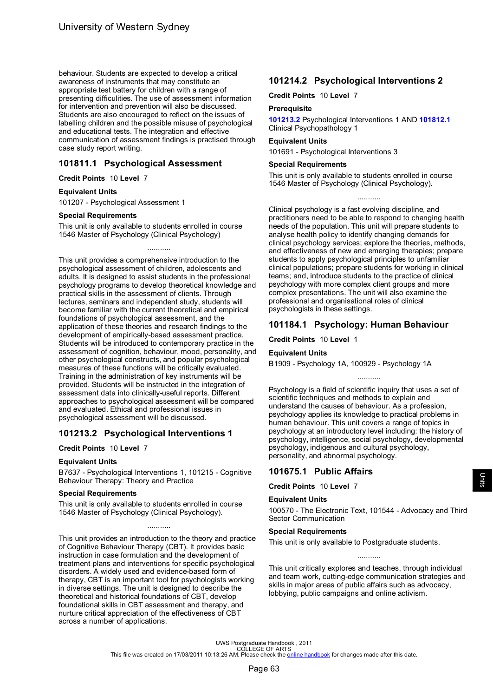<span id="page-66-0"></span>behaviour. Students are expected to develop a critical awareness of instruments that may constitute an appropriate test battery for children with a range of presenting difficulities. The use of assessment information for intervention and prevention will also be discussed. Students are also encouraged to reflect on the issues of labelling children and the possible misuse of psychological and educational tests. The integration and effective communication of assessment findings is practised through case study report writing.

# **101811.1 Psychological Assessment**

**Credit Points** 10 **Level** 7

#### **Equivalent Units**

101207 - Psychological Assessment 1

#### **Special Requirements**

This unit is only available to students enrolled in course 1546 Master of Psychology (Clinical Psychology)

...........

This unit provides a comprehensive introduction to the psychological assessment of children, adolescents and adults. It is designed to assist students in the professional psychology programs to develop theoretical knowledge and practical skills in the assessment of clients. Through lectures, seminars and independent study, students will become familiar with the current theoretical and empirical foundations of psychological assessment, and the application of these theories and research findings to the development of empirically-based assessment practice. Students will be introduced to contemporary practice in the assessment of cognition, behaviour, mood, personality, and other psychological constructs, and popular psychological measures of these functions will be critically evaluated. Training in the administration of key instruments will be provided. Students will be instructed in the integration of assessment data into clinically-useful reports. Different approaches to psychological assessment will be compared and evaluated. Ethical and professional issues in psychological assessment will be discussed.

# **101213.2 Psychological Interventions 1**

### **Credit Points** 10 **Level** 7

#### **Equivalent Units**

B7637 - Psychological Interventions 1, 101215 - Cognitive Behaviour Therapy: Theory and Practice

#### **Special Requirements**

This unit is only available to students enrolled in course 1546 Master of Psychology (Clinical Psychology).

This unit provides an introduction to the theory and practice of Cognitive Behaviour Therapy (CBT). It provides basic instruction in case formulation and the development of treatment plans and interventions for specific psychological disorders. A widely used and evidence-based form of therapy, CBT is an important tool for psychologists working in diverse settings. The unit is designed to describe the theoretical and historical foundations of CBT, develop foundational skills in CBT assessment and therapy, and nurture critical appreciation of the effectiveness of CBT across a number of applications.

# **101214.2 Psychological Interventions 2**

**Credit Points** 10 **Level** 7

#### **Prerequisite**

**101213.2** Psychological Interventions 1 AND **[101812.1](#page-43-0)** Clinical Psychopathology 1

### **Equivalent Units**

101691 - Psychological Interventions 3

#### **Special Requirements**

This unit is only available to students enrolled in course 1546 Master of Psychology (Clinical Psychology).

...........

Clinical psychology is a fast evolving discipline, and practitioners need to be able to respond to changing health needs of the population. This unit will prepare students to analyse health policy to identify changing demands for clinical psychology services; explore the theories, methods, and effectiveness of new and emerging therapies; prepare students to apply psychological principles to unfamiliar clinical populations; prepare students for working in clinical teams; and, introduce students to the practice of clinical psychology with more complex client groups and more complex presentations. The unit will also examine the professional and organisational roles of clinical psychologists in these settings.

# **101184.1 Psychology: Human Behaviour**

**Credit Points** 10 **Level** 1

#### **Equivalent Units**

B1909 - Psychology 1A, 100929 - Psychology 1A

Psychology is a field of scientific inquiry that uses a set of scientific techniques and methods to explain and understand the causes of behaviour. As a profession, psychology applies its knowledge to practical problems in human behaviour. This unit covers a range of topics in psychology at an introductory level including: the history of psychology, intelligence, social psychology, developmental psychology, indigenous and cultural psychology, personality, and abnormal psychology.

...........

# **101675.1 Public Affairs**

**Credit Points** 10 **Level** 7

#### **Equivalent Units**

100570 - The Electronic Text, 101544 - Advocacy and Third Sector Communication

#### **Special Requirements**

This unit is only available to Postgraduate students.

This unit critically explores and teaches, through individual and team work, cutting-edge communication strategies and skills in major areas of public affairs such as advocacy, lobbying, public campaigns and online activism.

...........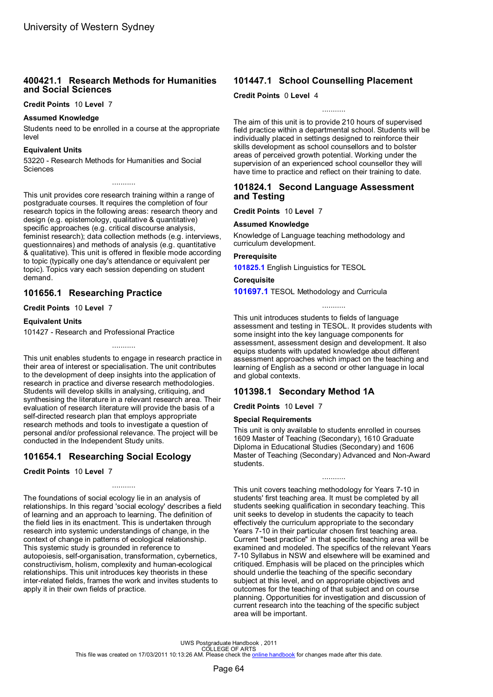# <span id="page-67-0"></span>**400421.1 Research Methods for Humanities and Social Sciences**

#### **Credit Points** 10 **Level** 7

### **Assumed Knowledge**

Students need to be enrolled in a course at the appropriate level

...........

#### **Equivalent Units**

53220 - Research Methods for Humanities and Social Sciences

This unit provides core research training within a range of postgraduate courses. It requires the completion of four research topics in the following areas: research theory and design (e.g. epistemology, qualitative & quantitative) specific approaches (e.g. critical discourse analysis, feminist research); data collection methods (e.g. interviews, questionnaires) and methods of analysis (e.g. quantitative & qualitative). This unit is offered in flexible mode according to topic (typically one day's attendance or equivalent per topic). Topics vary each session depending on student demand.

# **101656.1 Researching Practice**

**Credit Points** 10 **Level** 7

#### **Equivalent Units**

101427 - Research and Professional Practice

This unit enables students to engage in research practice in their area of interest or specialisation. The unit contributes to the development of deep insights into the application of research in practice and diverse research methodologies. Students will develop skills in analysing, critiquing, and synthesising the literature in a relevant research area. Their evaluation of research literature will provide the basis of a self-directed research plan that employs appropriate research methods and tools to investigate a question of personal and/or professional relevance. The project will be conducted in the Independent Study units.

...........

# **101654.1 Researching Social Ecology**

**Credit Points** 10 **Level** 7

The foundations of social ecology lie in an analysis of relationships. In this regard 'social ecology' describes a field of learning and an approach to learning. The definition of the field lies in its enactment. This is undertaken through research into systemic understandings of change, in the context of change in patterns of ecological relationship. This systemic study is grounded in reference to autopoiesis, self-organisation, transformation, cybernetics, constructivism, holism, complexity and human-ecological relationships. This unit introduces key theorists in these inter-related fields, frames the work and invites students to apply it in their own fields of practice.

...........

# **101447.1 School Counselling Placement**

#### **Credit Points** 0 **Level** 4

The aim of this unit is to provide 210 hours of supervised field practice within a departmental school. Students will be individually placed in settings designed to reinforce their skills development as school counsellors and to bolster areas of perceived growth potential. Working under the supervision of an experienced school counsellor they will have time to practice and reflect on their training to date.

...........

# **101824.1 Second Language Assessment and Testing**

**Credit Points** 10 **Level** 7

#### **Assumed Knowledge**

Knowledge of Language teaching methodology and curriculum development.

#### **Prerequisite**

**[101825.1](#page-50-0)** English Linguistics for TESOL

#### **Corequisite**

**[101697.1](#page-70-0)** TESOL Methodology and Curricula

...........

This unit introduces students to fields of language assessment and testing in TESOL. It provides students with some insight into the key language components for assessment, assessment design and development. It also equips students with updated knowledge about different assessment approaches which impact on the teaching and learning of English as a second or other language in local and global contexts.

# **101398.1 Secondary Method 1A**

**Credit Points** 10 **Level** 7

### **Special Requirements**

This unit is only available to students enrolled in courses 1609 Master of Teaching (Secondary), 1610 Graduate Diploma in Educational Studies (Secondary) and 1606 Master of Teaching (Secondary) Advanced and Non-Award students.

...........

This unit covers teaching methodology for Years 7-10 in students' first teaching area. It must be completed by all students seeking qualification in secondary teaching. This unit seeks to develop in students the capacity to teach effectively the curriculum appropriate to the secondary Years 7-10 in their particular chosen first teaching area. Current "best practice" in that specific teaching area will be examined and modeled. The specifics of the relevant Years 7-10 Syllabus in NSW and elsewhere will be examined and critiqued. Emphasis will be placed on the principles which should underlie the teaching of the specific secondary subject at this level, and on appropriate objectives and outcomes for the teaching of that subject and on course planning. Opportunities for investigation and discussion of current research into the teaching of the specific subject area will be important.

UWS Postgraduate Handbook , 2011 COLLEGE OF ARTS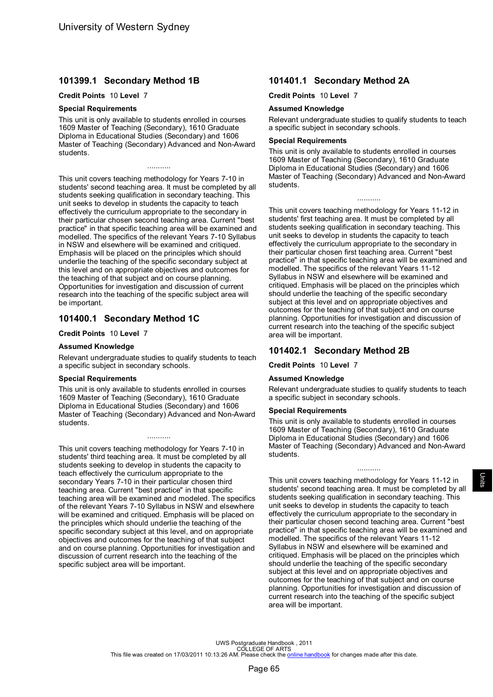# **101399.1 Secondary Method 1B**

#### **Credit Points** 10 **Level** 7

#### **Special Requirements**

This unit is only available to students enrolled in courses 1609 Master of Teaching (Secondary), 1610 Graduate Diploma in Educational Studies (Secondary) and 1606 Master of Teaching (Secondary) Advanced and Non-Award students.

...........

This unit covers teaching methodology for Years 7-10 in students' second teaching area. It must be completed by all students seeking qualification in secondary teaching. This unit seeks to develop in students the capacity to teach effectively the curriculum appropriate to the secondary in their particular chosen second teaching area. Current "best practice" in that specific teaching area will be examined and modelled. The specifics of the relevant Years 7-10 Syllabus in NSW and elsewhere will be examined and critiqued. Emphasis will be placed on the principles which should underlie the teaching of the specific secondary subject at this level and on appropriate objectives and outcomes for the teaching of that subject and on course planning. Opportunities for investigation and discussion of current research into the teaching of the specific subject area will be important.

# **101400.1 Secondary Method 1C**

#### **Credit Points** 10 **Level** 7

#### **Assumed Knowledge**

Relevant undergraduate studies to qualify students to teach a specific subject in secondary schools.

#### **Special Requirements**

This unit is only available to students enrolled in courses 1609 Master of Teaching (Secondary), 1610 Graduate Diploma in Educational Studies (Secondary) and 1606 Master of Teaching (Secondary) Advanced and Non-Award students.

...........

This unit covers teaching methodology for Years 7-10 in students' third teaching area. It must be completed by all students seeking to develop in students the capacity to teach effectively the curriculum appropriate to the secondary Years 7-10 in their particular chosen third teaching area. Current "best practice" in that specific teaching area will be examined and modeled. The specifics of the relevant Years 7-10 Syllabus in NSW and elsewhere will be examined and critiqued. Emphasis will be placed on the principles which should underlie the teaching of the specific secondary subject at this level, and on appropriate objectives and outcomes for the teaching of that subject and on course planning. Opportunities for investigation and discussion of current research into the teaching of the specific subject area will be important.

# **101401.1 Secondary Method 2A**

**Credit Points** 10 **Level** 7

#### **Assumed Knowledge**

Relevant undergraduate studies to qualify students to teach a specific subject in secondary schools.

#### **Special Requirements**

This unit is only available to students enrolled in courses 1609 Master of Teaching (Secondary), 1610 Graduate Diploma in Educational Studies (Secondary) and 1606 Master of Teaching (Secondary) Advanced and Non-Award students.

...........

This unit covers teaching methodology for Years 11-12 in students' first teaching area. It must be completed by all students seeking qualification in secondary teaching. This unit seeks to develop in students the capacity to teach effectively the curriculum appropriate to the secondary in their particular chosen first teaching area. Current "best practice" in that specific teaching area will be examined and modelled. The specifics of the relevant Years 11-12 Syllabus in NSW and elsewhere will be examined and critiqued. Emphasis will be placed on the principles which should underlie the teaching of the specific secondary subject at this level and on appropriate objectives and outcomes for the teaching of that subject and on course planning. Opportunities for investigation and discussion of current research into the teaching of the specific subject area will be important.

# **101402.1 Secondary Method 2B**

#### **Credit Points** 10 **Level** 7

#### **Assumed Knowledge**

Relevant undergraduate studies to qualify students to teach a specific subject in secondary schools.

#### **Special Requirements**

This unit is only available to students enrolled in courses 1609 Master of Teaching (Secondary), 1610 Graduate Diploma in Educational Studies (Secondary) and 1606 Master of Teaching (Secondary) Advanced and Non-Award students.

...........

This unit covers teaching methodology for Years 11-12 in students' second teaching area. It must be completed by all students seeking qualification in secondary teaching. This unit seeks to develop in students the capacity to teach effectively the curriculum appropriate to the secondary in their particular chosen second teaching area. Current "best practice" in that specific teaching area will be examined and modelled. The specifics of the relevant Years 11-12 Syllabus in NSW and elsewhere will be examined and critiqued. Emphasis will be placed on the principles which should underlie the teaching of the specific secondary subject at this level and on appropriate objectives and outcomes for the teaching of that subject and on course planning. Opportunities for investigation and discussion of current research into the teaching of the specific subject area will be important.

Page 65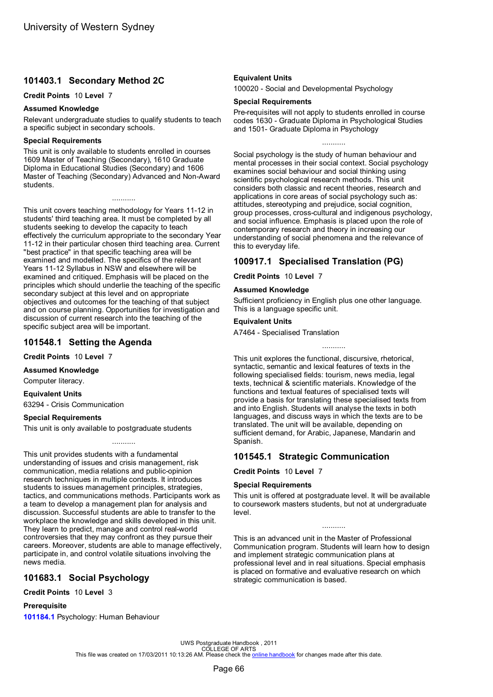# <span id="page-69-0"></span>**101403.1 Secondary Method 2C**

#### **Credit Points** 10 **Level** 7

#### **Assumed Knowledge**

Relevant undergraduate studies to qualify students to teach a specific subject in secondary schools.

#### **Special Requirements**

This unit is only available to students enrolled in courses 1609 Master of Teaching (Secondary), 1610 Graduate Diploma in Educational Studies (Secondary) and 1606 Master of Teaching (Secondary) Advanced and Non-Award students.

...........

This unit covers teaching methodology for Years 11-12 in students' third teaching area. It must be completed by all students seeking to develop the capacity to teach effectively the curriculum appropriate to the secondary Year 11-12 in their particular chosen third teaching area. Current "best practice" in that specific teaching area will be examined and modelled. The specifics of the relevant Years 11-12 Syllabus in NSW and elsewhere will be examined and critiqued. Emphasis will be placed on the principles which should underlie the teaching of the specific secondary subject at this level and on appropriate objectives and outcomes for the teaching of that subject and on course planning. Opportunities for investigation and discussion of current research into the teaching of the specific subject area will be important.

# **101548.1 Setting the Agenda**

**Credit Points** 10 **Level** 7

#### **Assumed Knowledge**

Computer literacy.

#### **Equivalent Units**

63294 - Crisis Communication

#### **Special Requirements**

This unit is only available to postgraduate students

This unit provides students with a fundamental understanding of issues and crisis management, risk communication, media relations and public-opinion research techniques in multiple contexts. It introduces students to issues management principles, strategies, tactics, and communications methods. Participants work as a team to develop a management plan for analysis and discussion. Successful students are able to transfer to the workplace the knowledge and skills developed in this unit. They learn to predict, manage and control real-world controversies that they may confront as they pursue their careers. Moreover, students are able to manage effectively, participate in, and control volatile situations involving the news media.

...........

# **101683.1 Social Psychology**

### **Credit Points** 10 **Level** 3

### **Prerequisite**

**[101184.1](#page-66-0)** Psychology: Human Behaviour

### **Equivalent Units**

100020 - Social and Developmental Psychology

#### **Special Requirements**

Pre-requisites will not apply to students enrolled in course codes 1630 - Graduate Diploma in Psychological Studies and 1501- Graduate Diploma in Psychology

...........

Social psychology is the study of human behaviour and mental processes in their social context. Social psychology examines social behaviour and social thinking using scientific psychological research methods. This unit considers both classic and recent theories, research and applications in core areas of social psychology such as: attitudes, stereotyping and prejudice, social cognition, group processes, cross-cultural and indigenous psychology, and social influence. Emphasis is placed upon the role of contemporary research and theory in increasing our understanding of social phenomena and the relevance of this to everyday life.

# **100917.1 Specialised Translation (PG)**

#### **Credit Points** 10 **Level** 7

### **Assumed Knowledge**

Sufficient proficiency in English plus one other language. This is a language specific unit.

...........

#### **Equivalent Units**

A7464 - Specialised Translation

This unit explores the functional, discursive, rhetorical, syntactic, semantic and lexical features of texts in the following specialised fields: tourism, news media, legal texts, technical & scientific materials. Knowledge of the functions and textual features of specialised texts will provide a basis for translating these specialised texts from and into English. Students will analyse the texts in both languages, and discuss ways in which the texts are to be translated. The unit will be available, depending on sufficient demand, for Arabic, Japanese, Mandarin and Spanish.

# **101545.1 Strategic Communication**

**Credit Points** 10 **Level** 7

#### **Special Requirements**

This unit is offered at postgraduate level. It will be available to coursework masters students, but not at undergraduate level.

This is an advanced unit in the Master of Professional Communication program. Students will learn how to design and implement strategic communication plans at professional level and in real situations. Special emphasis is placed on formative and evaluative research on which strategic communication is based.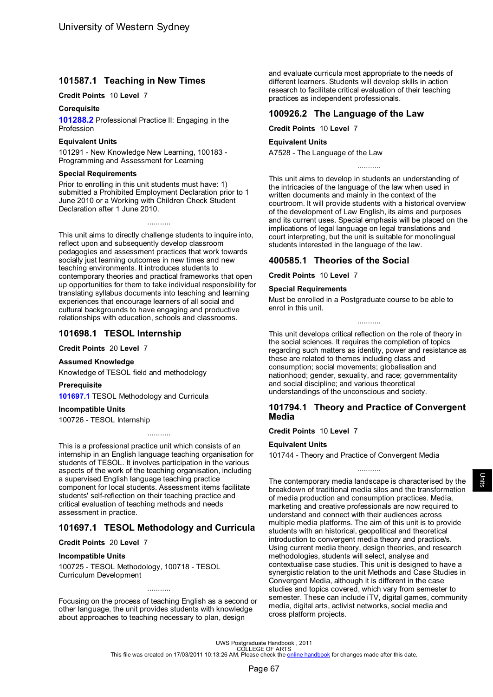# <span id="page-70-0"></span>**101587.1 Teaching in New Times**

### **Credit Points** 10 **Level** 7

#### **Corequisite**

**[101288.2](#page-65-0)** Professional Practice II: Engaging in the Profession

### **Equivalent Units**

101291 - New Knowledge New Learning, 100183 - Programming and Assessment for Learning

#### **Special Requirements**

Prior to enrolling in this unit students must have: 1) submitted a Prohibited Employment Declaration prior to 1 June 2010 or a Working with Children Check Student Declaration after 1 June 2010.

...........

This unit aims to directly challenge students to inquire into, reflect upon and subsequently develop classroom pedagogies and assessment practices that work towards socially just learning outcomes in new times and new teaching environments. It introduces students to contemporary theories and practical frameworks that open up opportunities for them to take individual responsibility for translating syllabus documents into teaching and learning experiences that encourage learners of all social and cultural backgrounds to have engaging and productive relationships with education, schools and classrooms.

# **101698.1 TESOL Internship**

**Credit Points** 20 **Level** 7

#### **Assumed Knowledge**

Knowledge of TESOL field and methodology

#### **Prerequisite**

**101697.1** TESOL Methodology and Curricula

#### **Incompatible Units**

100726 - TESOL Internship

This is a professional practice unit which consists of an internship in an English language teaching organisation for students of TESOL. It involves participation in the various aspects of the work of the teaching organisation, including a supervised English language teaching practice component for local students. Assessment items facilitate students' self-reflection on their teaching practice and critical evaluation of teaching methods and needs assessment in practice.

...........

# **101697.1 TESOL Methodology and Curricula**

#### **Credit Points** 20 **Level** 7

#### **Incompatible Units**

100725 - TESOL Methodology, 100718 - TESOL Curriculum Development

Focusing on the process of teaching English as a second or other language, the unit provides students with knowledge about approaches to teaching necessary to plan, design

...........

and evaluate curricula most appropriate to the needs of different learners. Students will develop skills in action research to facilitate critical evaluation of their teaching practices as independent professionals.

# **100926.2 The Language of the Law**

**Credit Points** 10 **Level** 7

#### **Equivalent Units**

A7528 - The Language of the Law

...........

This unit aims to develop in students an understanding of the intricacies of the language of the law when used in written documents and mainly in the context of the courtroom. It will provide students with a historical overview of the development of Law English, its aims and purposes and its current uses. Special emphasis will be placed on the implications of legal language on legal translations and court interpreting, but the unit is suitable for monolingual students interested in the language of the law.

#### **400585.1 Theories of the Social**

**Credit Points** 10 **Level** 7

#### **Special Requirements**

Must be enrolled in a Postgraduate course to be able to enrol in this unit.

This unit develops critical reflection on the role of theory in the social sciences. It requires the completion of topics regarding such matters as identity, power and resistance as these are related to themes including class and consumption; social movements; globalisation and nationhood; gender, sexuality, and race; governmentality and social discipline; and various theoretical understandings of the unconscious and society.

### **101794.1 Theory and Practice of Convergent Media**

...........

# **Credit Points** 10 **Level** 7

#### **Equivalent Units**

101744 - Theory and Practice of Convergent Media

The contemporary media landscape is characterised by the breakdown of traditional media silos and the transformation of media production and consumption practices. Media, marketing and creative professionals are now required to understand and connect with their audiences across multiple media platforms. The aim of this unit is to provide students with an historical, geopolitical and theoretical introduction to convergent media theory and practice/s. Using current media theory, design theories, and research methodologies, students will select, analyse and contextualise case studies. This unit is designed to have a synergistic relation to the unit Methods and Case Studies in Convergent Media, although it is different in the case studies and topics covered, which vary from semester to semester. These can include iTV, digital games, community media, digital arts, activist networks, social media and cross platform projects.

Units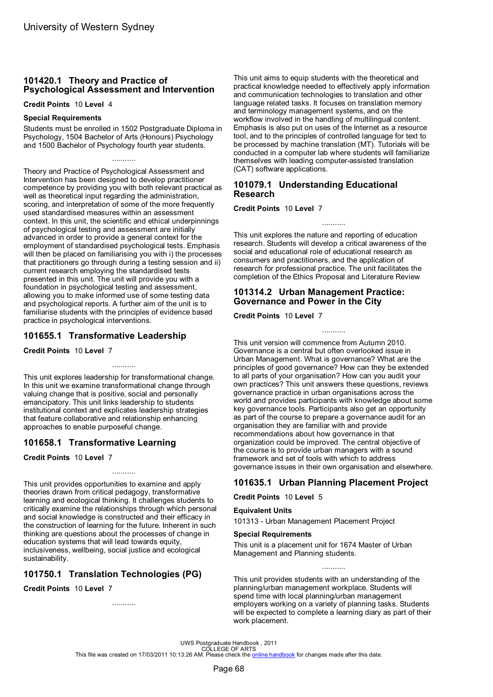# <span id="page-71-0"></span>**101420.1 Theory and Practice of Psychological Assessment and Intervention**

#### **Credit Points** 10 **Level** 4

#### **Special Requirements**

Students must be enrolled in 1502 Postgraduate Diploma in Psychology, 1504 Bachelor of Arts (Honours) Psychology and 1500 Bachelor of Psychology fourth year students.

...........

Theory and Practice of Psychological Assessment and Intervention has been designed to develop practitioner competence by providing you with both relevant practical as well as theoretical input regarding the administration, scoring, and interpretation of some of the more frequently used standardised measures within an assessment context. In this unit, the scientific and ethical underpinnings of psychological testing and assessment are initially advanced in order to provide a general context for the employment of standardised psychological tests. Emphasis will then be placed on familiarising you with i) the processes that practitioners go through during a testing session and ii) current research employing the standardised tests presented in this unit. The unit will provide you with a foundation in psychological testing and assessment, allowing you to make informed use of some testing data and psychological reports. A further aim of the unit is to familiarise students with the principles of evidence based practice in psychological interventions.

# **101655.1 Transformative Leadership**

**Credit Points** 10 **Level** 7

This unit explores leadership for transformational change. In this unit we examine transformational change through valuing change that is positive, social and personally emancipatory. This unit links leadership to students institutional context and explicates leadership strategies that feature collaborative and relationship enhancing approaches to enable purposeful change.

# **101658.1 Transformative Learning**

#### **Credit Points** 10 **Level** 7

This unit provides opportunities to examine and apply theories drawn from critical pedagogy, transformative learning and ecological thinking. It challenges students to critically examine the relationships through which personal and social knowledge is constructed and their efficacy in the construction of learning for the future. Inherent in such thinking are questions about the processes of change in education systems that will lead towards equity, inclusiveness, wellbeing, social justice and ecological sustainability.

...........

# **101750.1 Translation Technologies (PG)**

...........

**Credit Points** 10 **Level** 7

This unit aims to equip students with the theoretical and practical knowledge needed to effectively apply information and communication technologies to translation and other language related tasks. It focuses on translation memory and terminology management systems, and on the workflow involved in the handling of multilingual content. Emphasis is also put on uses of the Internet as a resource tool, and to the principles of controlled language for text to be processed by machine translation (MT). Tutorials will be conducted in a computer lab where students will familiarize themselves with leading computer-assisted translation (CAT) software applications.

# **101079.1 Understanding Educational Research**

**Credit Points** 10 **Level** 7

This unit explores the nature and reporting of education research. Students will develop a critical awareness of the social and educational role of educational research as consumers and practitioners, and the application of research for professional practice. The unit facilitates the completion of the Ethics Proposal and Literature Review

...........

# **101314.2 Urban Management Practice: Governance and Power in the City**

**Credit Points** 10 **Level** 7

This unit version will commence from Autumn 2010. Governance is a central but often overlooked issue in Urban Management. What is governance? What are the principles of good governance? How can they be extended to all parts of your organisation? How can you audit your own practices? This unit answers these questions, reviews governance practice in urban organisations across the world and provides participants with knowledge about some key governance tools. Participants also get an opportunity as part of the course to prepare a governance audit for an organisation they are familiar with and provide recommendations about how governance in that organization could be improved. The central objective of the course is to provide urban managers with a sound framework and set of tools with which to address governance issues in their own organisation and elsewhere.

...........

# **101635.1 Urban Planning Placement Project**

**Credit Points** 10 **Level** 5

### **Equivalent Units**

101313 - Urban Management Placement Project

#### **Special Requirements**

This unit is a placement unit for 1674 Master of Urban Management and Planning students.

This unit provides students with an understanding of the planning/urban management workplace. Students will spend time with local planning/urban management employers working on a variety of planning tasks. Students will be expected to complete a learning diary as part of their work placement.

...........

UWS Postgraduate Handbook , 2011 COLLEGE OF ARTS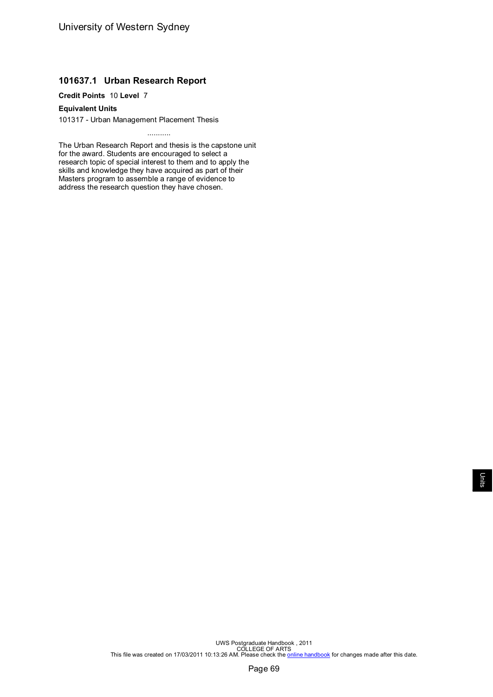## <span id="page-72-0"></span>**101637.1 Urban Research Report**

**Credit Points** 10 **Level** 7

#### **Equivalent Units**

101317 - Urban Management Placement Thesis

The Urban Research Report and thesis is the capstone unit for the award. Students are encouraged to select a research topic of special interest to them and to apply the skills and knowledge they have acquired as part of their Masters program to assemble a range of evidence to address the research question they have chosen.

...........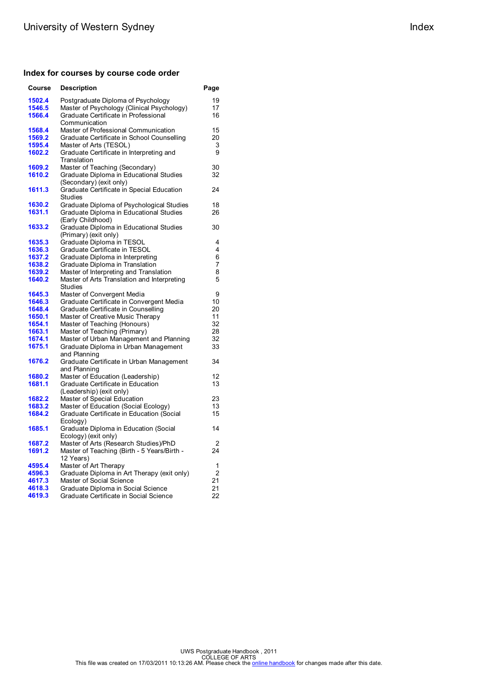### **Index for courses by course code order**

| Course           | <b>Description</b>                                                        | Page                    |
|------------------|---------------------------------------------------------------------------|-------------------------|
| 1502.4           | Postgraduate Diploma of Psychology                                        | 19                      |
| 1546.5           | Master of Psychology (Clinical Psychology)                                | 17                      |
| 1566.4           | Graduate Certificate in Professional                                      | 16                      |
|                  | Communication                                                             |                         |
| 1568.4           | Master of Professional Communication                                      | 15                      |
| 1569.2           | Graduate Certificate in School Counselling                                | 20                      |
| 1595.4           | Master of Arts (TESOL)                                                    | 3                       |
| 1602.2           | Graduate Certificate in Interpreting and                                  | 9                       |
|                  | Translation                                                               | 30                      |
| 1609.2<br>1610.2 | Master of Teaching (Secondary)<br>Graduate Diploma in Educational Studies | 32                      |
|                  | (Secondary) (exit only)                                                   |                         |
| 1611.3           | Graduate Certificate in Special Education                                 | 24                      |
|                  | <b>Studies</b>                                                            |                         |
| 1630.2           | Graduate Diploma of Psychological Studies                                 | 18                      |
| 1631.1           | Graduate Diploma in Educational Studies                                   | 26                      |
|                  | (Early Childhood)                                                         |                         |
| 1633.2           | Graduate Diploma in Educational Studies                                   | 30                      |
|                  | (Primary) (exit only)                                                     |                         |
| 1635.3           | Graduate Diploma in TESOL                                                 | 4                       |
| 1636.3           | Graduate Certificate in TESOL                                             | 4                       |
| 1637.2           | Graduate Diploma in Interpreting                                          | 6                       |
| 1638.2           | Graduate Diploma in Translation                                           | 7                       |
| 1639.2           | Master of Interpreting and Translation                                    | 8<br>5                  |
| 1640.2           | Master of Arts Translation and Interpreting<br>Studies                    |                         |
| 1645.3           | Master of Convergent Media                                                | 9                       |
| 1646.3           | Graduate Certificate in Convergent Media                                  | 10                      |
| 1648.4           | Graduate Certificate in Counselling                                       | 20                      |
| 1650.1           | Master of Creative Music Therapy                                          | 11                      |
| 1654.1           | Master of Teaching (Honours)                                              | 32                      |
| 1663.1           | Master of Teaching (Primary)                                              | 28                      |
| 1674.1           | Master of Urban Management and Planning                                   | 32                      |
| 1675.1           | Graduate Diploma in Urban Management                                      | 33                      |
|                  | and Planning                                                              |                         |
| 1676.2           | Graduate Certificate in Urban Management                                  | 34                      |
|                  | and Planning                                                              |                         |
| 1680.2           | Master of Education (Leadership)                                          | 12                      |
| 1681.1           | Graduate Certificate in Education                                         | 13                      |
|                  | (Leadership) (exit only)                                                  |                         |
| 1682.2<br>1683.2 | Master of Special Education<br>Master of Education (Social Ecology)       | 23<br>13                |
| 1684.2           | Graduate Certificate in Education (Social                                 | 15                      |
|                  | Ecology)                                                                  |                         |
| 1685.1           | Graduate Diploma in Education (Social                                     | 14                      |
|                  | Ecology) (exit only)                                                      |                         |
| 1687.2           | Master of Arts (Research Studies)/PhD                                     | $\overline{\mathbf{c}}$ |
| 1691.2           | Master of Teaching (Birth - 5 Years/Birth -                               | 24                      |
|                  | 12 Years)                                                                 |                         |
| 4595.4           | Master of Art Therapy                                                     | 1                       |
| 4596.3           | Graduate Diploma in Art Therapy (exit only)                               | 2                       |
| 4617.3           | Master of Social Science                                                  | 21                      |
| 4618.3           | Graduate Diploma in Social Science                                        | 21                      |
| 4619.3           | Graduate Certificate in Social Science                                    | 22                      |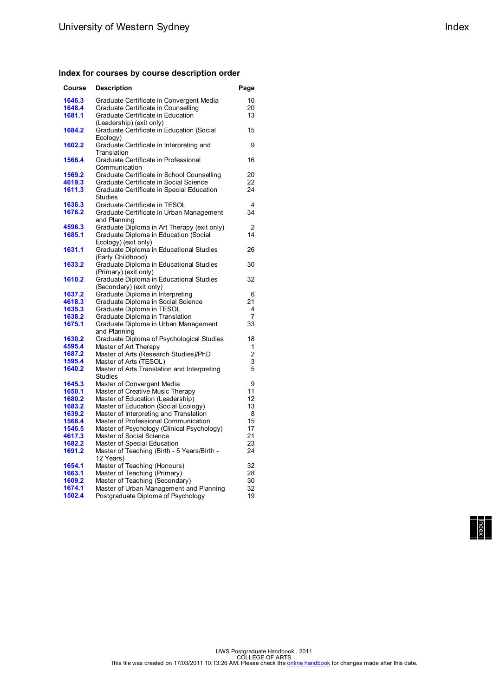### **Index for courses by course description order**

| Course           | <b>Description</b>                                                                   | Page     |
|------------------|--------------------------------------------------------------------------------------|----------|
| 1646.3           | Graduate Certificate in Convergent Media                                             | 10       |
| 1648.4           | Graduate Certificate in Counselling                                                  | 20       |
| 1681.1           | Graduate Certificate in Education                                                    | 13       |
|                  | (Leadership) (exit only)                                                             |          |
| 1684.2           | Graduate Certificate in Education (Social                                            | 15       |
|                  | Ecology)                                                                             |          |
| 1602.2           | Graduate Certificate in Interpreting and                                             | 9        |
|                  | Translation                                                                          |          |
| 1566.4           | Graduate Certificate in Professional                                                 | 16       |
|                  | Communication                                                                        |          |
| 1569.2<br>4619.3 | Graduate Certificate in School Counselling<br>Graduate Certificate in Social Science | 20<br>22 |
| 1611.3           | Graduate Certificate in Special Education                                            | 24       |
|                  | <b>Studies</b>                                                                       |          |
| 1636.3           | Graduate Certificate in TESOL                                                        | 4        |
| 1676.2           | Graduate Certificate in Urban Management                                             | 34       |
|                  | and Planning                                                                         |          |
| 4596.3           | Graduate Diploma in Art Therapy (exit only)                                          | 2        |
| 1685.1           | Graduate Diploma in Education (Social                                                | 14       |
|                  | Ecology) (exit only)                                                                 |          |
| 1631.1           | Graduate Diploma in Educational Studies                                              | 26       |
|                  | (Early Childhood)                                                                    |          |
| 1633.2           | Graduate Diploma in Educational Studies                                              | 30       |
|                  | (Primary) (exit only)                                                                |          |
| 1610.2           | Graduate Diploma in Educational Studies                                              | 32       |
|                  | (Secondary) (exit only)                                                              |          |
| 1637.2           | Graduate Diploma in Interpreting                                                     | 6<br>21  |
| 4618.3<br>1635.3 | Graduate Diploma in Social Science<br>Graduate Diploma in TESOL                      | 4        |
| 1638.2           | Graduate Diploma in Translation                                                      | 7        |
| 1675.1           | Graduate Diploma in Urban Management                                                 | 33       |
|                  | and Planning                                                                         |          |
| 1630.2           | Graduate Diploma of Psychological Studies                                            | 18       |
| 4595.4           | Master of Art Therapy                                                                | 1        |
| 1687.2           | Master of Arts (Research Studies)/PhD                                                | 2        |
| 1595.4           | Master of Arts (TESOL)                                                               | 3        |
| 1640.2           | Master of Arts Translation and Interpreting                                          | 5        |
|                  | <b>Studies</b>                                                                       |          |
| 1645.3           | Master of Convergent Media                                                           | 9        |
| 1650.1           | Master of Creative Music Therapy                                                     | 11       |
| 1680.2           | Master of Education (Leadership)                                                     | 12       |
| 1683.2           | Master of Education (Social Ecology)                                                 | 13<br>8  |
| 1639.2<br>1568.4 | Master of Interpreting and Translation<br>Master of Professional Communication       | 15       |
| 1546.5           | Master of Psychology (Clinical Psychology)                                           | 17       |
| 4617.3           | Master of Social Science                                                             | 21       |
| 1682.2           | Master of Special Education                                                          | 23       |
| 1691.2           | Master of Teaching (Birth - 5 Years/Birth -                                          | 24       |
|                  | 12 Years)                                                                            |          |
| 1654.1           | Master of Teaching (Honours)                                                         | 32       |
| 1663.1           | Master of Teaching (Primary)                                                         | 28       |
| 1609.2           | Master of Teaching (Secondary)                                                       | 30       |
| 1674.1           | Master of Urban Management and Planning                                              | 32       |
| 1502.4           | Postgraduate Diploma of Psychology                                                   | 19       |

| Index | Index | Index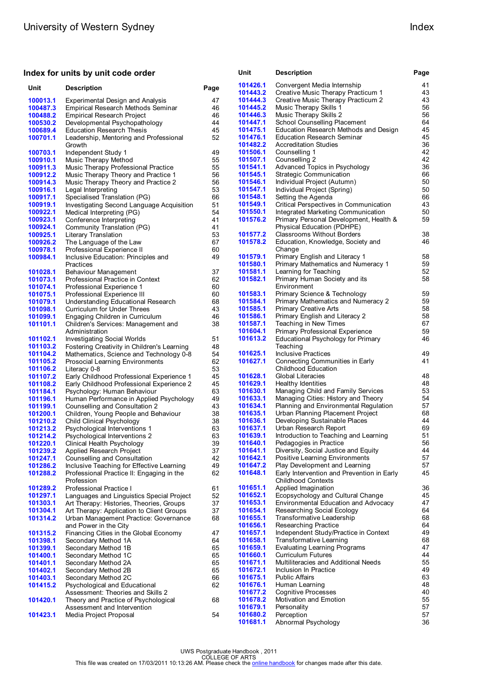# **Index for units by unit code order**

|                      | ndex for units by unit code order                                                  |          | Unit                 | <b>Description</b>                                                       | Page     |
|----------------------|------------------------------------------------------------------------------------|----------|----------------------|--------------------------------------------------------------------------|----------|
| Unit                 | <b>Description</b>                                                                 | Page     | 101426.1             | Convergent Media Internship                                              | 41       |
|                      |                                                                                    | 47       | 101443.2<br>101444.3 | Creative Music Therapy Practicum 1<br>Creative Music Therapy Practicum 2 | 43<br>43 |
| 100013.1<br>100487.3 | Experimental Design and Analysis<br>Empirical Research Methods Seminar             | 46       | 101445.2             | Music Therapy Skills 1                                                   | 56       |
| 100488.2             | <b>Empirical Research Project</b>                                                  | 46       | 101446.3             | Music Therapy Skills 2                                                   | 56       |
| 100530.2             | Developmental Psychopathology                                                      | 44       | 101447.1             | School Counselling Placement                                             | 64       |
| 100689.4             | <b>Education Research Thesis</b>                                                   | 45       | 101475.1             | Education Research Methods and Design                                    | 45       |
| 100701.1             | Leadership, Mentoring and Professional                                             | 52       | 101476.1             | <b>Education Research Seminar</b>                                        | 45       |
|                      | Growth                                                                             |          | 101482.2             | <b>Accreditation Studies</b>                                             | 36       |
| 100703.1             | Independent Study 1                                                                | 49       | 101506.1             | Counselling 1                                                            | 42       |
| 100910.1             | Music Therapy Method                                                               | 55       | 101507.1             | Counselling 2                                                            | 42       |
| 100911.3             | Music Therapy Professional Practice                                                | 55       | 101541.1             | Advanced Topics in Psychology                                            | 36       |
| 100912.2             | Music Therapy Theory and Practice 1                                                | 56       | 101545.1             | Strategic Communication                                                  | 66       |
| 100914.3             | Music Therapy Theory and Practice 2                                                | 56       | 101546.1             | Individual Project (Autumn)                                              | 50       |
| 100916.1             | Legal Interpreting                                                                 | 53       | 101547.1             | Individual Project (Spring)                                              | 50       |
| 100917.1             | Specialised Translation (PG)                                                       | 66       | 101548.1             | Setting the Agenda                                                       | 66       |
| 100919.1             | Investigating Second Language Acquisition                                          | 51       | 101549.1             | Critical Perspectives in Communication                                   | 43       |
| 100922.1             | Medical Interpreting (PG)                                                          | 54       | 101550.1             | Integrated Marketing Communication                                       | 50       |
| 100923.1             | Conference Interpreting                                                            | 41       | 101576.2             | Primary Personal Development, Health &                                   | 59       |
| 100924.1             | Community Translation (PG)                                                         | 41       |                      | Physical Education (PDHPE)                                               |          |
| 100925.1             | Literary Translation                                                               | 53       | 101577.2             | <b>Classrooms Without Borders</b>                                        | 38       |
| 100926.2             | The Language of the Law                                                            | 67       | 101578.2             | Education, Knowledge, Society and                                        | 46       |
| 100978.1<br>100984.1 | Professional Experience II                                                         | 60<br>49 | 101579.1             | Change<br>Primary English and Literacy 1                                 | 58       |
|                      | Inclusive Education: Principles and<br>Practices                                   |          | 101580.1             | Primary Mathematics and Numeracy 1                                       | 59       |
| 101028.1             | Behaviour Management                                                               | 37       | 101581.1             | Learning for Teaching                                                    | 52       |
| 101073.1             | Professional Practice in Context                                                   | 62       | 101582.1             | Primary Human Society and its                                            | 58       |
| 101074.1             | Professional Experience 1                                                          | 60       |                      | Environment                                                              |          |
| 101075.1             | Professional Experience III                                                        | 60       | 101583.1             | Primary Science & Technology                                             | 59       |
| 101079.1             | Understanding Educational Research                                                 | 68       | 101584.1             | Primary Mathematics and Numeracy 2                                       | 59       |
| 101098.1             | <b>Curriculum for Under Threes</b>                                                 | 43       | 101585.1             | <b>Primary Creative Arts</b>                                             | 58       |
| 101099.1             | Engaging Children in Curriculum                                                    | 46       | 101586.1             | Primary English and Literacy 2                                           | 58       |
| 101101.1             | Children's Services: Management and                                                | 38       | 101587.1             | Teaching in New Times                                                    | 67       |
|                      | Administration                                                                     |          | 101604.1             | Primary Professional Experience                                          | 59       |
| 101102.1             | <b>Investigating Social Worlds</b>                                                 | 51       | 101613.2             | Educational Psychology for Primary                                       | 46       |
| 101103.2             | Fostering Creativity in Children's Learning                                        | 48       |                      | Teaching                                                                 |          |
| 101104.2             | Mathematics, Science and Technology 0-8                                            | 54       | 101625.1             | Inclusive Practices                                                      | 49       |
| 101105.2             | Prosocial Learning Environments                                                    | 62       | 101627.1             | Connecting Communities in Early                                          | 41       |
| 101106.2             | Literacy 0-8                                                                       | 53       |                      | <b>Childhood Education</b>                                               |          |
| 101107.2             | Early Childhood Professional Experience 1                                          | 45       | 101628.1<br>101629.1 | <b>Global Literacies</b>                                                 | 48<br>48 |
| 101108.2<br>101184.1 | Early Childhood Professional Experience 2<br>Psychology: Human Behaviour           | 45<br>63 | 101630.1             | Healthy Identities<br>Managing Child and Family Services                 | 53       |
| 101196.1             | Human Performance in Applied Psychology                                            | 49       | 101633.1             | Managing Cities: History and Theory                                      | 54       |
| 101199.1             | Counselling and Consultation 2                                                     | 43       | 101634.1             | Planning and Environmental Regulation                                    | 57       |
| 101200.1             | Children, Young People and Behaviour                                               | 38       | 101635.1             | Urban Planning Placement Project                                         | 68       |
| 101210.2             | Child Clinical Psychology                                                          | 38       | 101636.1             | Developing Sustainable Places                                            | 44       |
| 101213.2             | Psychological Interventions 1                                                      | 63       | 101637.1             | Urban Research Report                                                    | 69       |
| 101214.2             | Psychological Interventions 2                                                      | 63       | 101639.1             | Introduction to Teaching and Learning                                    | 51       |
| 101220.1             | Clinical Health Psychology                                                         | 39       | 101640.1             | Pedagogies in Practice                                                   | 56       |
| 101239.2             | Applied Research Project                                                           | 37       | 101641.1             | Diversity, Social Justice and Equity                                     | 44       |
| 101247.1             | Counselling and Consultation                                                       | 42       | 101642.1             | <b>Positive Learning Environments</b>                                    | 57       |
| 101286.2             | Inclusive Teaching for Effective Learning                                          | 49       | 101647.2             | Play Development and Learning                                            | 57       |
| 101288.2             | Professional Practice II: Engaging in the                                          | 62       | 101648.1             | Early Intervention and Prevention in Early                               | 45       |
|                      | Profession                                                                         |          |                      | <b>Childhood Contexts</b>                                                |          |
| 101289.2             | Professional Practice I                                                            | 61       | 101651.1             | Applied Imagination                                                      | 36       |
| 101297.1             | Languages and Linguistics Special Project                                          | 52       | 101652.1<br>101653.1 | Ecopsychology and Cultural Change                                        | 45       |
| 101303.1             | Art Therapy: Histories, Theories, Groups                                           | 37       | 101654.1             | Environmental Education and Advocacy<br>Researching Social Ecology       | 47<br>64 |
| 101304.1<br>101314.2 | Art Therapy: Application to Client Groups<br>Urban Management Practice: Governance | 37<br>68 | 101655.1             | Transformative Leadership                                                | 68       |
|                      | and Power in the City                                                              |          | 101656.1             | <b>Researching Practice</b>                                              | 64       |
| 101315.2             | Financing Cities in the Global Economy                                             | 47       | 101657.1             | Independent Study/Practice in Context                                    | 49       |
| 101398.1             | Secondary Method 1A                                                                | 64       | 101658.1             | <b>Transformative Learning</b>                                           | 68       |
| 101399.1             | Secondary Method 1B                                                                | 65       | 101659.1             | <b>Evaluating Learning Programs</b>                                      | 47       |
| 101400.1             | Secondary Method 1C                                                                | 65       | 101660.1             | <b>Curriculum Futures</b>                                                | 44       |
| 101401.1             | Secondary Method 2A                                                                | 65       | 101671.1             | Multiliteracies and Additional Needs                                     | 55       |
| 101402.1             | Secondary Method 2B                                                                | 65       | 101672.1             | Inclusion In Practice                                                    | 49       |
| 101403.1             | Secondary Method 2C                                                                | 66       | 101675.1             | <b>Public Affairs</b>                                                    | 63       |
| 101415.2             | Psychological and Educational                                                      | 62       | 101676.1             | Human Learning                                                           | 48       |
|                      | Assessment: Theories and Skills 2                                                  |          | 101677.2             | Cognitive Processes                                                      | 40       |
| 101420.1             | Theory and Practice of Psychological                                               | 68       | 101678.2             | Motivation and Emotion                                                   | 55       |
|                      | Assessment and Intervention                                                        |          | 101679.1             | Personality                                                              | 57       |
| 101423.1             | Media Project Proposal                                                             | 54       | 101680.2             | Perception                                                               | 57       |
|                      |                                                                                    |          | 101681.1             | Abnormal Psychology                                                      | 36       |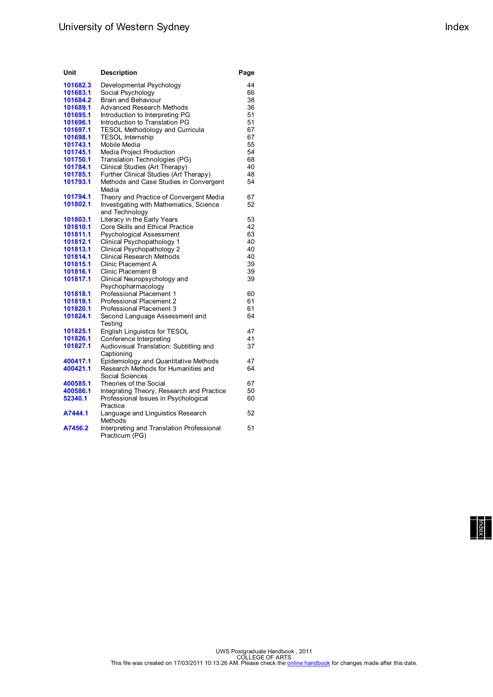| Index |

| Unit     | <b>Description</b>                                          | Page |
|----------|-------------------------------------------------------------|------|
| 101682.3 | Developmental Psychology                                    | 44   |
| 101683.1 | Social Psychology                                           | 66   |
| 101684.2 | Brain and Behaviour                                         | 38   |
| 101689.1 | Advanced Research Methods                                   | 36   |
| 101695.1 | Introduction to Interpreting PG                             | 51   |
| 101696.1 | Introduction to Translation PG                              | 51   |
| 101697.1 | <b>TESOL Methodology and Curricula</b>                      | 67   |
| 101698.1 | <b>TESOL Internship</b>                                     | 67   |
| 101743.1 | Mobile Media                                                | 55   |
| 101745.1 | Media Project Production                                    | 54   |
| 101750.1 | Translation Technologies (PG)                               | 68   |
| 101784.1 | Clinical Studies (Art Therapy)                              | 40   |
| 101785.1 | Further Clinical Studies (Art Therapy)                      | 48   |
| 101793.1 | Methods and Case Studies in Convergent<br>Media             | 54   |
| 101794.1 | Theory and Practice of Convergent Media                     | 67   |
| 101802.1 | Investigating with Mathematics, Science<br>and Technology   | 52   |
| 101803.1 | Literacy in the Early Years                                 | 53   |
| 101810.1 | Core Skills and Ethical Practice                            | 42   |
| 101811.1 | Psychological Assessment                                    | 63   |
| 101812.1 | Clinical Psychopathology 1                                  | 40   |
| 101813.1 | Clinical Psychopathology 2                                  | 40   |
| 101814.1 | <b>Clinical Research Methods</b>                            | 40   |
| 101815.1 | Clinic Placement A                                          | 39   |
| 101816.1 | Clinic Placement B                                          | 39   |
| 101817.1 | Clinical Neuropsychology and                                | 39   |
|          | Psychopharmacology                                          |      |
| 101818.1 | Professional Placement 1                                    | 60   |
| 101819.1 | Professional Placement 2                                    | 61   |
| 101820.1 | Professional Placement 3                                    | 61   |
| 101824.1 | Second Language Assessment and                              | 64   |
|          | Testing                                                     |      |
| 101825.1 | <b>English Linguistics for TESOL</b>                        | 47   |
| 101826.1 | Conference Interpreting                                     | 41   |
| 101827.1 | Audiovisual Translation: Subtitling and                     | 37   |
|          | Captioning                                                  |      |
| 400417.1 | Epidemiology and Quantitative Methods                       | 47   |
| 400421.1 | Research Methods for Humanities and<br>Social Sciences      | 64   |
| 400585.1 | Theories of the Social                                      | 67   |
| 400586.1 | Integrating Theory, Research and Practice                   | 50   |
| 52340.1  | Professional Issues in Psychological<br>Practice            | 60   |
| A7444.1  | Language and Linguistics Research<br>Methods                | 52   |
| A7456.2  | Interpreting and Translation Professional<br>Practicum (PG) | 51   |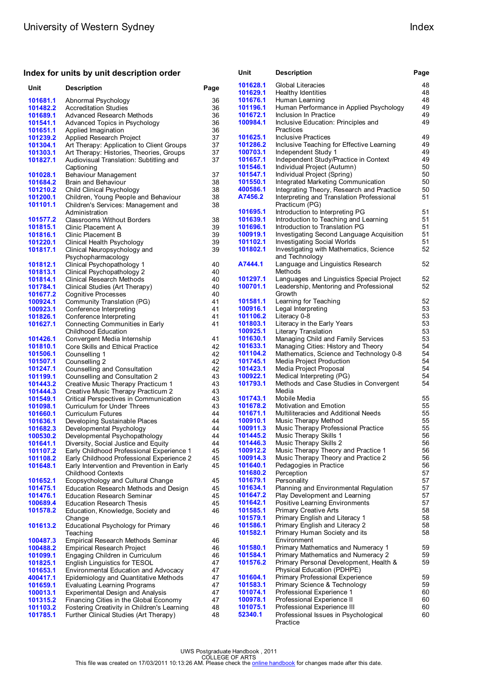| Index for units by unit description order |                                             |      | Unit     | <b>Description</b>                        | Page |
|-------------------------------------------|---------------------------------------------|------|----------|-------------------------------------------|------|
| Unit                                      | <b>Description</b>                          | Page | 101628.1 | <b>Global Literacies</b>                  | 48   |
|                                           |                                             |      | 101629.1 | Healthy Identities                        | 48   |
| 101681.1                                  | Abnormal Psychology                         | 36   | 101676.1 | Human Learning                            | 48   |
| 101482.2                                  | <b>Accreditation Studies</b>                | 36   | 101196.1 | Human Performance in Applied Psychology   | 49   |
| 101689.1                                  | Advanced Research Methods                   | 36   | 101672.1 | Inclusion In Practice                     | 49   |
| 101541.1                                  | Advanced Topics in Psychology               | 36   | 100984.1 | Inclusive Education: Principles and       | 49   |
| 101651.1                                  | Applied Imagination                         | 36   |          | Practices                                 |      |
| 101239.2                                  | Applied Research Project                    | 37   | 101625.1 | Inclusive Practices                       | 49   |
| 101304.1                                  | Art Therapy: Application to Client Groups   | 37   | 101286.2 | Inclusive Teaching for Effective Learning | 49   |
| 101303.1                                  | Art Therapy: Histories, Theories, Groups    | 37   | 100703.1 | Independent Study 1                       | 49   |
| 101827.1                                  | Audiovisual Translation: Subtitling and     | 37   | 101657.1 | Independent Study/Practice in Context     | 49   |
|                                           | Captioning                                  |      | 101546.1 | Individual Project (Autumn)               | 50   |
| 101028.1                                  | <b>Behaviour Management</b>                 | 37   | 101547.1 | Individual Project (Spring)               | 50   |
| 101684.2                                  | <b>Brain and Behaviour</b>                  | 38   | 101550.1 | Integrated Marketing Communication        | 50   |
| 101210.2                                  | Child Clinical Psychology                   | 38   | 400586.1 | Integrating Theory, Research and Practice | 50   |
| 101200.1                                  | Children, Young People and Behaviour        | 38   | A7456.2  | Interpreting and Translation Professional | 51   |
| 101101.1                                  | Children's Services: Management and         | 38   |          | Practicum (PG)                            |      |
|                                           | Administration                              |      | 101695.1 | Introduction to Interpreting PG           | 51   |
| 101577.2                                  | <b>Classrooms Without Borders</b>           | 38   | 101639.1 | Introduction to Teaching and Learning     | 51   |
| 101815.1                                  | Clinic Placement A                          | 39   | 101696.1 | Introduction to Translation PG            | 51   |
| 101816.1                                  | Clinic Placement B                          | 39   | 100919.1 | Investigating Second Language Acquisition | 51   |
| 101220.1                                  | Clinical Health Psychology                  | 39   | 101102.1 | <b>Investigating Social Worlds</b>        | 51   |
| 101817.1                                  | Clinical Neuropsychology and                | 39   | 101802.1 | Investigating with Mathematics, Science   | 52   |
|                                           | Psychopharmacology                          |      |          | and Technology                            |      |
| 101812.1                                  | Clinical Psychopathology 1                  | 40   | A7444.1  | Language and Linguistics Research         | 52   |
| 101813.1                                  | Clinical Psychopathology 2                  | 40   |          | Methods                                   |      |
| 101814.1                                  | <b>Clinical Research Methods</b>            | 40   | 101297.1 | Languages and Linguistics Special Project | 52   |
| 101784.1                                  | Clinical Studies (Art Therapy)              | 40   | 100701.1 | Leadership, Mentoring and Professional    | 52   |
| 101677.2                                  | Cognitive Processes                         | 40   |          | Growth                                    |      |
| 100924.1                                  | Community Translation (PG)                  | 41   | 101581.1 | Learning for Teaching                     | 52   |
| 100923.1                                  | Conference Interpreting                     | 41   | 100916.1 | Legal Interpreting                        | 53   |
| 101826.1                                  | Conference Interpreting                     | 41   | 101106.2 | Literacy 0-8                              | 53   |
| 101627.1                                  | Connecting Communities in Early             | 41   | 101803.1 | Literacy in the Early Years               | 53   |
|                                           | Childhood Education                         |      | 100925.1 | Literary Translation                      | 53   |
| 101426.1                                  | Convergent Media Internship                 | 41   | 101630.1 | Managing Child and Family Services        | 53   |
| 101810.1                                  | Core Skills and Ethical Practice            | 42   | 101633.1 | Managing Cities: History and Theory       | 54   |
| 101506.1                                  | Counselling 1                               | 42   | 101104.2 | Mathematics, Science and Technology 0-8   | 54   |
| 101507.1                                  | Counselling 2                               | 42   | 101745.1 | Media Project Production                  | 54   |
| 101247.1                                  | Counselling and Consultation                | 42   | 101423.1 | Media Project Proposal                    | 54   |
| 101199.1                                  | Counselling and Consultation 2              | 43   | 100922.1 | Medical Interpreting (PG)                 | 54   |
| 101443.2                                  | Creative Music Therapy Practicum 1          | 43   | 101793.1 | Methods and Case Studies in Convergent    | 54   |
| 101444.3                                  | Creative Music Therapy Practicum 2          | 43   |          | Media                                     |      |
| 101549.1                                  | Critical Perspectives in Communication      | 43   | 101743.1 | Mobile Media                              | 55   |
| 101098.1                                  | <b>Curriculum for Under Threes</b>          | 43   | 101678.2 | <b>Motivation and Emotion</b>             | 55   |
| 101660.1                                  | <b>Curriculum Futures</b>                   | 44   | 101671.1 | Multiliteracies and Additional Needs      | 55   |
| 101636.1                                  | Developing Sustainable Places               | 44   | 100910.1 | Music Therapy Method                      | 55   |
| 101682.3                                  | Developmental Psychology                    | 44   | 100911.3 | Music Therapy Professional Practice       | 55   |
| 100530.2                                  | Developmental Psychopathology               | 44   | 101445.2 | Music Therapy Skills 1                    | 56   |
| 101641.1                                  | Diversity, Social Justice and Equity        | 44   | 101446.3 | Music Therapy Skills 2                    | 56   |
| 101107.2                                  | Early Childhood Professional Experience 1   | 45   | 100912.2 | Music Therapy Theory and Practice 1       | 56   |
| 101108.2                                  | Early Childhood Professional Experience 2   | 45   | 100914.3 | Music Therapy Theory and Practice 2       | 56   |
| 101648.1                                  | Early Intervention and Prevention in Early  | 45   | 101640.1 | Pedagogies in Practice                    | 56   |
|                                           | <b>Childhood Contexts</b>                   |      | 101680.2 | Perception                                | 57   |
| 101652.1                                  | Ecopsychology and Cultural Change           | 45   | 101679.1 | Personality                               | 57   |
| 101475.1                                  | Education Research Methods and Design       | 45   | 101634.1 | Planning and Environmental Regulation     | 57   |
| 101476.1                                  | <b>Education Research Seminar</b>           | 45   | 101647.2 | Play Development and Learning             | 57   |
| 100689.4                                  | <b>Education Research Thesis</b>            | 45   | 101642.1 | <b>Positive Learning Environments</b>     | 57   |
| 101578.2                                  | Education, Knowledge, Society and           | 46   | 101585.1 | <b>Primary Creative Arts</b>              | 58   |
|                                           | Change                                      |      | 101579.1 | Primary English and Literacy 1            | 58   |
| 101613.2                                  | Educational Psychology for Primary          | 46   | 101586.1 | Primary English and Literacy 2            | 58   |
|                                           | Teaching                                    |      | 101582.1 | Primary Human Society and its             | 58   |
| 100487.3                                  | Empirical Research Methods Seminar          | 46   |          | Environment                               |      |
| 100488.2                                  | <b>Empirical Research Project</b>           | 46   | 101580.1 | Primary Mathematics and Numeracy 1        | 59   |
| 101099.1                                  | Engaging Children in Curriculum             | 46   | 101584.1 | Primary Mathematics and Numeracy 2        | 59   |
| 101825.1                                  | English Linguistics for TESOL               | 47   | 101576.2 | Primary Personal Development, Health &    | 59   |
| 101653.1                                  | Environmental Education and Advocacy        | 47   |          | Physical Education (PDHPE)                |      |
| 400417.1                                  | Epidemiology and Quantitative Methods       | 47   | 101604.1 | Primary Professional Experience           | 59   |
| 101659.1                                  | <b>Evaluating Learning Programs</b>         | 47   | 101583.1 | Primary Science & Technology              | 59   |
| 100013.1                                  | <b>Experimental Design and Analysis</b>     | 47   | 101074.1 | Professional Experience 1                 | 60   |
| 101315.2                                  | Financing Cities in the Global Economy      | 47   | 100978.1 | Professional Experience II                | 60   |
| 101103.2                                  | Fostering Creativity in Children's Learning | 48   | 101075.1 | Professional Experience III               | 60   |
| 101785.1                                  | Further Clinical Studies (Art Therapy)      | 48   | 52340.1  | Professional Issues in Psychological      | 60   |
|                                           |                                             |      |          | Practice                                  |      |